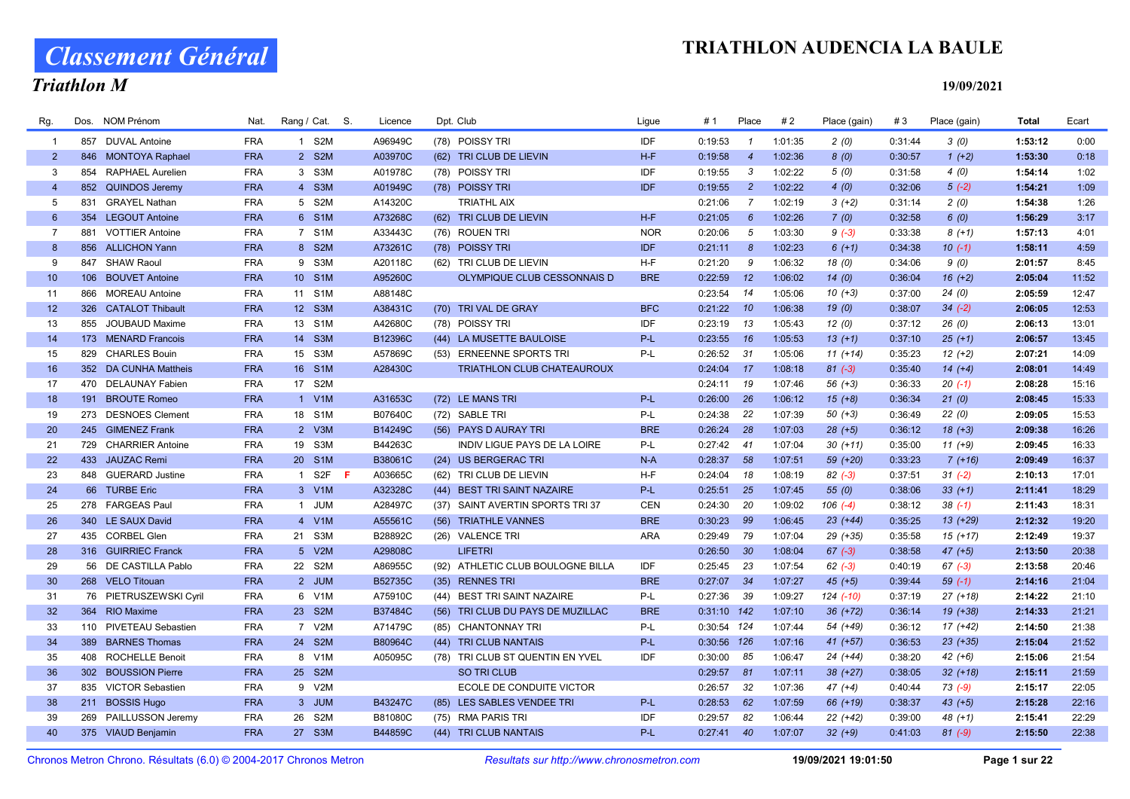# Classement Général

### Triathlon M

#### 19/09/2021

| Rg.            | Dos. | <b>NOM Prénom</b>      | Nat.       | Rang / Cat. S. | Licence | Dpt. Club                         | Ligue      | # 1           | Place          | #2      | Place (gain) | #3      | Place (gain) | <b>Total</b> | Ecart |
|----------------|------|------------------------|------------|----------------|---------|-----------------------------------|------------|---------------|----------------|---------|--------------|---------|--------------|--------------|-------|
| -1             |      | 857 DUVAL Antoine      | <b>FRA</b> | 1 S2M          | A96949C | (78) POISSY TRI                   | <b>IDF</b> | 0:19:53       | $\mathcal I$   | 1:01:35 | 2(0)         | 0:31:44 | 3(0)         | 1:53:12      | 0:00  |
| $\overline{2}$ |      | 846 MONTOYA Raphael    | <b>FRA</b> | 2 S2M          | A03970C | (62) TRI CLUB DE LIEVIN           | $H-F$      | 0:19:58       | $\overline{4}$ | 1:02:36 | 8(0)         | 0:30:57 | $1 (+2)$     | 1:53:30      | 0:18  |
| 3              | 854  | RAPHAEL Aurelien       | <b>FRA</b> | 3 S3M          | A01978C | (78) POISSY TRI                   | <b>IDF</b> | 0:19:55       | 3              | 1:02:22 | 5(0)         | 0:31:58 | 4(0)         | 1:54:14      | 1:02  |
| $\overline{4}$ |      | 852 QUINDOS Jeremy     | <b>FRA</b> | 4 S3M          | A01949C | (78) POISSY TRI                   | <b>IDF</b> | 0:19:55       | $\overline{2}$ | 1:02:22 | 4(0)         | 0:32:06 | $5(-2)$      | 1:54:21      | 1:09  |
| 5              | 831  | <b>GRAYEL Nathan</b>   | <b>FRA</b> | 5 S2M          | A14320C | <b>TRIATHL AIX</b>                |            | 0:21:06       | $\overline{7}$ | 1:02:19 | $3(+2)$      | 0:31:14 | 2(0)         | 1:54:38      | 1:26  |
| 6              | 354  | <b>LEGOUT Antoine</b>  | <b>FRA</b> | 6 S1M          | A73268C | (62) TRI CLUB DE LIEVIN           | $H-F$      | 0:21:05       | 6              | 1:02:26 | 7(0)         | 0:32:58 | 6(0)         | 1:56:29      | 3:17  |
| $\overline{7}$ | 881  | <b>VOTTIER Antoine</b> | <b>FRA</b> | 7 S1M          | A33443C | (76) ROUEN TRI                    | <b>NOR</b> | 0:20:06       | 5              | 1:03:30 | $9(-3)$      | 0:33:38 | $8(+1)$      | 1:57:13      | 4:01  |
| 8              |      | 856 ALLICHON Yann      | <b>FRA</b> | 8 S2M          | A73261C | (78) POISSY TRI                   | <b>IDF</b> | 0:21:11       | 8              | 1:02:23 | $6(+1)$      | 0:34:38 | $10(-1)$     | 1:58:11      | 4:59  |
| 9              |      | 847 SHAW Raoul         | <b>FRA</b> | 9 S3M          | A20118C | (62) TRI CLUB DE LIEVIN           | $H-F$      | 0:21:20       | 9              | 1:06:32 | 18 (0)       | 0:34:06 | 9(0)         | 2:01:57      | 8:45  |
| 10             |      | 106 BOUVET Antoine     | <b>FRA</b> | 10 S1M         | A95260C | OLYMPIQUE CLUB CESSONNAIS D       | <b>BRE</b> | 0:22:59       | 12             | 1:06:02 | 14(0)        | 0:36:04 | $16 (+2)$    | 2:05:04      | 11:52 |
| 11             | 866  | <b>MOREAU Antoine</b>  | <b>FRA</b> | 11 S1M         | A88148C |                                   |            | 0:23:54       | 14             | 1:05:06 | $10(+3)$     | 0:37:00 | 24(0)        | 2:05:59      | 12:47 |
| 12             |      | 326 CATALOT Thibault   | <b>FRA</b> | 12 S3M         | A38431C | (70) TRIVAL DE GRAY               | <b>BFC</b> | $0:21:22$ 10  |                | 1:06:38 | 19(0)        | 0:38:07 | $34 (-2)$    | 2:06:05      | 12:53 |
| 13             |      | 855 JOUBAUD Maxime     | <b>FRA</b> | 13 S1M         | A42680C | (78) POISSY TRI                   | IDF        | 0:23:19       | 13             | 1:05:43 | 12(0)        | 0:37:12 | 26(0)        | 2:06:13      | 13:01 |
| 14             |      | 173 MENARD Francois    | <b>FRA</b> | 14 S3M         | B12396C | (44) LA MUSETTE BAULOISE          | $P-L$      | 0:23:55       | 16             | 1:05:53 | $13(+1)$     | 0:37:10 | $25(+1)$     | 2:06:57      | 13:45 |
| 15             | 829  | <b>CHARLES Bouin</b>   | <b>FRA</b> | 15 S3M         | A57869C | (53) ERNEENNE SPORTS TRI          | P-L        | 0:26:52       | 31             | 1:05:06 | $11 (+14)$   | 0:35:23 | $12 (+2)$    | 2:07:21      | 14:09 |
| 16             |      | 352 DA CUNHA Mattheis  | <b>FRA</b> | 16 S1M         | A28430C | TRIATHLON CLUB CHATEAUROUX        |            | 0:24:04       | 17             | 1:08:18 | $81 (-3)$    | 0:35:40 | $14 (+4)$    | 2:08:01      | 14:49 |
| 17             |      | 470 DELAUNAY Fabien    | <b>FRA</b> | 17 S2M         |         |                                   |            | 0:24:11       | 19             | 1:07:46 | $56 (+3)$    | 0:36:33 | $20( -1)$    | 2:08:28      | 15:16 |
| 18             |      | 191 BROUTE Romeo       | <b>FRA</b> | 1 V1M          | A31653C | (72) LE MANS TRI                  | $P-L$      | 0:26:00       | 26             | 1:06:12 | $15(+8)$     | 0:36:34 | 21(0)        | 2:08:45      | 15:33 |
| 19             |      | 273 DESNOES Clement    | <b>FRA</b> | 18 S1M         | B07640C | (72) SABLE TRI                    | P-L        | 0:24:38       | 22             | 1:07:39 | $50(+3)$     | 0:36:49 | 22(0)        | 2:09:05      | 15:53 |
| 20             |      | 245 GIMENEZ Frank      | <b>FRA</b> | 2 V3M          | B14249C | (56) PAYS D AURAY TRI             | <b>BRE</b> | 0:26:24       | 28             | 1:07:03 | $28 (+5)$    | 0:36:12 | $18(+3)$     | 2:09:38      | 16:26 |
| 21             |      | 729 CHARRIER Antoine   | <b>FRA</b> | 19 S3M         | B44263C | INDIV LIGUE PAYS DE LA LOIRE      | P-L        | 0:27:42       | 41             | 1:07:04 | $30 (+11)$   | 0:35:00 | $11 (+9)$    | 2:09:45      | 16:33 |
| 22             |      | 433 JAUZAC Remi        | <b>FRA</b> | 20 S1M         | B38061C | (24) US BERGERAC TRI              | $N-A$      | $0:28:37$ 58  |                | 1:07:51 | 59 (+20)     | 0:33:23 | $7(+16)$     | 2:09:49      | 16:37 |
| 23             |      | 848 GUERARD Justine    | <b>FRA</b> | 1 S2F<br>- F   | A03665C | (62) TRI CLUB DE LIEVIN           | H-F        | 0:24:04       | 18             | 1:08:19 | $82(-3)$     | 0:37:51 | $31 (-2)$    | 2:10:13      | 17:01 |
| 24             |      | 66 TURBE Eric          | <b>FRA</b> | 3 V1M          | A32328C | (44) BEST TRI SAINT NAZAIRE       | $P-L$      | 0:25:51       | 25             | 1:07:45 | 55(0)        | 0:38:06 | $33 (+1)$    | 2:11:41      | 18:29 |
| 25             |      | 278 FARGEAS Paul       | <b>FRA</b> | 1 JUM          | A28497C | (37) SAINT AVERTIN SPORTS TRI 37  | <b>CEN</b> | 0:24:30       | 20             | 1:09:02 | $106$ $(-4)$ | 0:38:12 | $38( -1)$    | 2:11:43      | 18:31 |
| 26             |      | 340 LE SAUX David      | <b>FRA</b> | 4 V1M          | A55561C | (56) TRIATHLE VANNES              | <b>BRE</b> | 0:30:23       | 99             | 1:06:45 | $23 (+44)$   | 0:35:25 | $13(+29)$    | 2:12:32      | 19:20 |
| 27             |      | 435 CORBEL Glen        | <b>FRA</b> | 21 S3M         | B28892C | (26) VALENCE TRI                  | <b>ARA</b> | 0:29:49       | 79             | 1:07:04 | 29 (+35)     | 0:35:58 | $15(+17)$    | 2:12:49      | 19:37 |
| 28             |      | 316 GUIRRIEC Franck    | <b>FRA</b> | 5 V2M          | A29808C | <b>LIFETRI</b>                    |            | 0:26:50       | 30             | 1:08:04 | $67 (-3)$    | 0:38:58 | $47 (+5)$    | 2:13:50      | 20:38 |
| 29             |      | 56 DE CASTILLA Pablo   | <b>FRA</b> | 22 S2M         | A86955C | (92) ATHLETIC CLUB BOULOGNE BILLA | <b>IDF</b> | 0:25:45       | 23             | 1:07:54 | $62 (-3)$    | 0:40:19 | $67 (-3)$    | 2:13:58      | 20:46 |
| 30             |      | 268 VELO Titouan       | <b>FRA</b> | 2 JUM          | B52735C | (35) RENNES TRI                   | <b>BRE</b> | $0:27:07$ 34  |                | 1:07:27 | $45 (+5)$    | 0:39:44 | $59(-1)$     | 2:14:16      | 21:04 |
| 31             |      | 76 PIETRUSZEWSKI Cyril | <b>FRA</b> | 6 V1M          | A75910C | (44) BEST TRI SAINT NAZAIRE       | P-L        | 0:27:36       | 39             | 1:09:27 | 124 (-10)    | 0:37:19 | $27 (+18)$   | 2:14:22      | 21:10 |
| 32             |      | 364 RIO Maxime         | <b>FRA</b> | 23 S2M         | B37484C | (56) TRI CLUB DU PAYS DE MUZILLAC | <b>BRE</b> | $0:31:10$ 142 |                | 1:07:10 | $36 (+72)$   | 0:36:14 | 19 (+38)     | 2:14:33      | 21:21 |
| 33             |      | 110 PIVETEAU Sebastien | <b>FRA</b> | 7 V2M          | A71479C | (85) CHANTONNAY TRI               | P-L        | 0:30:54 124   |                | 1:07:44 | 54 (+49)     | 0:36:12 | $17(+42)$    | 2:14:50      | 21:38 |
| 34             | 389  | <b>BARNES Thomas</b>   | <b>FRA</b> | 24 S2M         | B80964C | (44) TRI CLUB NANTAIS             | P-L        | 0:30:56 126   |                | 1:07:16 | $41 (+57)$   | 0:36:53 | $23$ (+35)   | 2:15:04      | 21:52 |
| 35             | 408  | <b>ROCHELLE Benoit</b> | <b>FRA</b> | 8 V1M          | A05095C | (78) TRI CLUB ST QUENTIN EN YVEL  | IDF        | 0:30:00       | 85             | 1:06:47 | 24 (+44)     | 0:38:20 | $42 (+6)$    | 2:15:06      | 21:54 |
| 36             |      | 302 BOUSSION Pierre    | <b>FRA</b> | 25 S2M         |         | <b>SO TRI CLUB</b>                |            | 0:29:57       | 81             | 1:07:11 | $38 (+27)$   | 0:38:05 | $32 (+18)$   | 2:15:11      | 21:59 |
| 37             |      | 835 VICTOR Sebastien   | <b>FRA</b> | 9 V2M          |         | ECOLE DE CONDUITE VICTOR          |            | 0:26:57       | 32             | 1:07:36 | $47 (+4)$    | 0:40:44 | $73$ (-9)    | 2:15:17      | 22:05 |
| 38             |      | 211 BOSSIS Hugo        | <b>FRA</b> | 3 JUM          | B43247C | (85) LES SABLES VENDEE TRI        | P-L        | 0:28:53       | 62             | 1:07:59 | 66 (+19)     | 0:38:37 | $43 (+5)$    | 2:15:28      | 22:16 |
| 39             | 269  | PAILLUSSON Jeremy      | <b>FRA</b> | 26 S2M         | B81080C | (75) RMA PARIS TRI                | IDF        | 0:29:57       | 82             | 1:06:44 | $22(+42)$    | 0:39:00 | $48(+1)$     | 2:15:41      | 22:29 |
| 40             |      | 375 VIAUD Benjamin     | <b>FRA</b> | 27 S3M         | B44859C | (44) TRI CLUB NANTAIS             | P-L        | $0:27:41$ 40  |                | 1:07:07 | $32 (+9)$    | 0:41:03 | $81 (-9)$    | 2:15:50      | 22:38 |

Chronos Metron Chrono. Résultats (6.0) © 2004-2017 Chronos Metron Resultats sur http://www.chronosmetron.com 19/09/2021 19:01:50 Page 1 sur 22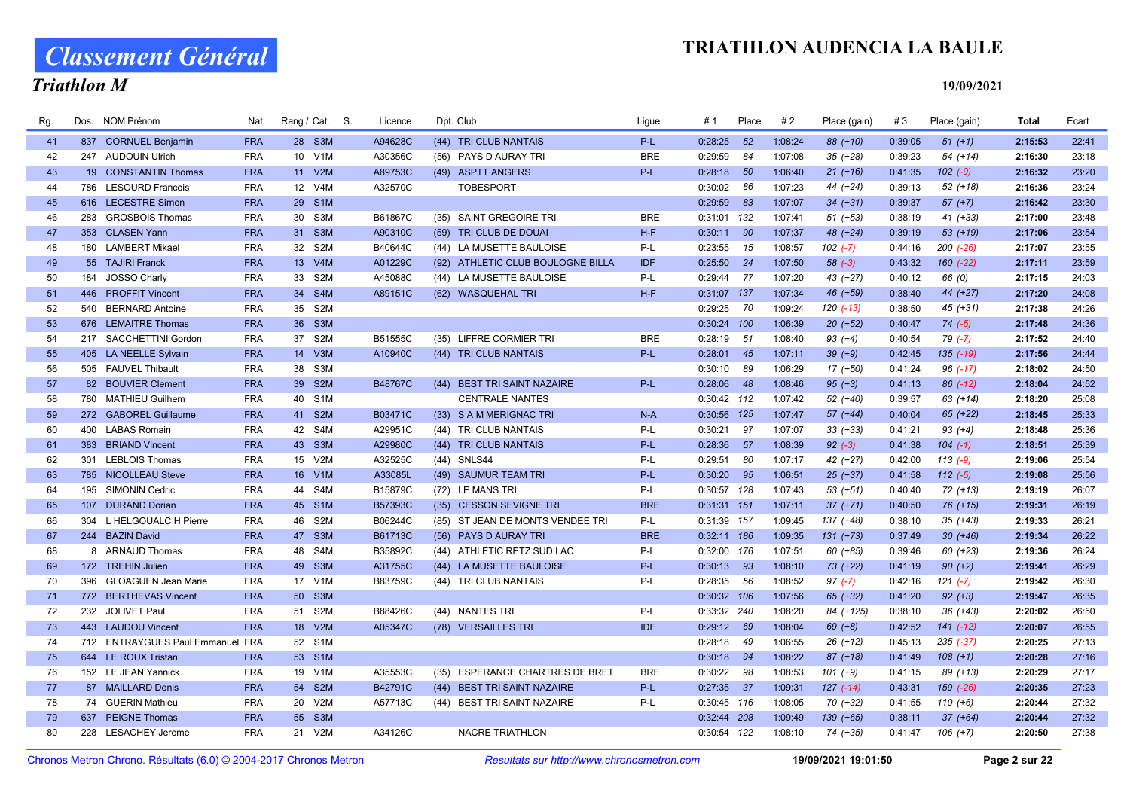# Classement Général

### Triathlon M

| Rg. | Dos. NOM Prénom                  | Nat.       | Rang / Cat. S. | Licence | Dpt. Club                         | Ligue      | #1            | Place | #2      | Place (gain) | #3      | Place (gain)  | Total   | Ecart |
|-----|----------------------------------|------------|----------------|---------|-----------------------------------|------------|---------------|-------|---------|--------------|---------|---------------|---------|-------|
| 41  | 837 CORNUEL Benjamin             | <b>FRA</b> | 28 S3M         | A94628C | (44) TRI CLUB NANTAIS             | P-L        | 0:28:25       | 52    | 1:08:24 | 88 (+10)     | 0:39:05 | $51 (+1)$     | 2:15:53 | 22:41 |
| 42  | 247 AUDOUIN Ulrich               | <b>FRA</b> | 10 V1M         | A30356C | (56) PAYS D AURAY TRI             | <b>BRE</b> | 0:29:59       | 84    | 1:07:08 | $35 (+28)$   | 0:39:23 | $54(+14)$     | 2:16:30 | 23:18 |
| 43  | 19 CONSTANTIN Thomas             | <b>FRA</b> | 11 V2M         | A89753C | (49) ASPTT ANGERS                 | P-L        | 0:28:18       | 50    | 1:06:40 | $21 (+16)$   | 0:41:35 | $102 (-9)$    | 2:16:32 | 23:20 |
| 44  | 786 LESOURD Francois             | <b>FRA</b> | 12 V4M         | A32570C | <b>TOBESPORT</b>                  |            | 0:30:02       | 86    | 1:07:23 | 44 (+24)     | 0:39:13 | $52$ $(+18)$  | 2:16:36 | 23:24 |
| 45  | 616 LECESTRE Simon               | <b>FRA</b> | 29 S1M         |         |                                   |            | 0:29:59       | 83    | 1:07:07 | $34 (+31)$   | 0:39:37 | $57 (+7)$     | 2:16:42 | 23:30 |
| 46  | 283 GROSBOIS Thomas              | <b>FRA</b> | 30 S3M         | B61867C | (35) SAINT GREGOIRE TRI           | <b>BRE</b> | 0:31:01 132   |       | 1:07:41 | $51 (+53)$   | 0:38:19 | $41 (+33)$    | 2:17:00 | 23:48 |
| 47  | 353 CLASEN Yann                  | <b>FRA</b> | 31 S3M         | A90310C | (59) TRI CLUB DE DOUAI            | H-F        | 0:30:11       | 90    | 1:07:37 | 48 (+24)     | 0:39:19 | $53(+19)$     | 2:17:06 | 23:54 |
| 48  | 180 LAMBERT Mikael               | <b>FRA</b> | 32 S2M         | B40644C | (44) LA MUSETTE BAULOISE          | P-L        | $0:23:55$ 15  |       | 1:08:57 | $102 (-7)$   | 0:44:16 | $200$ $(-26)$ | 2:17:07 | 23:55 |
| 49  | 55 TAJIRI Franck                 | <b>FRA</b> | 13 V4M         | A01229C | (92) ATHLETIC CLUB BOULOGNE BILLA | <b>IDF</b> | $0:25:50$ 24  |       | 1:07:50 | $58(-3)$     | 0:43:32 | $160 (-22)$   | 2:17:11 | 23:59 |
| 50  | 184 JOSSO Charly                 | <b>FRA</b> | 33 S2M         | A45088C | (44) LA MUSETTE BAULOISE          | P-L        | 0:29:44 77    |       | 1:07:20 | 43 (+27)     | 0:40:12 | 66 (0)        | 2:17:15 | 24:03 |
| 51  | 446 PROFFIT Vincent              | <b>FRA</b> | 34 S4M         | A89151C | (62) WASQUEHAL TRI                | $H-F$      | 0:31:07 137   |       | 1:07:34 | 46 (+59)     | 0:38:40 | 44 (+27)      | 2:17:20 | 24:08 |
| 52  | 540 BERNARD Antoine              | <b>FRA</b> | 35 S2M         |         |                                   |            | 0:29:25 70    |       | 1:09:24 | $120( -13)$  | 0:38:50 | $45 (+31)$    | 2:17:38 | 24:26 |
| 53  | 676 LEMAITRE Thomas              | <b>FRA</b> | 36 S3M         |         |                                   |            | 0:30:24 100   |       | 1:06:39 | $20 (+52)$   | 0:40:47 | $74(-5)$      | 2:17:48 | 24:36 |
| 54  | 217 SACCHETTINI Gordon           | <b>FRA</b> | 37 S2M         | B51555C | (35) LIFFRE CORMIER TRI           | <b>BRE</b> | $0:28:19$ 51  |       | 1:08:40 | $93 (+4)$    | 0:40:54 | $79(-7)$      | 2:17:52 | 24:40 |
| 55  | 405 LA NEELLE Sylvain            | <b>FRA</b> | 14 V3M         | A10940C | (44) TRI CLUB NANTAIS             | P-L        | 0:28:01       | 45    | 1:07:11 | $39 (+9)$    | 0:42:45 | $135$ $(-19)$ | 2:17:56 | 24:44 |
| 56  | 505 FAUVEL Thibault              | <b>FRA</b> | 38 S3M         |         |                                   |            | 0:30:10       | 89    | 1:06:29 | 17 (+50)     | 0:41:24 | $96$ $(-17)$  | 2:18:02 | 24:50 |
| 57  | 82 BOUVIER Clement               | <b>FRA</b> | 39 S2M         | B48767C | (44) BEST TRI SAINT NAZAIRE       | P-L        | 0:28:06       | 48    | 1:08:46 | $95 (+3)$    | 0:41:13 | 86 (-12)      | 2:18:04 | 24:52 |
| 58  | 780 MATHIEU Guilhem              | <b>FRA</b> | 40 S1M         |         | <b>CENTRALE NANTES</b>            |            | 0:30:42 112   |       | 1:07:42 | 52 (+40)     | 0:39:57 | $63 (+14)$    | 2:18:20 | 25:08 |
| 59  | 272 GABOREL Guillaume            | <b>FRA</b> | 41 S2M         | B03471C | (33) S A M MERIGNAC TRI           | $N-A$      | 0:30:56 125   |       | 1:07:47 | $57(+44)$    | 0:40:04 | $65 (+22)$    | 2:18:45 | 25:33 |
| 60  | 400 LABAS Romain                 | <b>FRA</b> | 42 S4M         | A29951C | (44) TRI CLUB NANTAIS             | P-L        | 0:30:21 97    |       | 1:07:07 | $33 (+33)$   | 0:41:21 | $93 (+4)$     | 2:18:48 | 25:36 |
| 61  | 383 BRIAND Vincent               | <b>FRA</b> | 43 S3M         | A29980C | (44) TRI CLUB NANTAIS             | $P-L$      | 0:28:36 57    |       | 1:08:39 | $92 (-3)$    | 0:41:38 | $104$ $(-1)$  | 2:18:51 | 25:39 |
| 62  | <b>LEBLOIS Thomas</b><br>301     | <b>FRA</b> | 15 V2M         | A32525C | (44) SNLS44                       | P-L        | 0:29:51       | 80    | 1:07:17 | 42 (+27)     | 0:42:00 | $113(-9)$     | 2:19:06 | 25:54 |
| 63  | 785 NICOLLEAU Steve              | <b>FRA</b> | 16 V1M         | A33085L | (49) SAUMUR TEAM TRI              | $P-L$      | $0:30:20$ 95  |       | 1:06:51 | $25$ $(+37)$ | 0:41:58 | $112(-5)$     | 2:19:08 | 25:56 |
| 64  | 195 SIMONIN Cedric               | <b>FRA</b> | 44 S4M         | B15879C | (72) LE MANS TRI                  | P-L        | 0:30:57 128   |       | 1:07:43 | $53 (+51)$   | 0:40:40 | $72 (+13)$    | 2:19:19 | 26:07 |
| 65  | 107 DURAND Dorian                | <b>FRA</b> | 45 S1M         | B57393C | (35) CESSON SEVIGNE TRI           | <b>BRE</b> | $0:31:31$ 151 |       | 1:07:11 | $37 (+71)$   | 0:40:50 | $76 (+15)$    | 2:19:31 | 26:19 |
| 66  | 304 L HELGOUALC H Pierre         | <b>FRA</b> | 46 S2M         | B06244C | (85) ST JEAN DE MONTS VENDEE TRI  | P-L        | 0:31:39 157   |       | 1:09:45 | 137 (+48)    | 0:38:10 | $35 (+43)$    | 2:19:33 | 26:21 |
| 67  | 244 BAZIN David                  | <b>FRA</b> | 47 S3M         | B61713C | (56) PAYS D AURAY TRI             | <b>BRE</b> | $0:32:11$ 186 |       | 1:09:35 | $131 (+73)$  | 0:37:49 | $30 (+46)$    | 2:19:34 | 26:22 |
| 68  | 8 ARNAUD Thomas                  | <b>FRA</b> | 48 S4M         | B35892C | (44) ATHLETIC RETZ SUD LAC        | P-L        | 0:32:00 176   |       | 1:07:51 | 60 (+85)     | 0:39:46 | 60 (+23)      | 2:19:36 | 26:24 |
| 69  | 172 TREHIN Julien                | <b>FRA</b> | 49 S3M         | A31755C | (44) LA MUSETTE BAULOISE          | P-L        | $0:30:13$ 93  |       | 1:08:10 | 73 (+22)     | 0:41:19 | $90 (+2)$     | 2:19:41 | 26:29 |
| 70  | 396 GLOAGUEN Jean Marie          | <b>FRA</b> | 17 V1M         | B83759C | (44) TRI CLUB NANTAIS             | P-L        | $0:28:35$ 56  |       | 1:08:52 | $97 (-7)$    | 0:42:16 | $121 (-7)$    | 2:19:42 | 26:30 |
| 71  | 772 BERTHEVAS Vincent            | <b>FRA</b> | 50 S3M         |         |                                   |            | 0:30:32 106   |       | 1:07:56 | 65 (+32)     | 0:41:20 | $92 (+3)$     | 2:19:47 | 26:35 |
| 72  | 232 JOLIVET Paul                 | <b>FRA</b> | 51 S2M         | B88426C | (44) NANTES TRI                   | P-L        | 0:33:32 240   |       | 1:08:20 | 84 (+125)    | 0:38:10 | $36 (+43)$    | 2:20:02 | 26:50 |
| 73  | 443 LAUDOU Vincent               | <b>FRA</b> | 18 V2M         | A05347C | (78) VERSAILLES TRI               | <b>IDF</b> | $0:29:12$ 69  |       | 1:08:04 | $69 (+8)$    | 0:42:52 | $141 (-12)$   | 2:20:07 | 26:55 |
| 74  | 712 ENTRAYGUES Paul Emmanuel FRA |            | 52 S1M         |         |                                   |            | 0:28:18       | 49    | 1:06:55 | $26 (+12)$   | 0:45:13 | $235$ $(-37)$ | 2:20:25 | 27:13 |
| 75  | 644 LE ROUX Tristan              | <b>FRA</b> | 53 S1M         |         |                                   |            | 0:30:18       | 94    | 1:08:22 | $87 (+18)$   | 0:41:49 | $108 (+1)$    | 2:20:28 | 27:16 |
| 76  | 152 LE JEAN Yannick              | <b>FRA</b> | 19 V1M         | A35553C | (35) ESPERANCE CHARTRES DE BRET   | <b>BRE</b> | $0:30:22$ 98  |       | 1:08:53 | $101 (+9)$   | 0:41:15 | 89 (+13)      | 2:20:29 | 27:17 |
| 77  | 87 MAILLARD Denis                | <b>FRA</b> | 54 S2M         | B42791C | (44) BEST TRI SAINT NAZAIRE       | P-L        | $0:27:35$ 37  |       | 1:09:31 | $127(-14)$   | 0:43:31 | $159$ $(-26)$ | 2:20:35 | 27:23 |
| 78  | 74 GUERIN Mathieu                | <b>FRA</b> | 20 V2M         | A57713C | (44) BEST TRI SAINT NAZAIRE       | P-L        | 0:30:45 116   |       | 1:08:05 | $70(+32)$    | 0:41:55 | $110 (+6)$    | 2:20:44 | 27:32 |
| 79  | 637 PEIGNE Thomas                | <b>FRA</b> | 55 S3M         |         |                                   |            | 0:32:44 208   |       | 1:09:49 | 139 (+65)    | 0:38:11 | $37 (+64)$    | 2:20:44 | 27:32 |
| 80  | 228 LESACHEY Jerome              | <b>FRA</b> | 21 V2M         | A34126C | <b>NACRE TRIATHLON</b>            |            | 0:30:54 122   |       | 1:08:10 | 74 (+35)     | 0:41:47 | $106 (+7)$    | 2:20:50 | 27:38 |
|     |                                  |            |                |         |                                   |            |               |       |         |              |         |               |         |       |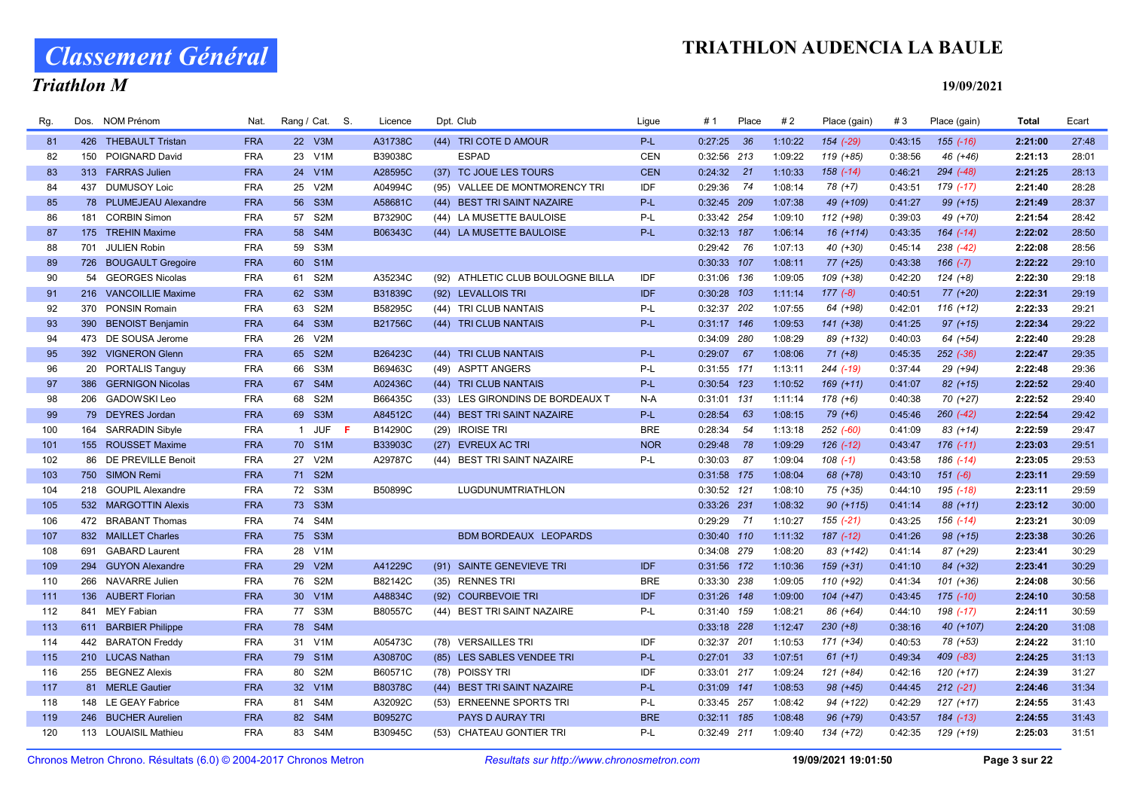# Classement Général

### Triathlon M

| Rg. | Dos. | <b>NOM Prénom</b>       | Nat.       | Rang / Cat. S. | Licence        | Dpt. Club                         | Ligue      | # 1           | Place | #2      | Place (gain)  | #3      | Place (gain)  | <b>Total</b> | Ecart |
|-----|------|-------------------------|------------|----------------|----------------|-----------------------------------|------------|---------------|-------|---------|---------------|---------|---------------|--------------|-------|
| 81  |      | 426 THEBAULT Tristan    | <b>FRA</b> | 22 V3M         | A31738C        | (44) TRI COTE D AMOUR             | P-L        | $0:27:25$ 36  |       | 1:10:22 | 154 (-29)     | 0:43:15 | $155(-16)$    | 2:21:00      | 27:48 |
| 82  |      | 150 POIGNARD David      | <b>FRA</b> | 23 V1M         | B39038C        | <b>ESPAD</b>                      | <b>CEN</b> | 0:32:56 213   |       | 1:09:22 | 119 (+85)     | 0:38:56 | 46 (+46)      | 2:21:13      | 28:01 |
| 83  |      | 313 FARRAS Julien       | <b>FRA</b> | 24 V1M         | A28595C        | (37) TC JOUE LES TOURS            | <b>CEN</b> | $0:24:32$ 21  |       | 1:10:33 | $158(-14)$    | 0:46:21 | $294 (-48)$   | 2:21:25      | 28:13 |
| 84  |      | 437 DUMUSOY Loic        | <b>FRA</b> | 25 V2M         | A04994C        | (95) VALLEE DE MONTMORENCY TRI    | IDF        | 0:29:36 74    |       | 1:08:14 | 78 (+7)       | 0:43:51 | 179 (-17)     | 2:21:40      | 28:28 |
| 85  |      | 78 PLUMEJEAU Alexandre  | <b>FRA</b> | 56 S3M         | A58681C        | (44) BEST TRI SAINT NAZAIRE       | $P-L$      | $0:32:45$ 209 |       | 1:07:38 | 49 (+109)     | 0:41:27 | $99 (+15)$    | 2:21:49      | 28:37 |
| 86  |      | 181 CORBIN Simon        | <b>FRA</b> | 57 S2M         | B73290C        | (44) LA MUSETTE BAULOISE          | P-L        | 0:33:42 254   |       | 1:09:10 | 112 (+98)     | 0:39:03 | 49 (+70)      | 2:21:54      | 28:42 |
| 87  |      | 175 TREHIN Maxime       | <b>FRA</b> | 58 S4M         | B06343C        | (44) LA MUSETTE BAULOISE          | P-L        | $0:32:13$ 187 |       | 1:06:14 | 16 (+114)     | 0:43:35 | $164$ $(-14)$ | 2:22:02      | 28:50 |
| 88  | 701  | <b>JULIEN Robin</b>     | <b>FRA</b> | 59 S3M         |                |                                   |            | 0:29:42 76    |       | 1:07:13 | 40 (+30)      | 0:45:14 | 238 (-42)     | 2:22:08      | 28:56 |
| 89  |      | 726 BOUGAULT Gregoire   | <b>FRA</b> | 60 S1M         |                |                                   |            | 0:30:33 107   |       | 1:08:11 | 77 (+25)      | 0:43:38 | $166 (-7)$    | 2:22:22      | 29:10 |
| 90  |      | 54 GEORGES Nicolas      | <b>FRA</b> | 61 S2M         | A35234C        | (92) ATHLETIC CLUB BOULOGNE BILLA | <b>IDF</b> | 0:31:06 136   |       | 1:09:05 | 109 (+38)     | 0:42:20 | $124 (+8)$    | 2:22:30      | 29:18 |
| 91  |      | 216 VANCOILLIE Maxime   | <b>FRA</b> | 62 S3M         | B31839C        | (92) LEVALLOIS TRI                | <b>IDF</b> | $0:30:28$ 103 |       | 1:11:14 | $177(-8)$     | 0:40:51 | 77 (+20)      | 2:22:31      | 29:19 |
| 92  |      | 370 PONSIN Romain       | <b>FRA</b> | 63 S2M         | B58295C        | (44) TRI CLUB NANTAIS             | P-L        | 0:32:37 202   |       | 1:07:55 | 64 (+98)      | 0:42:01 | $116 (+12)$   | 2:22:33      | 29:21 |
| 93  | 390  | <b>BENOIST Benjamin</b> | <b>FRA</b> | 64 S3M         | <b>B21756C</b> | (44) TRI CLUB NANTAIS             | P-L        | $0:31:17$ 146 |       | 1:09:53 | $141 (+38)$   | 0:41:25 | $97 (+15)$    | 2:22:34      | 29:22 |
| 94  |      | 473 DE SOUSA Jerome     | <b>FRA</b> | 26 V2M         |                |                                   |            | 0:34:09 280   |       | 1:08:29 | 89 (+132)     | 0:40:03 | 64 (+54)      | 2:22:40      | 29:28 |
| 95  |      | 392 VIGNERON Glenn      | <b>FRA</b> | 65 S2M         | B26423C        | (44) TRI CLUB NANTAIS             | P-L        | $0:29:07$ 67  |       | 1:08:06 | $71 (+8)$     | 0:45:35 | $252$ $(-36)$ | 2:22:47      | 29:35 |
| 96  |      | 20 PORTALIS Tanguy      | <b>FRA</b> | 66 S3M         | B69463C        | (49) ASPTT ANGERS                 | P-L        | 0:31:55 171   |       | 1:13:11 | 244 (-19)     | 0:37:44 | 29 (+94)      | 2:22:48      | 29:36 |
| 97  |      | 386 GERNIGON Nicolas    | <b>FRA</b> | 67 S4M         | A02436C        | (44) TRI CLUB NANTAIS             | P-L        | 0:30:54 123   |       | 1:10:52 | $169 (+11)$   | 0:41:07 | 82 (+15)      | 2:22:52      | 29:40 |
| 98  |      | 206 GADOWSKI Leo        | <b>FRA</b> | 68 S2M         | B66435C        | (33) LES GIRONDINS DE BORDEAUX T  | N-A        | 0:31:01 131   |       | 1:11:14 | $178 (+6)$    | 0:40:38 | 70 (+27)      | 2:22:52      | 29:40 |
| 99  |      | 79 DEYRES Jordan        | <b>FRA</b> | 69 S3M         | A84512C        | (44) BEST TRI SAINT NAZAIRE       | $P-L$      | 0:28:54       | 63    | 1:08:15 | $79 (+6)$     | 0:45:46 | $260 (-42)$   | 2:22:54      | 29:42 |
| 100 |      | 164 SARRADIN Sibyle     | <b>FRA</b> | 1 JUF F        | B14290C        | (29) IROISE TRI                   | <b>BRE</b> | 0:28:34       | 54    | 1:13:18 | 252 (-60)     | 0:41:09 | $83 (+14)$    | 2:22:59      | 29:47 |
| 101 |      | 155 ROUSSET Maxime      | <b>FRA</b> | 70 S1M         | B33903C        | (27) EVREUX AC TRI                | <b>NOR</b> | 0:29:48 78    |       | 1:09:29 | $126$ $(-12)$ | 0:43:47 | $176$ $(-11)$ | 2:23:03      | 29:51 |
| 102 |      | 86 DE PREVILLE Benoit   | <b>FRA</b> | 27 V2M         | A29787C        | (44) BEST TRI SAINT NAZAIRE       | P-L        | $0:30:03$ 87  |       | 1:09:04 | $108$ $(-1)$  | 0:43:58 | 186 (-14)     | 2:23:05      | 29:53 |
| 103 |      | 750 SIMON Remi          | <b>FRA</b> | 71 S2M         |                |                                   |            | 0:31:58 175   |       | 1:08:04 | 68 (+78)      | 0:43:10 | $151 (-6)$    | 2:23:11      | 29:59 |
| 104 |      | 218 GOUPIL Alexandre    | <b>FRA</b> | 72 S3M         | B50899C        | LUGDUNUMTRIATHLON                 |            | 0:30:52 121   |       | 1:08:10 | 75 (+35)      | 0:44:10 | 195 (-18)     | 2:23:11      | 29:59 |
| 105 |      | 532 MARGOTTIN Alexis    | <b>FRA</b> | 73 S3M         |                |                                   |            | 0:33:26 231   |       | 1:08:32 | 90 (+115)     | 0:41:14 | 88 (+11)      | 2:23:12      | 30:00 |
| 106 |      | 472 BRABANT Thomas      | <b>FRA</b> | 74 S4M         |                |                                   |            | $0:29:29$ 71  |       | 1:10:27 | $155(-21)$    | 0:43:25 | $156$ $(-14)$ | 2:23:21      | 30:09 |
| 107 |      | 832 MAILLET Charles     | <b>FRA</b> | 75 S3M         |                | BDM BORDEAUX LEOPARDS             |            | 0:30:40 110   |       | 1:11:32 | 187 (-12)     | 0:41:26 | $98 (+15)$    | 2:23:38      | 30:26 |
| 108 | 691  | <b>GABARD Laurent</b>   | <b>FRA</b> | 28 V1M         |                |                                   |            | 0:34:08 279   |       | 1:08:20 | 83 (+142)     | 0:41:14 | 87 (+29)      | 2:23:41      | 30:29 |
| 109 |      | 294 GUYON Alexandre     | <b>FRA</b> | 29 V2M         | A41229C        | (91) SAINTE GENEVIEVE TRI         | <b>IDF</b> | 0:31:56 172   |       | 1:10:36 | $159 (+31)$   | 0:41:10 | 84 (+32)      | 2:23:41      | 30:29 |
| 110 |      | 266 NAVARRE Julien      | <b>FRA</b> | 76 S2M         | B82142C        | (35) RENNES TRI                   | <b>BRE</b> | 0:33:30 238   |       | 1:09:05 | 110 (+92)     | 0:41:34 | $101 (+36)$   | 2:24:08      | 30:56 |
| 111 |      | 136 AUBERT Florian      | <b>FRA</b> | 30 V1M         | A48834C        | (92) COURBEVOIE TRI               | <b>IDF</b> | 0:31:26 148   |       | 1:09:00 | $104 (+47)$   | 0:43:45 | $175$ (-10)   | 2:24:10      | 30:58 |
| 112 |      | 841 MEY Fabian          | <b>FRA</b> | 77 S3M         | B80557C        | (44) BEST TRI SAINT NAZAIRE       | P-L        | 0:31:40 159   |       | 1:08:21 | 86 (+64)      | 0:44:10 | 198 (-17)     | 2:24:11      | 30:59 |
| 113 |      | 611 BARBIER Philippe    | <b>FRA</b> | 78 S4M         |                |                                   |            | 0:33:18 228   |       | 1:12:47 | $230 (+8)$    | 0:38:16 | 40 (+107)     | 2:24:20      | 31:08 |
| 114 |      | 442 BARATON Freddy      | <b>FRA</b> | 31 V1M         | A05473C        | (78) VERSAILLES TRI               | IDF        | 0:32:37 201   |       | 1:10:53 | 171 (+34)     | 0:40:53 | 78 (+53)      | 2:24:22      | 31:10 |
| 115 |      | 210 LUCAS Nathan        | <b>FRA</b> | 79 S1M         | A30870C        | (85) LES SABLES VENDEE TRI        | P-L        | $0:27:01$ 33  |       | 1:07:51 | $61 (+1)$     | 0:49:34 | $409$ $(-83)$ | 2:24:25      | 31:13 |
| 116 |      | 255 BEGNEZ Alexis       | <b>FRA</b> | 80 S2M         | B60571C        | (78) POISSY TRI                   | IDF        | 0:33:01 217   |       | 1:09:24 | 121 (+84)     | 0:42:16 | $120 (+17)$   | 2:24:39      | 31:27 |
| 117 |      | 81 MERLE Gautier        | <b>FRA</b> | 32 V1M         | B80378C        | (44) BEST TRI SAINT NAZAIRE       | $P-L$      | 0:31:09 141   |       | 1:08:53 | 98 (+45)      | 0:44:45 | $212(-21)$    | 2:24:46      | 31:34 |
| 118 |      | 148 LE GEAY Fabrice     | <b>FRA</b> | 81 S4M         | A32092C        | (53) ERNEENNE SPORTS TRI          | P-L        | 0:33:45 257   |       | 1:08:42 | 94 (+122)     | 0:42:29 | $127 (+17)$   | 2:24:55      | 31:43 |
| 119 |      | 246 BUCHER Aurelien     | <b>FRA</b> | 82 S4M         | B09527C        | PAYS D AURAY TRI                  | <b>BRE</b> | $0:32:11$ 185 |       | 1:08:48 | 96 (+79)      | 0:43:57 | $184$ $(-13)$ | 2:24:55      | 31:43 |
| 120 |      | 113 LOUAISIL Mathieu    | <b>FRA</b> | 83 S4M         | B30945C        | (53) CHATEAU GONTIER TRI          | P-L        | 0:32:49 211   |       | 1:09:40 | 134 (+72)     | 0:42:35 | 129 (+19)     | 2:25:03      | 31:51 |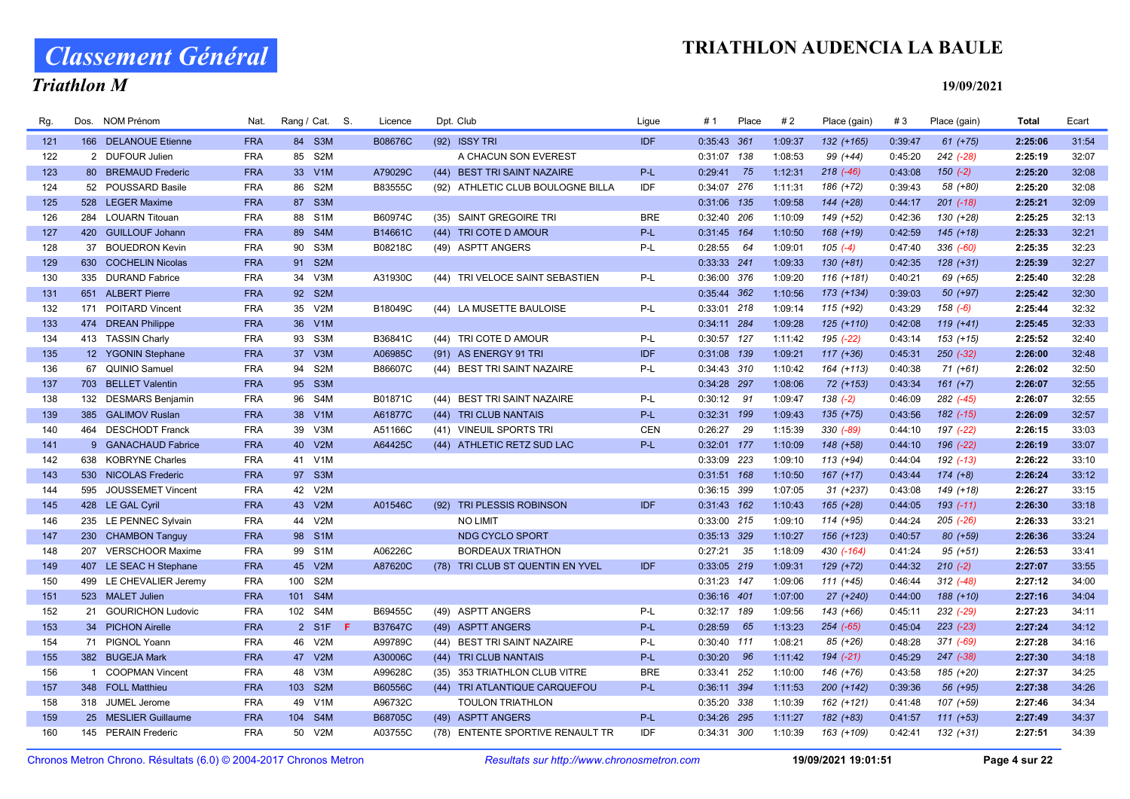# Classement Général

### Triathlon M

| Rg. |     | Dos. NOM Prénom         | Nat.       | Rang / Cat. S. |    | Licence        |      | Dpt. Club                         | Ligue      | #1            | Place | #2      | Place (gain)  | #3      | Place (gain)    | <b>Total</b> | Ecart |
|-----|-----|-------------------------|------------|----------------|----|----------------|------|-----------------------------------|------------|---------------|-------|---------|---------------|---------|-----------------|--------------|-------|
| 121 |     | 166 DELANOUE Etienne    | <b>FRA</b> | 84 S3M         |    | B08676C        |      | (92) ISSY TRI                     | <b>IDF</b> | 0:35:43 361   |       | 1:09:37 | $132 (+165)$  | 0:39:47 | $61 (+75)$      | 2:25:06      | 31:54 |
| 122 |     | 2 DUFOUR Julien         | <b>FRA</b> | 85 S2M         |    |                |      | A CHACUN SON EVEREST              |            | 0:31:07 138   |       | 1:08:53 | 99 (+44)      | 0:45:20 | 242 (-28)       | 2:25:19      | 32:07 |
| 123 |     | 80 BREMAUD Frederic     | <b>FRA</b> | 33 V1M         |    | A79029C        |      | (44) BEST TRI SAINT NAZAIRE       | P-L        | 0:29:41 75    |       | 1:12:31 | $218$ $(-46)$ | 0:43:08 | $150(-2)$       | 2:25:20      | 32:08 |
| 124 |     | 52 POUSSARD Basile      | <b>FRA</b> | 86 S2M         |    | B83555C        |      | (92) ATHLETIC CLUB BOULOGNE BILLA | IDF        | 0:34:07 276   |       | 1:11:31 | 186 (+72)     | 0:39:43 | 58 (+80)        | 2:25:20      | 32:08 |
| 125 |     | 528 LEGER Maxime        | <b>FRA</b> | 87 S3M         |    |                |      |                                   |            | 0:31:06 135   |       | 1:09:58 | 144 (+28)     | 0:44:17 | $201$ $(-18)$   | 2:25:21      | 32:09 |
| 126 |     | 284 LOUARN Titouan      | <b>FRA</b> | 88 S1M         |    | B60974C        |      | (35) SAINT GREGOIRE TRI           | <b>BRE</b> | 0:32:40 206   |       | 1:10:09 | 149 (+52)     | 0:42:36 | 130 (+28)       | 2:25:25      | 32:13 |
| 127 |     | 420 GUILLOUF Johann     | <b>FRA</b> | 89 S4M         |    | B14661C        |      | (44) TRI COTE D AMOUR             | $P-L$      | 0:31:45 164   |       | 1:10:50 | 168 (+19)     | 0:42:59 | $145 (+18)$     | 2:25:33      | 32:21 |
| 128 |     | 37 BOUEDRON Kevin       | <b>FRA</b> | 90 S3M         |    | B08218C        |      | (49) ASPTT ANGERS                 | P-L        | 0:28:55       | 64    | 1:09:01 | $105(-4)$     | 0:47:40 | $336 (-60)$     | 2:25:35      | 32:23 |
| 129 |     | 630 COCHELIN Nicolas    | <b>FRA</b> | 91 S2M         |    |                |      |                                   |            | 0:33:33 241   |       | 1:09:33 | $130 (+81)$   | 0:42:35 | $128 (+31)$     | 2:25:39      | 32:27 |
| 130 |     | 335 DURAND Fabrice      | <b>FRA</b> | 34 V3M         |    | A31930C        |      | (44) TRI VELOCE SAINT SEBASTIEN   | P-L        | 0:36:00 376   |       | 1:09:20 | $116 (+181)$  | 0:40:21 | 69 (+65)        | 2:25:40      | 32:28 |
| 131 |     | 651 ALBERT Pierre       | <b>FRA</b> | 92 S2M         |    |                |      |                                   |            | 0:35:44 362   |       | 1:10:56 | $173 (+134)$  | 0:39:03 | $50(+97)$       | 2:25:42      | 32:30 |
| 132 |     | 171 POITARD Vincent     | <b>FRA</b> | 35 V2M         |    | B18049C        |      | (44) LA MUSETTE BAULOISE          | P-L        | 0:33:01 218   |       | 1:09:14 | 115 (+92)     | 0:43:29 | $158(-6)$       | 2:25:44      | 32:32 |
| 133 |     | 474 DREAN Philippe      | <b>FRA</b> | 36 V1M         |    |                |      |                                   |            | 0:34:11 284   |       | 1:09:28 | 125 (+110)    | 0:42:08 | $119 (+41)$     | 2:25:45      | 32:33 |
| 134 |     | 413 TASSIN Charly       | <b>FRA</b> | 93 S3M         |    | B36841C        |      | (44) TRI COTE D AMOUR             | P-L        | 0:30:57 127   |       | 1:11:42 | 195 (-22)     | 0:43:14 | $153 (+15)$     | 2:25:52      | 32:40 |
| 135 |     | 12 YGONIN Stephane      | <b>FRA</b> | 37 V3M         |    | A06985C        |      | (91) AS ENERGY 91 TRI             | <b>IDF</b> | 0:31:08 139   |       | 1:09:21 | $117 (+36)$   | 0:45:31 | $250 (-32)$     | 2:26:00      | 32:48 |
| 136 |     | 67 QUINIO Samuel        | <b>FRA</b> | 94 S2M         |    | B86607C        |      | (44) BEST TRI SAINT NAZAIRE       | P-L        | 0:34:43 310   |       | 1:10:42 | 164 (+113)    | 0:40:38 | $71 (+61)$      | 2:26:02      | 32:50 |
| 137 |     | 703 BELLET Valentin     | <b>FRA</b> | 95 S3M         |    |                |      |                                   |            | 0:34:28 297   |       | 1:08:06 | 72 (+153)     | 0:43:34 | $161 (+7)$      | 2:26:07      | 32:55 |
| 138 |     | 132 DESMARS Benjamin    | <b>FRA</b> | 96 S4M         |    | B01871C        |      | (44) BEST TRI SAINT NAZAIRE       | P-L        | $0:30:12$ 91  |       | 1:09:47 | $138(-2)$     | 0:46:09 | 282 (-45)       | 2:26:07      | 32:55 |
| 139 |     | 385 GALIMOV Ruslan      | <b>FRA</b> | 38 V1M         |    | A61877C        |      | (44) TRI CLUB NANTAIS             | $P-L$      | 0:32:31 199   |       | 1:09:43 | 135 (+75)     | 0:43:56 | $182$ ( $-15$ ) | 2:26:09      | 32:57 |
| 140 |     | 464 DESCHODT Franck     | <b>FRA</b> | 39 V3M         |    | A51166C        |      | (41) VINEUIL SPORTS TRI           | <b>CEN</b> | 0:26:27       | 29    | 1:15:39 | 330 (-89)     | 0:44:10 | 197 (-22)       | 2:26:15      | 33:03 |
| 141 |     | 9 GANACHAUD Fabrice     | <b>FRA</b> | 40 V2M         |    | A64425C        |      | (44) ATHLETIC RETZ SUD LAC        | P-L        | 0:32:01 177   |       | 1:10:09 | 148 (+58)     | 0:44:10 | 196 (-22)       | 2:26:19      | 33:07 |
| 142 |     | 638 KOBRYNE Charles     | <b>FRA</b> | 41 V1M         |    |                |      |                                   |            | 0:33:09 223   |       | 1:09:10 | $113 (+94)$   | 0:44:04 | 192 (-13)       | 2:26:22      | 33:10 |
| 143 |     | 530 NICOLAS Frederic    | <b>FRA</b> | 97 S3M         |    |                |      |                                   |            | $0:31:51$ 168 |       | 1:10:50 | $167 (+17)$   | 0:43:44 | $174 (+8)$      | 2:26:24      | 33:12 |
| 144 | 595 | JOUSSEMET Vincent       | <b>FRA</b> | 42 V2M         |    |                |      |                                   |            | 0:36:15 399   |       | 1:07:05 | $31 (+237)$   | 0:43:08 | 149 (+18)       | 2:26:27      | 33:15 |
| 145 |     | 428 LE GAL Cyril        | <b>FRA</b> | 43 V2M         |    | A01546C        | (92) | <b>TRI PLESSIS ROBINSON</b>       | <b>IDF</b> | 0:31:43 162   |       | 1:10:43 | 165 (+28)     | 0:44:05 | $193$ $(-11)$   | 2:26:30      | 33:18 |
| 146 |     | 235 LE PENNEC Sylvain   | <b>FRA</b> | 44 V2M         |    |                |      | <b>NO LIMIT</b>                   |            | 0:33:00 215   |       | 1:09:10 | 114 (+95)     | 0:44:24 | $205$ $(-26)$   | 2:26:33      | 33:21 |
| 147 |     | 230 CHAMBON Tanguy      | <b>FRA</b> | 98 S1M         |    |                |      | <b>NDG CYCLO SPORT</b>            |            | 0:35:13 329   |       | 1:10:27 | 156 (+123)    | 0:40:57 | $80 (+59)$      | 2:26:36      | 33:24 |
| 148 |     | 207 VERSCHOOR Maxime    | <b>FRA</b> | 99 S1M         |    | A06226C        |      | <b>BORDEAUX TRIATHON</b>          |            | 0:27:21       | 35    | 1:18:09 | 430 (-164)    | 0:41:24 | $95 (+51)$      | 2:26:53      | 33:41 |
| 149 |     | 407 LE SEAC H Stephane  | <b>FRA</b> | 45 V2M         |    | A87620C        |      | (78) TRI CLUB ST QUENTIN EN YVEL  | <b>IDF</b> | 0:33:05 219   |       | 1:09:31 | 129 (+72)     | 0:44:32 | $210(-2)$       | 2:27:07      | 33:55 |
| 150 |     | 499 LE CHEVALIER Jeremy | <b>FRA</b> | 100 S2M        |    |                |      |                                   |            | 0:31:23 147   |       | 1:09:06 | $111 (+45)$   | 0:46:44 | $312$ (-48)     | 2:27:12      | 34:00 |
| 151 |     | 523 MALET Julien        | <b>FRA</b> | 101 S4M        |    |                |      |                                   |            | 0:36:16 401   |       | 1:07:00 | 27 (+240)     | 0:44:00 | 188 (+10)       | 2:27:16      | 34:04 |
| 152 |     | 21 GOURICHON Ludovic    | <b>FRA</b> | 102 S4M        |    | B69455C        |      | (49) ASPTT ANGERS                 | P-L        | 0:32:17 189   |       | 1:09:56 | 143 (+66)     | 0:45:11 | $232$ $(-29)$   | 2:27:23      | 34:11 |
| 153 |     | 34 PICHON Airelle       | <b>FRA</b> | 2 S1F          | -F | <b>B37647C</b> |      | (49) ASPTT ANGERS                 | P-L        | 0:28:59       | 65    | 1:13:23 | $254$ $(-65)$ | 0:45:04 | $223$ $(-23)$   | 2:27:24      | 34:12 |
| 154 |     | 71 PIGNOL Yoann         | <b>FRA</b> | 46 V2M         |    | A99789C        |      | (44) BEST TRI SAINT NAZAIRE       | P-L        | 0:30:40 111   |       | 1:08:21 | 85 (+26)      | 0:48:28 | $371 (-69)$     | 2:27:28      | 34:16 |
| 155 |     | 382 BUGEJA Mark         | <b>FRA</b> | 47 V2M         |    | A30006C        |      | (44) TRI CLUB NANTAIS             | P-L        | 0:30:20       | 96    | 1:11:42 | $194 (-21)$   | 0:45:29 | 247 (-38)       | 2:27:30      | 34:18 |
| 156 |     | 1 COOPMAN Vincent       | <b>FRA</b> | 48 V3M         |    | A99628C        |      | (35) 353 TRIATHLON CLUB VITRE     | <b>BRE</b> | 0:33:41 252   |       | 1:10:00 | 146 (+76)     | 0:43:58 | 185 (+20)       | 2:27:37      | 34:25 |
| 157 |     | 348 FOLL Matthieu       | <b>FRA</b> | 103 S2M        |    | B60556C        |      | (44) TRI ATLANTIQUE CARQUEFOU     | $P-L$      | 0:36:11 394   |       | 1:11:53 | $200 (+142)$  | 0:39:36 | 56 (+95)        | 2:27:38      | 34:26 |
| 158 |     | 318 JUMEL Jerome        | <b>FRA</b> | 49 V1M         |    | A96732C        |      | <b>TOULON TRIATHLON</b>           |            | 0:35:20 338   |       | 1:10:39 | 162 (+121)    | 0:41:48 | 107 (+59)       | 2:27:46      | 34:34 |
| 159 |     | 25 MESLIER Guillaume    | <b>FRA</b> | 104 S4M        |    | B68705C        |      | (49) ASPTT ANGERS                 | P-L        | 0:34:26 295   |       | 1:11:27 | 182 (+83)     | 0:41:57 | $111 (+53)$     | 2:27:49      | 34:37 |
| 160 |     | 145 PERAIN Frederic     | <b>FRA</b> | 50 V2M         |    | A03755C        |      | (78) ENTENTE SPORTIVE RENAULT TR  | IDF        | 0:34:31 300   |       | 1:10:39 | 163 (+109)    | 0:42:41 | 132 (+31)       | 2:27:51      | 34:39 |
|     |     |                         |            |                |    |                |      |                                   |            |               |       |         |               |         |                 |              |       |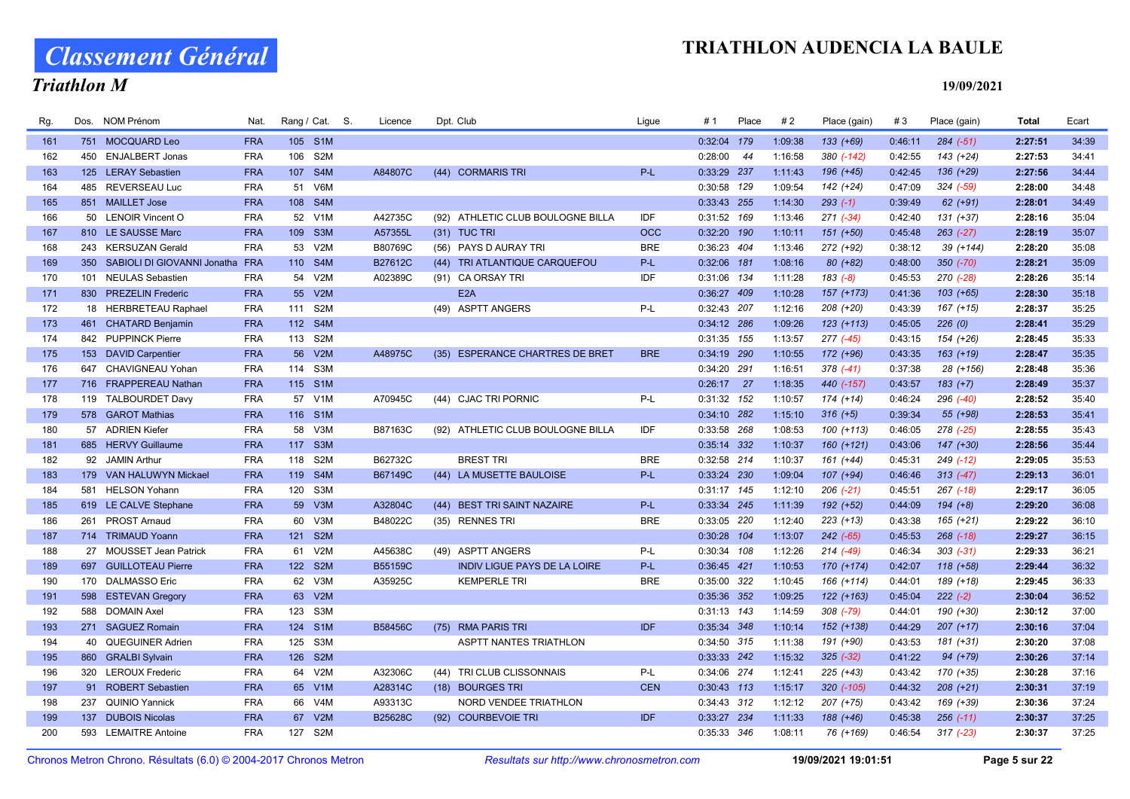# Classement Général

### Triathlon M

| Rg. | Dos. | <b>NOM Prénom</b>                   | Nat.       |         | Rang / Cat. S. | Licence | Dpt. Club                         | Ligue      | # 1           | Place | #2      | Place (gain)  | #3      | Place (gain)  | <b>Total</b> | Ecart |
|-----|------|-------------------------------------|------------|---------|----------------|---------|-----------------------------------|------------|---------------|-------|---------|---------------|---------|---------------|--------------|-------|
| 161 |      | 751 MOCQUARD Leo                    | <b>FRA</b> | 105 S1M |                |         |                                   |            | 0:32:04 179   |       | 1:09:38 | $133 (+69)$   | 0:46:11 | $284 (-51)$   | 2:27:51      | 34:39 |
| 162 |      | 450 ENJALBERT Jonas                 | <b>FRA</b> | 106 S2M |                |         |                                   |            | $0:28:00$ 44  |       | 1:16:58 | 380 (-142)    | 0:42:55 | 143 (+24)     | 2:27:53      | 34:41 |
| 163 |      | 125 LERAY Sebastien                 | <b>FRA</b> | 107     | S4M            | A84807C | (44) CORMARIS TRI                 | P-L        | 0:33:29 237   |       | 1:11:43 | $196 (+45)$   | 0:42:45 | 136 (+29)     | 2:27:56      | 34:44 |
| 164 |      | 485 REVERSEAU Luc                   | <b>FRA</b> | 51 V6M  |                |         |                                   |            | 0:30:58 129   |       | 1:09:54 | $142 (+24)$   | 0:47:09 | $324 (-59)$   | 2:28:00      | 34:48 |
| 165 |      | 851 MAILLET Jose                    | <b>FRA</b> | 108 S4M |                |         |                                   |            | 0:33:43 255   |       | 1:14:30 | $293(-1)$     | 0:39:49 | $62 (+91)$    | 2:28:01      | 34:49 |
| 166 |      | 50 LENOIR Vincent O                 | <b>FRA</b> | 52 V1M  |                | A42735C | (92) ATHLETIC CLUB BOULOGNE BILLA | IDF        | 0:31:52 169   |       | 1:13:46 | $271 (-34)$   | 0:42:40 | 131 (+37)     | 2:28:16      | 35:04 |
| 167 |      | 810 LE SAUSSE Marc                  | <b>FRA</b> | 109 S3M |                | A57355L | (31) TUC TRI                      | <b>OCC</b> | $0:32:20$ 190 |       | 1:10:11 | 151 (+50)     | 0:45:48 | $263$ (-27)   | 2:28:19      | 35:07 |
| 168 |      | 243 KERSUZAN Gerald                 | <b>FRA</b> | 53      | V2M            | B80769C | (56) PAYS D AURAY TRI             | <b>BRE</b> | 0:36:23 404   |       | 1:13:46 | 272 (+92)     | 0:38:12 | 39 (+144)     | 2:28:20      | 35:08 |
| 169 |      | 350 SABIOLI DI GIOVANNI Jonatha FRA |            | 110 S4M |                | B27612C | (44) TRI ATLANTIQUE CARQUEFOU     | P-L        | 0:32:06 181   |       | 1:08:16 | $80 (+82)$    | 0:48:00 | $350 (-70)$   | 2:28:21      | 35:09 |
| 170 |      | 101 NEULAS Sebastien                | <b>FRA</b> | 54 V2M  |                | A02389C | (91) CA ORSAY TRI                 | IDF        | 0:31:06 134   |       | 1:11:28 | $183(-8)$     | 0:45:53 | 270 (-28)     | 2:28:26      | 35:14 |
| 171 |      | 830 PREZELIN Frederic               | <b>FRA</b> | 55 V2M  |                |         | E <sub>2</sub> A                  |            | 0:36:27 409   |       | 1:10:28 | 157 (+173)    | 0:41:36 | $103 (+65)$   | 2:28:30      | 35:18 |
| 172 |      | 18 HERBRETEAU Raphael               | <b>FRA</b> | 111 S2M |                |         | (49) ASPTT ANGERS                 | P-L        | 0:32:43 207   |       | 1:12:16 | 208 (+20)     | 0:43:39 | 167 (+15)     | 2:28:37      | 35:25 |
| 173 |      | 461 CHATARD Benjamin                | <b>FRA</b> | 112 S4M |                |         |                                   |            | 0:34:12 286   |       | 1:09:26 | $123 (+113)$  | 0:45:05 | 226(0)        | 2:28:41      | 35:29 |
| 174 |      | 842 PUPPINCK Pierre                 | <b>FRA</b> | 113 S2M |                |         |                                   |            | 0:31:35 155   |       | 1:13:57 | 277 (-45)     | 0:43:15 | 154 (+26)     | 2:28:45      | 35:33 |
| 175 |      | 153 DAVID Carpentier                | <b>FRA</b> | 56 V2M  |                | A48975C | (35) ESPERANCE CHARTRES DE BRET   | <b>BRE</b> | $0:34:19$ 290 |       | 1:10:55 | 172 (+96)     | 0:43:35 | $163 (+19)$   | 2:28:47      | 35:35 |
| 176 |      | 647 CHAVIGNEAU Yohan                | <b>FRA</b> | 114 S3M |                |         |                                   |            | 0:34:20 291   |       | 1:16:51 | $378$ $(-41)$ | 0:37:38 | 28 (+156)     | 2:28:48      | 35:36 |
| 177 |      | 716 FRAPPEREAU Nathan               | <b>FRA</b> | 115 S1M |                |         |                                   |            | $0:26:17$ 27  |       | 1:18:35 | 440 (-157)    | 0:43:57 | $183 (+7)$    | 2:28:49      | 35:37 |
| 178 |      | 119 TALBOURDET Davy                 | <b>FRA</b> | 57      | V1M            | A70945C | (44) CJAC TRI PORNIC              | $P-L$      | $0:31:32$ 152 |       | 1:10:57 | 174 (+14)     | 0:46:24 | 296 (-40)     | 2:28:52      | 35:40 |
| 179 |      | 578 GAROT Mathias                   | <b>FRA</b> | 116 S1M |                |         |                                   |            | 0:34:10 282   |       | 1:15:10 | $316 (+5)$    | 0:39:34 | 55 (+98)      | 2:28:53      | 35:41 |
| 180 |      | 57 ADRIEN Kiefer                    | <b>FRA</b> | 58 V3M  |                | B87163C | (92) ATHLETIC CLUB BOULOGNE BILLA | IDF        | 0:33:58 268   |       | 1:08:53 | 100 (+113)    | 0:46:05 | 278 (-25)     | 2:28:55      | 35:43 |
| 181 |      | 685 HERVY Guillaume                 | <b>FRA</b> | 117 S3M |                |         |                                   |            | 0:35:14 332   |       | 1:10:37 | $160 (+121)$  | 0:43:06 | 147 (+30)     | 2:28:56      | 35:44 |
| 182 |      | 92 JAMIN Arthur                     | <b>FRA</b> | 118 S2M |                | B62732C | <b>BREST TRI</b>                  | <b>BRE</b> | 0:32:58 214   |       | 1:10:37 | 161 (+44)     | 0:45:31 | 249 (-12)     | 2:29:05      | 35:53 |
| 183 |      | 179 VAN HALUWYN Mickael             | <b>FRA</b> | 119 S4M |                | B67149C | (44) LA MUSETTE BAULOISE          | $P-L$      | 0:33:24 230   |       | 1:09:04 | $107 (+94)$   | 0:46:46 | $313(-47)$    | 2:29:13      | 36:01 |
| 184 | 581  | <b>HELSON Yohann</b>                | <b>FRA</b> | 120     | S3M            |         |                                   |            | $0:31:17$ 145 |       | 1:12:10 | $206$ $(-21)$ | 0:45:51 | 267 (-18)     | 2:29:17      | 36:05 |
| 185 |      | 619 LE CALVE Stephane               | <b>FRA</b> | 59 V3M  |                | A32804C | (44) BEST TRI SAINT NAZAIRE       | $P-L$      | 0:33:34 245   |       | 1:11:39 | $192 (+52)$   | 0:44:09 | $194 (+8)$    | 2:29:20      | 36:08 |
| 186 |      | 261 PROST Arnaud                    | <b>FRA</b> | 60      | V3M            | B48022C | (35) RENNES TRI                   | <b>BRE</b> | 0:33:05 220   |       | 1:12:40 | $223 (+13)$   | 0:43:38 | 165 (+21)     | 2:29:22      | 36:10 |
| 187 |      | 714 TRIMAUD Yoann                   | <b>FRA</b> | 121 S2M |                |         |                                   |            | 0:30:28 104   |       | 1:13:07 | $242$ (-65)   | 0:45:53 | $268$ $(-18)$ | 2:29:27      | 36:15 |
| 188 |      | 27 MOUSSET Jean Patrick             | <b>FRA</b> | 61      | V2M            | A45638C | (49) ASPTT ANGERS                 | $P-L$      | 0:30:34 108   |       | 1:12:26 | $214( -49)$   | 0:46:34 | $303$ $(-31)$ | 2:29:33      | 36:21 |
| 189 |      | 697 GUILLOTEAU Pierre               | <b>FRA</b> | 122 S2M |                | B55159C | INDIV LIGUE PAYS DE LA LOIRE      | P-L        | 0:36:45 421   |       | 1:10:53 | 170 (+174)    | 0:42:07 | 118 (+58)     | 2:29:44      | 36:32 |
| 190 |      | 170 DALMASSO Eric                   | <b>FRA</b> | 62 V3M  |                | A35925C | <b>KEMPERLE TRI</b>               | <b>BRE</b> | 0:35:00 322   |       | 1:10:45 | 166 (+114)    | 0:44:01 | 189 (+18)     | 2:29:45      | 36:33 |
| 191 | 598  | <b>ESTEVAN Gregory</b>              | <b>FRA</b> | 63 V2M  |                |         |                                   |            | 0:35:36 352   |       | 1:09:25 | $122 (+163)$  | 0:45:04 | $222 (-2)$    | 2:30:04      | 36:52 |
| 192 |      | 588 DOMAIN Axel                     | <b>FRA</b> | 123 S3M |                |         |                                   |            | $0:31:13$ 143 |       | 1:14:59 | $308$ $(-79)$ | 0:44:01 | 190 (+30)     | 2:30:12      | 37:00 |
| 193 |      | 271 SAGUEZ Romain                   | <b>FRA</b> | 124 S1M |                | B58456C | (75) RMA PARIS TRI                | <b>IDF</b> | 0:35:34 348   |       | 1:10:14 | 152 (+138)    | 0:44:29 | $207 (+17)$   | 2:30:16      | 37:04 |
| 194 |      | 40 QUEGUINER Adrien                 | <b>FRA</b> | 125     | S3M            |         | <b>ASPTT NANTES TRIATHLON</b>     |            | 0:34:50 315   |       | 1:11:38 | 191 (+90)     | 0:43:53 | 181 (+31)     | 2:30:20      | 37:08 |
| 195 |      | 860 GRALBI Sylvain                  | <b>FRA</b> | 126 S2M |                |         |                                   |            | 0:33:33 242   |       | 1:15:32 | $325 (-32)$   | 0:41:22 | 94 (+79)      | 2:30:26      | 37:14 |
| 196 |      | 320 LEROUX Frederic                 | <b>FRA</b> | 64 V2M  |                | A32306C | (44) TRI CLUB CLISSONNAIS         | P-L        | 0:34:06 274   |       | 1:12:41 | $225 (+43)$   | 0:43:42 | 170 (+35)     | 2:30:28      | 37:16 |
| 197 |      | 91 ROBERT Sebastien                 | <b>FRA</b> | 65 V1M  |                | A28314C | (18) BOURGES TRI                  | <b>CEN</b> | $0:30:43$ 113 |       | 1:15:17 | 320 (-105)    | 0:44:32 | $208 (+21)$   | 2:30:31      | 37:19 |
| 198 |      | 237 QUINIO Yannick                  | <b>FRA</b> | 66 V4M  |                | A93313C | NORD VENDEE TRIATHLON             |            | 0:34:43 312   |       | 1:12:12 | $207 (+75)$   | 0:43:42 | 169 (+39)     | 2:30:36      | 37:24 |
| 199 | 137  | <b>DUBOIS Nicolas</b>               | <b>FRA</b> | 67 V2M  |                | B25628C | (92) COURBEVOIE TRI               | <b>IDF</b> | 0:33:27 234   |       | 1:11:33 | 188 (+46)     | 0:45:38 | $256$ $(-11)$ | 2:30:37      | 37:25 |
| 200 | 593  | <b>LEMAITRE Antoine</b>             | <b>FRA</b> | 127 S2M |                |         |                                   |            | 0:35:33 346   |       | 1:08:11 | 76 (+169)     | 0:46:54 | $317$ $(-23)$ | 2:30:37      | 37:25 |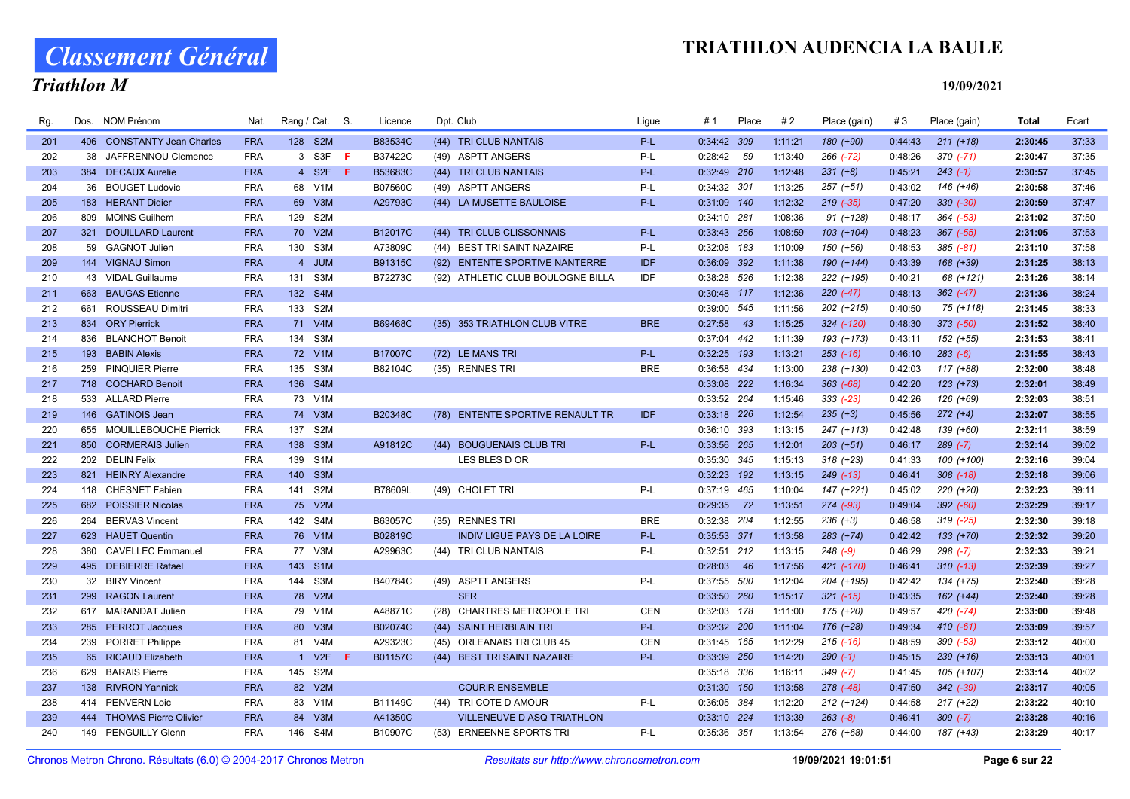# Classement Général

## Triathlon M

#### 19/09/2021

| Rg. |     | Dos. NOM Prénom            | Nat.       | Rang / Cat. S. |                  |     | Licence        | Dpt. Club                           | Ligue      | # 1          | Place | #2      | Place (gain)  | #3      | Place (gain)  | Total   | Ecart |
|-----|-----|----------------------------|------------|----------------|------------------|-----|----------------|-------------------------------------|------------|--------------|-------|---------|---------------|---------|---------------|---------|-------|
| 201 |     | 406 CONSTANTY Jean Charles | <b>FRA</b> | 128 S2M        |                  |     | B83534C        | (44) TRI CLUB NANTAIS               | P-L        | 0:34:42 309  |       | 1:11:21 | 180 (+90)     | 0:44:43 | $211 (+18)$   | 2:30:45 | 37:33 |
| 202 |     | 38 JAFFRENNOU Clemence     | <b>FRA</b> |                | 3 S3F            | F.  | B37422C        | (49) ASPTT ANGERS                   | P-L        | $0:28:42$ 59 |       | 1:13:40 | 266 (-72)     | 0:48:26 | $370$ $(-71)$ | 2:30:47 | 37:35 |
| 203 |     | 384 DECAUX Aurelie         | <b>FRA</b> |                | 4 S2F            | - F | B53683C        | (44) TRI CLUB NANTAIS               | P-L        | 0:32:49 210  |       | 1:12:48 | $231 (+8)$    | 0:45:21 | $243(-1)$     | 2:30:57 | 37:45 |
| 204 | 36  | <b>BOUGET Ludovic</b>      | <b>FRA</b> | 68 V1M         |                  |     | B07560C        | (49) ASPTT ANGERS                   | P-L        | 0:34:32 301  |       | 1:13:25 | $257 (+51)$   | 0:43:02 | 146 (+46)     | 2:30:58 | 37:46 |
| 205 |     | 183 HERANT Didier          | <b>FRA</b> | 69 V3M         |                  |     | A29793C        | (44) LA MUSETTE BAULOISE            | $P-L$      | 0:31:09 140  |       | 1:12:32 | $219$ $(-35)$ | 0:47:20 | $330 (-30)$   | 2:30:59 | 37:47 |
| 206 |     | 809 MOINS Guilhem          | <b>FRA</b> | 129 S2M        |                  |     |                |                                     |            | 0:34:10 281  |       | 1:08:36 | $91 (+128)$   | 0:48:17 | $364$ $(-53)$ | 2:31:02 | 37:50 |
| 207 |     | 321 DOUILLARD Laurent      | <b>FRA</b> | 70 V2M         |                  |     | B12017C        | (44) TRI CLUB CLISSONNAIS           | $P-L$      | 0:33:43 256  |       | 1:08:59 | $103 (+104)$  | 0:48:23 | $367$ $(-55)$ | 2:31:05 | 37:53 |
| 208 |     | 59 GAGNOT Julien           | <b>FRA</b> | 130 S3M        |                  |     | A73809C        | (44) BEST TRI SAINT NAZAIRE         | P-L        | 0:32:08 183  |       | 1:10:09 | 150 (+56)     | 0:48:53 | $385$ $(-81)$ | 2:31:10 | 37:58 |
| 209 |     | 144 VIGNAU Simon           | <b>FRA</b> |                | 4 JUM            |     | B91315C        | (92) ENTENTE SPORTIVE NANTERRE      | <b>IDF</b> | 0:36:09 392  |       | 1:11:38 | 190 (+144)    | 0:43:39 | 168 (+39)     | 2:31:25 | 38:13 |
| 210 |     | 43 VIDAL Guillaume         | <b>FRA</b> | 131 S3M        |                  |     | B72273C        | (92) ATHLETIC CLUB BOULOGNE BILLA   | IDF        | 0:38:28 526  |       | 1:12:38 | 222 (+195)    | 0:40:21 | 68 (+121)     | 2:31:26 | 38:14 |
| 211 |     | 663 BAUGAS Etienne         | <b>FRA</b> | 132 S4M        |                  |     |                |                                     |            | 0:30:48 117  |       | 1:12:36 | $220(-47)$    | 0:48:13 | $362$ $(-47)$ | 2:31:36 | 38:24 |
| 212 |     | 661 ROUSSEAU Dimitri       | <b>FRA</b> | 133 S2M        |                  |     |                |                                     |            | 0:39:00 545  |       | 1:11:56 | 202 (+215)    | 0:40:50 | 75 (+118)     | 2:31:45 | 38:33 |
| 213 |     | 834 ORY Pierrick           | <b>FRA</b> | 71 V4M         |                  |     | B69468C        | (35) 353 TRIATHLON CLUB VITRE       | <b>BRE</b> | 0:27:58      | 43    | 1:15:25 | 324 (-120)    | 0:48:30 | $373$ $(-50)$ | 2:31:52 | 38:40 |
| 214 |     | 836 BLANCHOT Benoit        | <b>FRA</b> | 134 S3M        |                  |     |                |                                     |            | 0:37:04 442  |       | 1:11:39 | 193 (+173)    | 0:43:11 | 152 (+55)     | 2:31:53 | 38:41 |
| 215 |     | 193 BABIN Alexis           | <b>FRA</b> | 72 V1M         |                  |     | <b>B17007C</b> | (72) LE MANS TRI                    | P-L        | 0:32:25 193  |       | 1:13:21 | $253$ $(-16)$ | 0:46:10 | $283 (-6)$    | 2:31:55 | 38:43 |
| 216 |     | 259 PINQUIER Pierre        | <b>FRA</b> | 135 S3M        |                  |     | B82104C        | (35) RENNES TRI                     | <b>BRE</b> | 0:36:58 434  |       | 1:13:00 | 238 (+130)    | 0:42:03 | 117 (+88)     | 2:32:00 | 38:48 |
| 217 |     | 718 COCHARD Benoit         | <b>FRA</b> | 136 S4M        |                  |     |                |                                     |            | 0:33:08 222  |       | 1:16:34 | 363 (-68)     | 0:42:20 | $123 (+73)$   | 2:32:01 | 38:49 |
| 218 |     | 533 ALLARD Pierre          | <b>FRA</b> | 73 V1M         |                  |     |                |                                     |            | 0:33:52 264  |       | 1:15:46 | $333(-23)$    | 0:42:26 | 126 (+69)     | 2:32:03 | 38:51 |
| 219 |     | 146 GATINOIS Jean          | <b>FRA</b> | 74 V3M         |                  |     | <b>B20348C</b> | (78) ENTENTE SPORTIVE RENAULT TR    | <b>IDF</b> | 0:33:18 226  |       | 1:12:54 | $235 (+3)$    | 0:45:56 | $272 (+4)$    | 2:32:07 | 38:55 |
| 220 |     | 655 MOUILLEBOUCHE Pierrick | <b>FRA</b> | 137 S2M        |                  |     |                |                                     |            | 0:36:10 393  |       | 1:13:15 | 247 (+113)    | 0:42:48 | 139 (+60)     | 2:32:11 | 38:59 |
| 221 |     | 850 CORMERAIS Julien       | <b>FRA</b> | 138 S3M        |                  |     | A91812C        | (44) BOUGUENAIS CLUB TRI            | $P-L$      | 0:33:56 265  |       | 1:12:01 | $203 (+51)$   | 0:46:17 | $289 (-7)$    | 2:32:14 | 39:02 |
| 222 |     | 202 DELIN Felix            | <b>FRA</b> | 139            | S <sub>1</sub> M |     |                | LES BLES D OR                       |            | 0:35:30 345  |       | 1:15:13 | $318 (+23)$   | 0:41:33 | 100 (+100)    | 2:32:16 | 39:04 |
| 223 |     | 821 HEINRY Alexandre       | <b>FRA</b> | 140            | S <sub>3</sub> M |     |                |                                     |            | 0:32:23 192  |       | 1:13:15 | $249$ (-13)   | 0:46:41 | $308$ $(-18)$ | 2:32:18 | 39:06 |
| 224 |     | 118 CHESNET Fabien         | <b>FRA</b> | 141 S2M        |                  |     | B78609L        | (49) CHOLET TRI                     | P-L        | 0:37:19 465  |       | 1:10:04 | 147 (+221)    | 0:45:02 | 220 (+20)     | 2:32:23 | 39:11 |
| 225 |     | 682 POISSIER Nicolas       | <b>FRA</b> | 75 V2M         |                  |     |                |                                     |            | 0:29:35 72   |       | 1:13:51 | 274 (-93)     | 0:49:04 | 392 (-60)     | 2:32:29 | 39:17 |
| 226 | 264 | <b>BERVAS Vincent</b>      | <b>FRA</b> | 142 S4M        |                  |     | B63057C        | (35) RENNES TRI                     | <b>BRE</b> | 0:32:38 204  |       | 1:12:55 | $236 (+3)$    | 0:46:58 | $319$ $(-25)$ | 2:32:30 | 39:18 |
| 227 |     | 623 HAUET Quentin          | <b>FRA</b> | 76 V1M         |                  |     | B02819C        | <b>INDIV LIGUE PAYS DE LA LOIRE</b> | P-L        | 0:35:53 371  |       | 1:13:58 | $283 (+74)$   | 0:42:42 | $133 (+70)$   | 2:32:32 | 39:20 |
| 228 | 380 | <b>CAVELLEC Emmanuel</b>   | <b>FRA</b> | 77 V3M         |                  |     | A29963C        | (44) TRI CLUB NANTAIS               | P-L        | 0:32:51 212  |       | 1:13:15 | $248$ $(-9)$  | 0:46:29 | $298 (-7)$    | 2:32:33 | 39:21 |
| 229 |     | 495 DEBIERRE Rafael        | <b>FRA</b> | 143 S1M        |                  |     |                |                                     |            | 0:28:03      | 46    | 1:17:56 | 421 (-170)    | 0:46:41 | $310(-13)$    | 2:32:39 | 39:27 |
| 230 |     | 32 BIRY Vincent            | <b>FRA</b> | 144 S3M        |                  |     | B40784C        | (49) ASPTT ANGERS                   | P-L        | 0:37:55 500  |       | 1:12:04 | 204 (+195)    | 0:42:42 | 134 (+75)     | 2:32:40 | 39:28 |
| 231 |     | 299 RAGON Laurent          | <b>FRA</b> | 78 V2M         |                  |     |                | <b>SFR</b>                          |            | 0:33:50 260  |       | 1:15:17 | $321$ (-15)   | 0:43:35 | $162 (+44)$   | 2:32:40 | 39:28 |
| 232 |     | 617 MARANDAT Julien        | <b>FRA</b> | 79 V1M         |                  |     | A48871C        | (28) CHARTRES METROPOLE TRI         | <b>CEN</b> | 0:32:03 178  |       | 1:11:00 | 175 (+20)     | 0:49:57 | 420 (-74)     | 2:33:00 | 39:48 |
| 233 |     | 285 PERROT Jacques         | <b>FRA</b> | 80 V3M         |                  |     | B02074C        | (44) SAINT HERBLAIN TRI             | P-L        | 0:32:32 200  |       | 1:11:04 | 176 (+28)     | 0:49:34 | $410(-61)$    | 2:33:09 | 39:57 |
| 234 |     | 239 PORRET Philippe        | <b>FRA</b> | 81 V4M         |                  |     | A29323C        | (45) ORLEANAIS TRI CLUB 45          | <b>CEN</b> | 0:31:45 165  |       | 1:12:29 | $215$ (-16)   | 0:48:59 | 390 (-53)     | 2:33:12 | 40:00 |
| 235 |     | 65 RICAUD Elizabeth        | <b>FRA</b> |                | 1 V2F            | F   | B01157C        | (44) BEST TRI SAINT NAZAIRE         | P-L        | 0:33:39 250  |       | 1:14:20 | $290(-1)$     | 0:45:15 | $239 (+16)$   | 2:33:13 | 40:01 |
| 236 |     | 629 BARAIS Pierre          | <b>FRA</b> | 145 S2M        |                  |     |                |                                     |            | 0:35:18 336  |       | 1:16:11 | $349(-7)$     | 0:41:45 | 105 (+107)    | 2:33:14 | 40:02 |
| 237 |     | 138 RIVRON Yannick         | <b>FRA</b> | 82 V2M         |                  |     |                | <b>COURIR ENSEMBLE</b>              |            | 0:31:30 150  |       | 1:13:58 | 278 (-48)     | 0:47:50 | $342$ $(-39)$ | 2:33:17 | 40:05 |
| 238 |     | 414 PENVERN Loic           | <b>FRA</b> | 83 V1M         |                  |     | B11149C        | (44) TRI COTE D AMOUR               | P-L        | 0:36:05 384  |       | 1:12:20 | $212 (+124)$  | 0:44:58 | $217 (+22)$   | 2:33:22 | 40:10 |
| 239 |     | 444 THOMAS Pierre Olivier  | <b>FRA</b> | 84 V3M         |                  |     | A41350C        | <b>VILLENEUVE D ASQ TRIATHLON</b>   |            | 0:33:10 224  |       | 1:13:39 | $263 (-8)$    | 0:46:41 | $309 (-7)$    | 2:33:28 | 40:16 |
| 240 |     | 149 PENGUILLY Glenn        | <b>FRA</b> | 146 S4M        |                  |     | B10907C        | (53) ERNEENNE SPORTS TRI            | $P-L$      | 0:35:36 351  |       | 1:13:54 | 276 (+68)     | 0:44:00 | 187 (+43)     | 2:33:29 | 40:17 |

Chronos Metron Chrono. Résultats (6.0) © 2004-2017 Chronos Metron Resultats sur http://www.chronosmetron.com 19/09/2021 19:01:51 Page 6 sur 22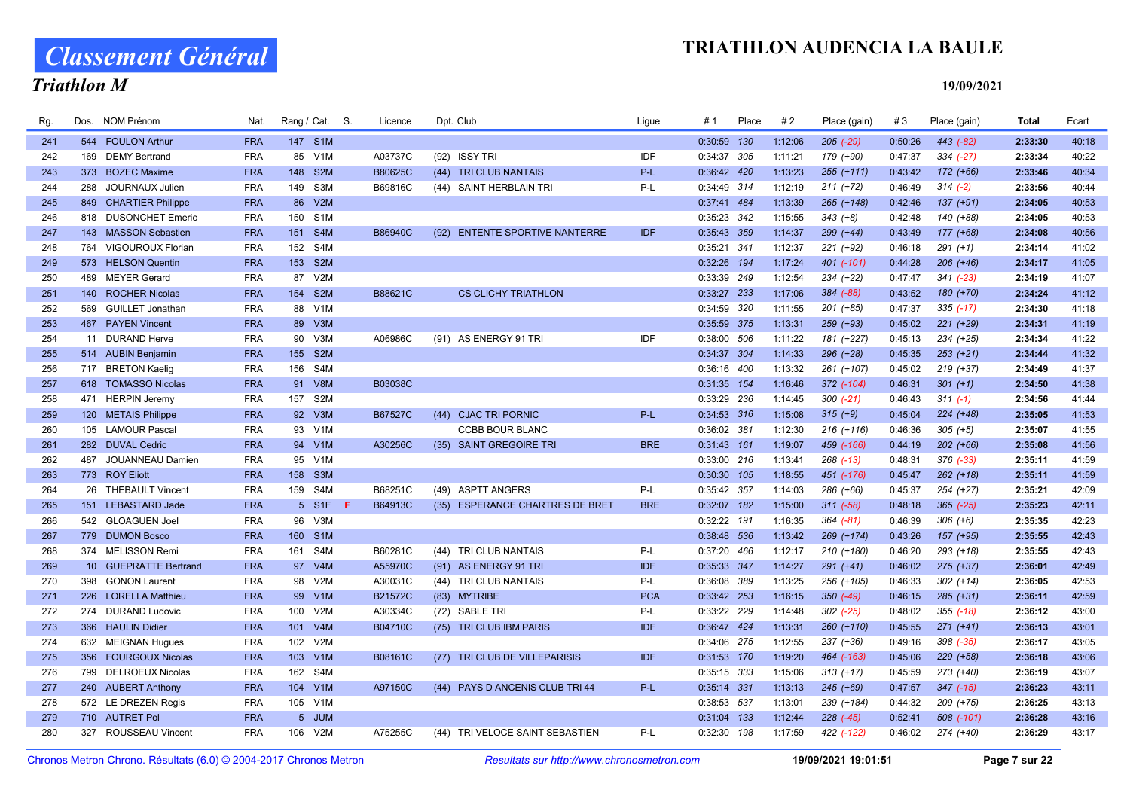# Classement Général

## Triathlon M

| Rg. | Dos. | <b>NOM Prénom</b>       | Nat.       |         | Rang / Cat. S.   | Licence        | Dpt. Club     |                                 | Ligue      | #1            | Place | #2      | Place (gain)  | #3      | Place (gain)  | Total   | Ecart |
|-----|------|-------------------------|------------|---------|------------------|----------------|---------------|---------------------------------|------------|---------------|-------|---------|---------------|---------|---------------|---------|-------|
| 241 |      | 544 FOULON Arthur       | <b>FRA</b> | 147 S1M |                  |                |               |                                 |            | 0:30:59 130   |       | 1:12:06 | $205$ $(-29)$ | 0:50:26 | 443 (-82)     | 2:33:30 | 40:18 |
| 242 |      | 169 DEMY Bertrand       | <b>FRA</b> |         | 85 V1M           | A03737C        | (92) ISSY TRI |                                 | IDF        | 0:34:37 305   |       | 1:11:21 | 179 (+90)     | 0:47:37 | $334 (-27)$   | 2:33:34 | 40:22 |
| 243 | 373  | <b>BOZEC Maxime</b>     | <b>FRA</b> | 148     | S <sub>2M</sub>  | B80625C        |               | (44) TRI CLUB NANTAIS           | P-L        | 0:36:42 420   |       | 1:13:23 | $255 (+111)$  | 0:43:42 | $172 (+66)$   | 2:33:46 | 40:34 |
| 244 | 288  | JOURNAUX Julien         | <b>FRA</b> | 149 S3M |                  | B69816C        |               | (44) SAINT HERBLAIN TRI         | P-L        | 0:34:49 314   |       | 1:12:19 | $211 (+72)$   | 0:46:49 | $314 (-2)$    | 2:33:56 | 40:44 |
| 245 |      | 849 CHARTIER Philippe   | <b>FRA</b> | 86      | V2M              |                |               |                                 |            | 0:37:41 484   |       | 1:13:39 | 265 (+148)    | 0:42:46 | $137 (+91)$   | 2:34:05 | 40:53 |
| 246 |      | 818 DUSONCHET Emeric    | <b>FRA</b> | 150 S1M |                  |                |               |                                 |            | 0:35:23 342   |       | 1:15:55 | $343 (+8)$    | 0:42:48 | 140 (+88)     | 2:34:05 | 40:53 |
| 247 |      | 143 MASSON Sebastien    | <b>FRA</b> | 151     | S4M              | B86940C        |               | (92) ENTENTE SPORTIVE NANTERRE  | <b>IDF</b> | 0:35:43 359   |       | 1:14:37 | 299 (+44)     | 0:43:49 | 177 (+68)     | 2:34:08 | 40:56 |
| 248 |      | 764 VIGOUROUX Florian   | <b>FRA</b> | 152     | S4M              |                |               |                                 |            | 0:35:21 341   |       | 1:12:37 | 221 (+92)     | 0:46:18 | $291 (+1)$    | 2:34:14 | 41:02 |
| 249 |      | 573 HELSON Quentin      | <b>FRA</b> | 153 S2M |                  |                |               |                                 |            | 0:32:26 194   |       | 1:17:24 | 401 (-101)    | 0:44:28 | $206 (+46)$   | 2:34:17 | 41:05 |
| 250 |      | 489 MEYER Gerard        | <b>FRA</b> |         | 87 V2M           |                |               |                                 |            | 0:33:39 249   |       | 1:12:54 | 234 (+22)     | 0:47:47 | $341 (-23)$   | 2:34:19 | 41:07 |
| 251 |      | 140 ROCHER Nicolas      | <b>FRA</b> | 154 S2M |                  | B88621C        |               | <b>CS CLICHY TRIATHLON</b>      |            | $0:33:27$ 233 |       | 1:17:06 | 384 (-88)     | 0:43:52 | 180 (+70)     | 2:34:24 | 41:12 |
| 252 | 569  | <b>GUILLET Jonathan</b> | <b>FRA</b> |         | 88 V1M           |                |               |                                 |            | 0:34:59 320   |       | 1:11:55 | $201 (+85)$   | 0:47:37 | $335$ $(-17)$ | 2:34:30 | 41:18 |
| 253 |      | 467 PAYEN Vincent       | <b>FRA</b> |         | 89 V3M           |                |               |                                 |            | 0:35:59 375   |       | 1:13:31 | 259 (+93)     | 0:45:02 | $221 (+29)$   | 2:34:31 | 41:19 |
| 254 |      | 11 DURAND Herve         | <b>FRA</b> |         | 90 V3M           | A06986C        |               | (91) AS ENERGY 91 TRI           | <b>IDF</b> | 0:38:00 506   |       | 1:11:22 | 181 (+227)    | 0:45:13 | 234 (+25)     | 2:34:34 | 41:22 |
| 255 |      | 514 AUBIN Benjamin      | <b>FRA</b> | 155 S2M |                  |                |               |                                 |            | 0:34:37 304   |       | 1:14:33 | 296 (+28)     | 0:45:35 | $253 (+21)$   | 2:34:44 | 41:32 |
| 256 |      | 717 BRETON Kaelig       | <b>FRA</b> | 156 S4M |                  |                |               |                                 |            | 0:36:16 400   |       | 1:13:32 | 261 (+107)    | 0:45:02 | $219 (+37)$   | 2:34:49 | 41:37 |
| 257 |      | 618 TOMASSO Nicolas     | <b>FRA</b> | 91      | V8M              | <b>B03038C</b> |               |                                 |            | 0:31:35 154   |       | 1:16:46 | 372 (-104)    | 0:46:31 | $301 (+1)$    | 2:34:50 | 41:38 |
| 258 |      | 471 HERPIN Jeremy       | <b>FRA</b> | 157 S2M |                  |                |               |                                 |            | 0:33:29 236   |       | 1:14:45 | $300(-21)$    | 0:46:43 | $311(-1)$     | 2:34:56 | 41:44 |
| 259 |      | 120 METAIS Philippe     | <b>FRA</b> |         | 92 V3M           | B67527C        |               | (44) CJAC TRI PORNIC            | $P-L$      | 0:34:53 316   |       | 1:15:08 | $315 (+9)$    | 0:45:04 | $224 (+48)$   | 2:35:05 | 41:53 |
| 260 |      | 105 LAMOUR Pascal       | <b>FRA</b> |         | 93 V1M           |                |               | <b>CCBB BOUR BLANC</b>          |            | 0:36:02 381   |       | 1:12:30 | $216 (+116)$  | 0:46:36 | $305 (+5)$    | 2:35:07 | 41:55 |
| 261 |      | 282 DUVAL Cedric        | <b>FRA</b> |         | 94 V1M           | A30256C        |               | (35) SAINT GREGOIRE TRI         | <b>BRE</b> | $0:31:43$ 161 |       | 1:19:07 | 459 (-166)    | 0:44:19 | $202 (+66)$   | 2:35:08 | 41:56 |
| 262 |      | 487 JOUANNEAU Damien    | <b>FRA</b> | 95      | V1M              |                |               |                                 |            | 0:33:00 216   |       | 1:13:41 | $268$ $(-13)$ | 0:48:31 | $376$ $(-33)$ | 2:35:11 | 41:59 |
| 263 |      | 773 ROY Eliott          | <b>FRA</b> | 158 S3M |                  |                |               |                                 |            | 0:30:30 105   |       | 1:18:55 | 451 (-176)    | 0:45:47 | $262 (+18)$   | 2:35:11 | 41:59 |
| 264 |      | 26 THEBAULT Vincent     | <b>FRA</b> | 159 S4M |                  | B68251C        |               | (49) ASPTT ANGERS               | P-L        | 0:35:42 357   |       | 1:14:03 | 286 (+66)     | 0:45:37 | 254 (+27)     | 2:35:21 | 42:09 |
| 265 |      | 151 LEBASTARD Jade      | <b>FRA</b> |         | - F<br>5 S1F     | B64913C        |               | (35) ESPERANCE CHARTRES DE BRET | <b>BRE</b> | 0:32:07 182   |       | 1:15:00 | $311 (-58)$   | 0:48:18 | $365$ $(-25)$ | 2:35:23 | 42:11 |
| 266 |      | 542 GLOAGUEN Joel       | <b>FRA</b> | 96      | V3M              |                |               |                                 |            | $0:32:22$ 191 |       | 1:16:35 | $364 (-81)$   | 0:46:39 | $306 (+6)$    | 2:35:35 | 42:23 |
| 267 |      | 779 DUMON Bosco         | <b>FRA</b> | 160 S1M |                  |                |               |                                 |            | 0:38:48 536   |       | 1:13:42 | 269 (+174)    | 0:43:26 | 157 (+95)     | 2:35:55 | 42:43 |
| 268 |      | 374 MELISSON Remi       | <b>FRA</b> | 161 S4M |                  | B60281C        |               | (44) TRI CLUB NANTAIS           | P-L        | 0:37:20 466   |       | 1:12:17 | 210 (+180)    | 0:46:20 | 293 (+18)     | 2:35:55 | 42:43 |
| 269 |      | 10 GUEPRATTE Bertrand   | <b>FRA</b> |         | 97 V4M           | A55970C        |               | (91) AS ENERGY 91 TRI           | <b>IDF</b> | 0:35:33 347   |       | 1:14:27 | $291 (+41)$   | 0:46:02 | $275 (+37)$   | 2:36:01 | 42:49 |
| 270 |      | 398 GONON Laurent       | <b>FRA</b> |         | 98 V2M           | A30031C        |               | (44) TRI CLUB NANTAIS           | P-L        | 0:36:08 389   |       | 1:13:25 | 256 (+105)    | 0:46:33 | $302 (+14)$   | 2:36:05 | 42:53 |
| 271 |      | 226 LORELLA Matthieu    | <b>FRA</b> |         | 99 V1M           | B21572C        | (83) MYTRIBE  |                                 | <b>PCA</b> | 0:33:42 253   |       | 1:16:15 | $350(-49)$    | 0:46:15 | $285 (+31)$   | 2:36:11 | 42:59 |
| 272 | 274  | <b>DURAND Ludovic</b>   | <b>FRA</b> | 100     | V <sub>2</sub> M | A30334C        |               | (72) SABLE TRI                  | $P-L$      | 0:33:22 229   |       | 1:14:48 | $302$ $(-25)$ | 0:48:02 | $355$ $(-18)$ | 2:36:12 | 43:00 |
| 273 |      | 366 HAULIN Didier       | <b>FRA</b> | 101 V4M |                  | B04710C        |               | (75) TRI CLUB IBM PARIS         | <b>IDF</b> | 0:36:47 424   |       | 1:13:31 | 260 (+110)    | 0:45:55 | $271 (+41)$   | 2:36:13 | 43:01 |
| 274 |      | 632 MEIGNAN Hugues      | <b>FRA</b> | 102     | V2M              |                |               |                                 |            | 0:34:06 275   |       | 1:12:55 | 237 (+36)     | 0:49:16 | $398$ $(-35)$ | 2:36:17 | 43:05 |
| 275 |      | 356 FOURGOUX Nicolas    | <b>FRA</b> | 103 V1M |                  | B08161C        |               | (77) TRI CLUB DE VILLEPARISIS   | IDF        | 0:31:53 170   |       | 1:19:20 | 464 (-163)    | 0:45:06 | $229 (+58)$   | 2:36:18 | 43:06 |
| 276 | 799  | <b>DELROEUX Nicolas</b> | <b>FRA</b> | 162     | S4M              |                |               |                                 |            | 0:35:15 333   |       | 1:15:06 | $313 (+17)$   | 0:45:59 | 273 (+40)     | 2:36:19 | 43:07 |
| 277 |      | 240 AUBERT Anthony      | <b>FRA</b> | 104 V1M |                  | A97150C        |               | (44) PAYS D ANCENIS CLUB TRI 44 | $P-L$      | 0:35:14 331   |       | 1:13:13 | $245 (+69)$   | 0:47:57 | $347$ $(-15)$ | 2:36:23 | 43:11 |
| 278 |      | 572 LE DREZEN Regis     | <b>FRA</b> | 105 V1M |                  |                |               |                                 |            | 0:38:53 537   |       | 1:13:01 | 239 (+184)    | 0:44:32 | 209 (+75)     | 2:36:25 | 43:13 |
| 279 |      | 710 AUTRET Pol          | <b>FRA</b> |         | 5 JUM            |                |               |                                 |            | 0:31:04 133   |       | 1:12:44 | $228$ (-45)   | 0:52:41 | 508 (-101)    | 2:36:28 | 43:16 |
| 280 |      | 327 ROUSSEAU Vincent    | <b>FRA</b> | 106 V2M |                  | A75255C        |               | (44) TRI VELOCE SAINT SEBASTIEN | P-L        | $0:32:30$ 198 |       | 1:17:59 | 422 (-122)    | 0:46:02 | 274 (+40)     | 2:36:29 | 43:17 |
|     |      |                         |            |         |                  |                |               |                                 |            |               |       |         |               |         |               |         |       |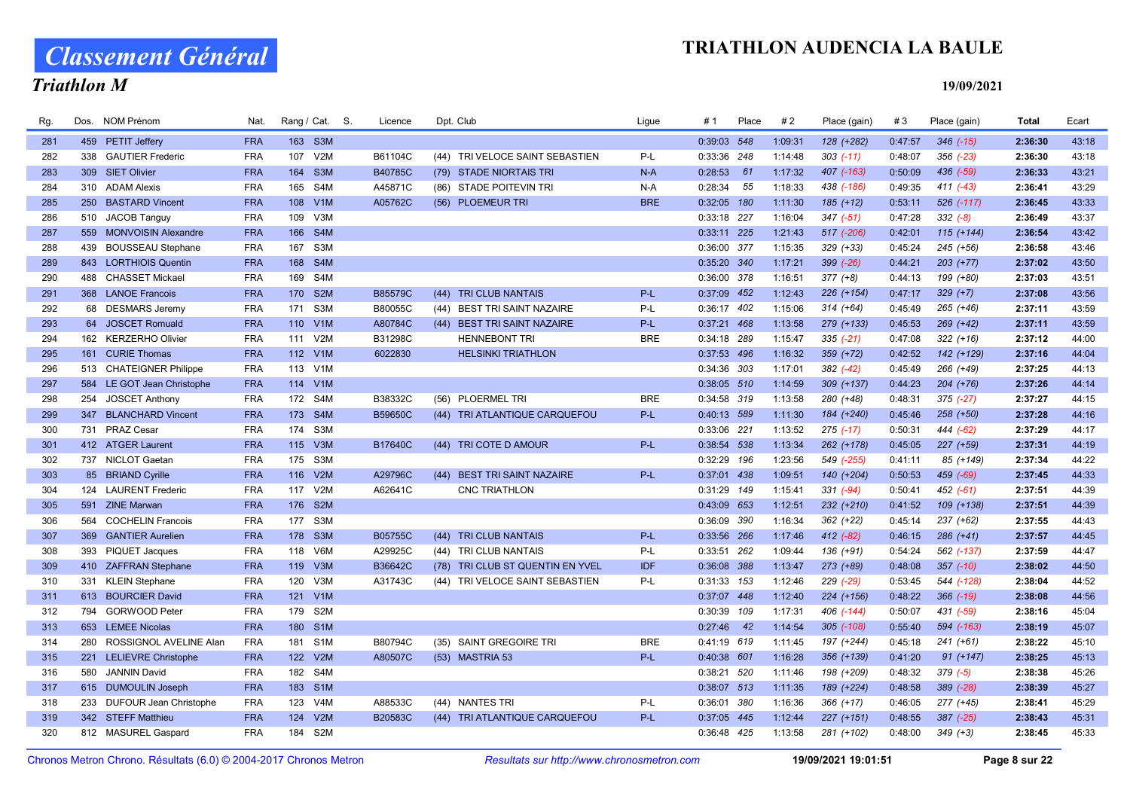# Classement Général

## Triathlon M

| Rg. | Dos. | <b>NOM Prénom</b>          | Nat.       | Rang / Cat. S. |                  | Licence |      | Dpt. Club                       | Ligue      | # 1           | Place | #2      | Place (gain)  | #3      | Place (gain)  | <b>Total</b> | Ecart |
|-----|------|----------------------------|------------|----------------|------------------|---------|------|---------------------------------|------------|---------------|-------|---------|---------------|---------|---------------|--------------|-------|
| 281 |      | 459 PETIT Jeffery          | <b>FRA</b> | 163 S3M        |                  |         |      |                                 |            | 0:39:03 548   |       | 1:09:31 | 128 (+282)    | 0:47:57 | $346$ $(-15)$ | 2:36:30      | 43:18 |
| 282 | 338  | <b>GAUTIER Frederic</b>    | <b>FRA</b> | 107            | V2M              | B61104C |      | (44) TRI VELOCE SAINT SEBASTIEN | P-L        | 0:33:36 248   |       | 1:14:48 | $303$ (-11)   | 0:48:07 | $356$ $(-23)$ | 2:36:30      | 43:18 |
| 283 |      | 309 SIET Olivier           | <b>FRA</b> | 164            | S <sub>3</sub> M | B40785C |      | (79) STADE NIORTAIS TRI         | $N-A$      | 0:28:53       | 61    | 1:17:32 | 407 (-163)    | 0:50:09 | $436$ $(-59)$ | 2:36:33      | 43:21 |
| 284 |      | 310 ADAM Alexis            | <b>FRA</b> | 165            | S4M              | A45871C |      | (86) STADE POITEVIN TRI         | N-A        | 0:28:34       | 55    | 1:18:33 | 438 (-186)    | 0:49:35 | $411 (-43)$   | 2:36:41      | 43:29 |
| 285 | 250  | <b>BASTARD Vincent</b>     | <b>FRA</b> | 108 V1M        |                  | A05762C |      | (56) PLOEMEUR TRI               | <b>BRE</b> | $0:32:05$ 180 |       | 1:11:30 | 185 (+12)     | 0:53:11 | 526 (-117)    | 2:36:45      | 43:33 |
| 286 |      | 510 JACOB Tanguy           | <b>FRA</b> | 109            | V3M              |         |      |                                 |            | 0:33:18 227   |       | 1:16:04 | $347$ $(-51)$ | 0:47:28 | $332 (-8)$    | 2:36:49      | 43:37 |
| 287 |      | 559 MONVOISIN Alexandre    | <b>FRA</b> | 166 S4M        |                  |         |      |                                 |            | 0:33:11 225   |       | 1:21:43 | 517 (-206)    | 0:42:01 | $115 (+144)$  | 2:36:54      | 43:42 |
| 288 | 439  | <b>BOUSSEAU Stephane</b>   | <b>FRA</b> | 167            | S3M              |         |      |                                 |            | 0:36:00 377   |       | 1:15:35 | $329 (+33)$   | 0:45:24 | $245 (+56)$   | 2:36:58      | 43:46 |
| 289 |      | 843 LORTHIOIS Quentin      | <b>FRA</b> | 168 S4M        |                  |         |      |                                 |            | 0:35:20 340   |       | 1:17:21 | 399 (-26)     | 0:44:21 | $203 (+77)$   | 2:37:02      | 43:50 |
| 290 |      | 488 CHASSET Mickael        | <b>FRA</b> | 169            | S4M              |         |      |                                 |            | 0:36:00 378   |       | 1:16:51 | $377 (+8)$    | 0:44:13 | 199 (+80)     | 2:37:03      | 43:51 |
| 291 |      | 368 LANOE Francois         | <b>FRA</b> | 170 S2M        |                  | B85579C | (44) | <b>TRI CLUB NANTAIS</b>         | P-L        | 0:37:09 452   |       | 1:12:43 | 226 (+154)    | 0:47:17 | $329 (+7)$    | 2:37:08      | 43:56 |
| 292 |      | 68 DESMARS Jeremy          | <b>FRA</b> | 171 S3M        |                  | B80055C |      | (44) BEST TRI SAINT NAZAIRE     | P-L        | 0:36:17 402   |       | 1:15:06 | $314 (+64)$   | 0:45:49 | 265 (+46)     | 2:37:11      | 43:59 |
| 293 |      | 64 JOSCET Romuald          | <b>FRA</b> | 110 V1M        |                  | A80784C | (44) | <b>BEST TRI SAINT NAZAIRE</b>   | $P-L$      | 0:37:21 468   |       | 1:13:58 | 279 (+133)    | 0:45:53 | 269 (+42)     | 2:37:11      | 43:59 |
| 294 |      | 162 KERZERHO Olivier       | <b>FRA</b> | 111            | V2M              | B31298C |      | <b>HENNEBONT TRI</b>            | <b>BRE</b> | 0:34:18 289   |       | 1:15:47 | $335(-21)$    | 0:47:08 | $322 (+16)$   | 2:37:12      | 44:00 |
| 295 |      | 161 CURIE Thomas           | <b>FRA</b> | 112 V1M        |                  | 6022830 |      | <b>HELSINKI TRIATHLON</b>       |            | 0:37:53 496   |       | 1:16:32 | $359 (+72)$   | 0:42:52 | 142 (+129)    | 2:37:16      | 44:04 |
| 296 |      | 513 CHATEIGNER Philippe    | <b>FRA</b> | 113 V1M        |                  |         |      |                                 |            | 0:34:36 303   |       | 1:17:01 | 382 (-42)     | 0:45:49 | 266 (+49)     | 2:37:25      | 44:13 |
| 297 |      | 584 LE GOT Jean Christophe | <b>FRA</b> | 114 V1M        |                  |         |      |                                 |            | 0:38:05 510   |       | 1:14:59 | $309 (+137)$  | 0:44:23 | $204 (+76)$   | 2:37:26      | 44:14 |
| 298 | 254  | <b>JOSCET Anthony</b>      | <b>FRA</b> | 172 S4M        |                  | B38332C |      | (56) PLOERMEL TRI               | <b>BRE</b> | 0:34:58 319   |       | 1:13:58 | 280 (+48)     | 0:48:31 | $375$ $(-27)$ | 2:37:27      | 44:15 |
| 299 | 347  | <b>BLANCHARD Vincent</b>   | <b>FRA</b> | 173            | S4M              | B59650C |      | (44) TRI ATLANTIQUE CARQUEFOU   | P-L        | 0:40:13 589   |       | 1:11:30 | 184 (+240)    | 0:45:46 | 258 (+50)     | 2:37:28      | 44:16 |
| 300 |      | 731 PRAZ Cesar             | <b>FRA</b> | 174            | S3M              |         |      |                                 |            | 0:33:06 221   |       | 1:13:52 | $275$ $(-17)$ | 0:50:31 | $444 (-62)$   | 2:37:29      | 44:17 |
| 301 |      | 412 ATGER Laurent          | <b>FRA</b> | 115 V3M        |                  | B17640C |      | (44) TRI COTE D AMOUR           | P-L        | 0:38:54 538   |       | 1:13:34 | 262 (+178)    | 0:45:05 | 227 (+59)     | 2:37:31      | 44:19 |
| 302 |      | 737 NICLOT Gaetan          | <b>FRA</b> | 175 S3M        |                  |         |      |                                 |            | 0:32:29 196   |       | 1:23:56 | 549 (-255)    | 0:41:11 | 85 (+149)     | 2:37:34      | 44:22 |
| 303 |      | 85 BRIAND Cyrille          | <b>FRA</b> | 116 V2M        |                  | A29796C | (44) | <b>BEST TRI SAINT NAZAIRE</b>   | P-L        | 0:37:01 438   |       | 1:09:51 | 140 (+204)    | 0:50:53 | 459 (-69)     | 2:37:45      | 44:33 |
| 304 |      | 124 LAURENT Frederic       | <b>FRA</b> | 117            | V2M              | A62641C |      | <b>CNC TRIATHLON</b>            |            | 0:31:29 149   |       | 1:15:41 | $331 (-94)$   | 0:50:41 | $452 (-61)$   | 2:37:51      | 44:39 |
| 305 |      | 591 ZINE Marwan            | <b>FRA</b> | 176 S2M        |                  |         |      |                                 |            | 0:43:09 653   |       | 1:12:51 | 232 (+210)    | 0:41:52 | 109 (+138)    | 2:37:51      | 44:39 |
| 306 |      | 564 COCHELIN Francois      | <b>FRA</b> | 177 S3M        |                  |         |      |                                 |            | 0:36:09 390   |       | 1:16:34 | 362 (+22)     | 0:45:14 | 237 (+62)     | 2:37:55      | 44:43 |
| 307 | 369  | <b>GANTIER Aurelien</b>    | <b>FRA</b> | 178 S3M        |                  | B05755C | (44) | <b>TRI CLUB NANTAIS</b>         | $P-L$      | 0:33:56 266   |       | 1:17:46 | 412 (-82)     | 0:46:15 | $286 (+41)$   | 2:37:57      | 44:45 |
| 308 |      | 393 PIQUET Jacques         | <b>FRA</b> | 118            | V6M              | A29925C |      | (44) TRI CLUB NANTAIS           | P-L        | 0:33:51 262   |       | 1:09:44 | 136 (+91)     | 0:54:24 | 562 (-137)    | 2:37:59      | 44:47 |
| 309 |      | 410 ZAFFRAN Stephane       | <b>FRA</b> | 119            | V3M              | B36642C | (78) | TRI CLUB ST QUENTIN EN YVEL     | <b>IDF</b> | 0:36:08 388   |       | 1:13:47 | 273 (+89)     | 0:48:08 | $357$ $(-10)$ | 2:38:02      | 44:50 |
| 310 |      | 331 KLEIN Stephane         | <b>FRA</b> | 120            | V3M              | A31743C |      | (44) TRI VELOCE SAINT SEBASTIEN | P-L        | 0:31:33 153   |       | 1:12:46 | 229 (-29)     | 0:53:45 | 544 (-128)    | 2:38:04      | 44:52 |
| 311 |      | 613 BOURCIER David         | <b>FRA</b> | 121 V1M        |                  |         |      |                                 |            | 0:37:07 448   |       | 1:12:40 | 224 (+156)    | 0:48:22 | $366$ $(-19)$ | 2:38:08      | 44:56 |
| 312 |      | 794 GORWOOD Peter          | <b>FRA</b> | 179 S2M        |                  |         |      |                                 |            | 0:30:39       | 109   | 1:17:31 | 406 (-144)    | 0:50:07 | 431 (-59)     | 2:38:16      | 45:04 |
| 313 |      | 653 LEMEE Nicolas          | <b>FRA</b> | 180 S1M        |                  |         |      |                                 |            | 0:27:46       | 42    | 1:14:54 | 305 (-108)    | 0:55:40 | 594 (-163)    | 2:38:19      | 45:07 |
| 314 |      | 280 ROSSIGNOL AVELINE Alan | <b>FRA</b> | 181            | S <sub>1</sub> M | B80794C |      | (35) SAINT GREGOIRE TRI         | <b>BRE</b> | 0:41:19 619   |       | 1:11:45 | 197 (+244)    | 0:45:18 | $241 (+61)$   | 2:38:22      | 45:10 |
| 315 |      | 221 LELIEVRE Christophe    | <b>FRA</b> | 122            | V2M              | A80507C |      | (53) MASTRIA 53                 | $P-L$      | 0:40:38 601   |       | 1:16:28 | 356 (+139)    | 0:41:20 | $91 (+147)$   | 2:38:25      | 45:13 |
| 316 | 580  | <b>JANNIN David</b>        | <b>FRA</b> | 182            | S4M              |         |      |                                 |            | 0:38:21 520   |       | 1:11:46 | 198 (+209)    | 0:48:32 | $379 (-5)$    | 2:38:38      | 45:26 |
| 317 |      | 615 DUMOULIN Joseph        | <b>FRA</b> | 183 S1M        |                  |         |      |                                 |            | 0:38:07 513   |       | 1:11:35 | 189 (+224)    | 0:48:58 | $389$ $(-28)$ | 2:38:39      | 45:27 |
| 318 |      | 233 DUFOUR Jean Christophe | <b>FRA</b> | 123 V4M        |                  | A88533C |      | (44) NANTES TRI                 | P-L        | 0:36:01 380   |       | 1:16:36 | $366 (+17)$   | 0:46:05 | 277 (+45)     | 2:38:41      | 45:29 |
| 319 |      | 342 STEFF Matthieu         | <b>FRA</b> | 124            | V2M              | B20583C |      | (44) TRI ATLANTIQUE CARQUEFOU   | $P-L$      | 0:37:05 445   |       | 1:12:44 | $227 (+151)$  | 0:48:55 | 387 (-25)     | 2:38:43      | 45:31 |
| 320 |      | 812 MASUREL Gaspard        | <b>FRA</b> | 184            | S2M              |         |      |                                 |            | 0:36:48 425   |       | 1:13:58 | 281 (+102)    | 0:48:00 | $349 (+3)$    | 2:38:45      | 45:33 |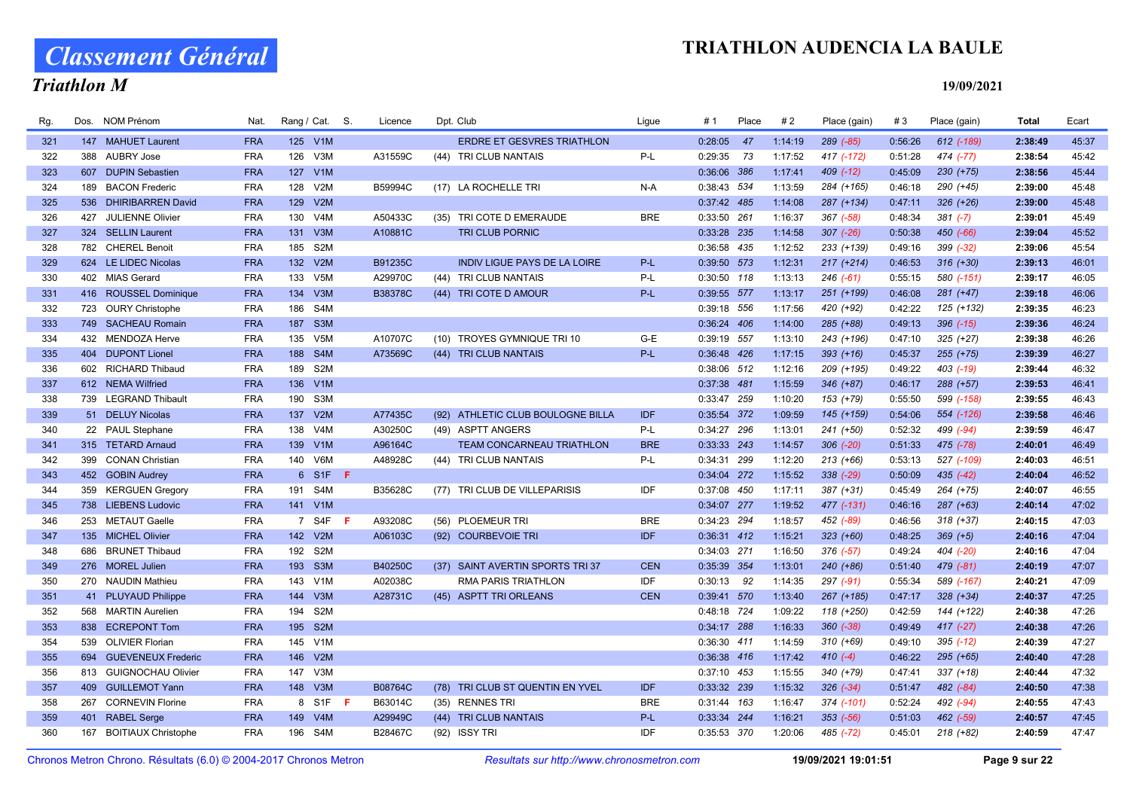# Classement Général

## Triathlon M

| Rg. | Dos. | NOM Prénom              | Nat.       |     | Rang / Cat. S.   |    | Licence        | Dpt. Club                           | Lique      | #1            | Place | #2      | Place (gain)  | #3      | Place (gain)  | Total   | Ecart |
|-----|------|-------------------------|------------|-----|------------------|----|----------------|-------------------------------------|------------|---------------|-------|---------|---------------|---------|---------------|---------|-------|
| 321 |      | 147 MAHUET Laurent      | <b>FRA</b> |     | 125 V1M          |    |                | <b>ERDRE ET GESVRES TRIATHLON</b>   |            | 0:28:05       | 47    | 1:14:19 | 289 (-85)     | 0:56:26 | 612 (-189)    | 2:38:49 | 45:37 |
| 322 |      | 388 AUBRY Jose          | <b>FRA</b> | 126 | V3M              |    | A31559C        | (44) TRI CLUB NANTAIS               | P-L        | 0:29:35       | 73    | 1:17:52 | 417 (-172)    | 0:51:28 | 474 (-77)     | 2:38:54 | 45:42 |
| 323 |      | 607 DUPIN Sebastien     | <b>FRA</b> |     | 127 V1M          |    |                |                                     |            | 0:36:06 386   |       | 1:17:41 | $409$ $(-12)$ | 0:45:09 | $230 (+75)$   | 2:38:56 | 45:44 |
| 324 |      | 189 BACON Frederic      | <b>FRA</b> | 128 | V2M              |    | B59994C        | (17) LA ROCHELLE TRI                | $N-A$      | 0:38:43 534   |       | 1:13:59 | 284 (+165)    | 0:46:18 | 290 (+45)     | 2:39:00 | 45:48 |
| 325 |      | 536 DHIRIBARREN David   | <b>FRA</b> | 129 | V2M              |    |                |                                     |            | 0:37:42 485   |       | 1:14:08 | 287 (+134)    | 0:47:11 | $326 (+26)$   | 2:39:00 | 45:48 |
| 326 |      | 427 JULIENNE Olivier    | <b>FRA</b> | 130 | V <sub>4</sub> M |    | A50433C        | (35) TRI COTE D EMERAUDE            | <b>BRE</b> | 0:33:50 261   |       | 1:16:37 | $367$ $(-58)$ | 0:48:34 | $381 (-7)$    | 2:39:01 | 45:49 |
| 327 |      | 324 SELLIN Laurent      | <b>FRA</b> | 131 | V3M              |    | A10881C        | <b>TRI CLUB PORNIC</b>              |            | 0:33:28 235   |       | 1:14:58 | $307$ $(-26)$ | 0:50:38 | 450 (-66)     | 2:39:04 | 45:52 |
| 328 |      | 782 CHEREL Benoit       | <b>FRA</b> | 185 | S <sub>2M</sub>  |    |                |                                     |            | 0:36:58 435   |       | 1:12:52 | 233 (+139)    | 0:49:16 | 399 (-32)     | 2:39:06 | 45:54 |
| 329 |      | 624 LE LIDEC Nicolas    | <b>FRA</b> |     | 132 V2M          |    | B91235C        | <b>INDIV LIGUE PAYS DE LA LOIRE</b> | $P-L$      | 0:39:50 573   |       | 1:12:31 | $217 (+214)$  | 0:46:53 | $316 (+30)$   | 2:39:13 | 46:01 |
| 330 |      | 402 MIAS Gerard         | <b>FRA</b> |     | 133 V5M          |    | A29970C        | (44) TRI CLUB NANTAIS               | P-L        | 0:30:50 118   |       | 1:13:13 | $246$ $(-61)$ | 0:55:15 | 580 (-151)    | 2:39:17 | 46:05 |
| 331 |      | 416 ROUSSEL Dominique   | <b>FRA</b> |     | 134 V3M          |    | <b>B38378C</b> | (44) TRI COTE D AMOUR               | P-L        | 0:39:55 577   |       | 1:13:17 | 251 (+199)    | 0:46:08 | $281 (+47)$   | 2:39:18 | 46:06 |
| 332 |      | 723 OURY Christophe     | <b>FRA</b> | 186 | S4M              |    |                |                                     |            | 0:39:18 556   |       | 1:17:56 | 420 (+92)     | 0:42:22 | 125 (+132)    | 2:39:35 | 46:23 |
| 333 |      | 749 SACHEAU Romain      | <b>FRA</b> | 187 | S <sub>3</sub> M |    |                |                                     |            | 0:36:24 406   |       | 1:14:00 | 285 (+88)     | 0:49:13 | $396$ $(-15)$ | 2:39:36 | 46:24 |
| 334 |      | 432 MENDOZA Herve       | <b>FRA</b> | 135 | V <sub>5</sub> M |    | A10707C        | (10) TROYES GYMNIQUE TRI 10         | G-E        | 0:39:19 557   |       | 1:13:10 | 243 (+196)    | 0:47:10 | $325 (+27)$   | 2:39:38 | 46:26 |
| 335 |      | 404 DUPONT Lionel       | <b>FRA</b> |     | 188 S4M          |    | A73569C        | (44) TRI CLUB NANTAIS               | P-L        | 0:36:48 426   |       | 1:17:15 | $393 (+16)$   | 0:45:37 | $255 (+75)$   | 2:39:39 | 46:27 |
| 336 |      | 602 RICHARD Thibaud     | <b>FRA</b> |     | 189 S2M          |    |                |                                     |            | 0:38:06 512   |       | 1:12:16 | 209 (+195)    | 0:49:22 | 403 (-19)     | 2:39:44 | 46:32 |
| 337 |      | 612 NEMA Wilfried       | <b>FRA</b> |     | 136 V1M          |    |                |                                     |            | 0:37:38 481   |       | 1:15:59 | $346 (+87)$   | 0:46:17 | $288 (+57)$   | 2:39:53 | 46:41 |
| 338 |      | 739 LEGRAND Thibault    | <b>FRA</b> | 190 | S3M              |    |                |                                     |            | 0:33:47 259   |       | 1:10:20 | 153 (+79)     | 0:55:50 | 599 (-158)    | 2:39:55 | 46:43 |
| 339 |      | 51 DELUY Nicolas        | <b>FRA</b> |     | 137 V2M          |    | A77435C        | (92) ATHLETIC CLUB BOULOGNE BILLA   | <b>IDF</b> | 0:35:54 372   |       | 1:09:59 | 145 (+159)    | 0:54:06 | 554 (-126)    | 2:39:58 | 46:46 |
| 340 |      | 22 PAUL Stephane        | <b>FRA</b> |     | 138 V4M          |    | A30250C        | (49) ASPTT ANGERS                   | $P-L$      | 0:34:27 296   |       | 1:13:01 | 241 (+50)     | 0:52:32 | 499 (-94)     | 2:39:59 | 46:47 |
| 341 |      | 315 TETARD Arnaud       | <b>FRA</b> |     | 139 V1M          |    | A96164C        | TEAM CONCARNEAU TRIATHLON           | <b>BRE</b> | 0:33:33 243   |       | 1:14:57 | $306$ $(-20)$ | 0:51:33 | 475 (-78)     | 2:40:01 | 46:49 |
| 342 |      | 399 CONAN Christian     | <b>FRA</b> |     | 140 V6M          |    | A48928C        | (44) TRI CLUB NANTAIS               | $P-L$      | 0:34:31 299   |       | 1:12:20 | $213 (+66)$   | 0:53:13 | 527 (-109)    | 2:40:03 | 46:51 |
| 343 |      | 452 GOBIN Audrey        | <b>FRA</b> |     | 6 S1F F          |    |                |                                     |            | 0:34:04 272   |       | 1:15:52 | 338 (-29)     | 0:50:09 | $435 (-42)$   | 2:40:04 | 46:52 |
| 344 |      | 359 KERGUEN Gregory     | <b>FRA</b> |     | 191 S4M          |    | B35628C        | (77) TRI CLUB DE VILLEPARISIS       | <b>IDF</b> | 0:37:08 450   |       | 1:17:11 | 387 (+31)     | 0:45:49 | 264 (+75)     | 2:40:07 | 46:55 |
| 345 |      | 738 LIEBENS Ludovic     | <b>FRA</b> |     | 141 V1M          |    |                |                                     |            | 0:34:07 277   |       | 1:19:52 | 477 (-131)    | 0:46:16 | $287 (+63)$   | 2:40:14 | 47:02 |
| 346 |      | 253 METAUT Gaelle       | <b>FRA</b> |     | 7 S4F            | -F | A93208C        | (56) PLOEMEUR TRI                   | <b>BRE</b> | 0:34:23 294   |       | 1:18:57 | 452 (-89)     | 0:46:56 | $318 (+37)$   | 2:40:15 | 47:03 |
| 347 |      | 135 MICHEL Olivier      | <b>FRA</b> |     | 142 V2M          |    | A06103C        | (92) COURBEVOIE TRI                 | <b>IDF</b> | 0:36:31 412   |       | 1:15:21 | $323 (+60)$   | 0:48:25 | $369 (+5)$    | 2:40:16 | 47:04 |
| 348 |      | 686 BRUNET Thibaud      | <b>FRA</b> | 192 | S <sub>2</sub> M |    |                |                                     |            | 0:34:03 271   |       | 1:16:50 | $376$ (-57)   | 0:49:24 | 404 (-20)     | 2:40:16 | 47:04 |
| 349 |      | 276 MOREL Julien        | <b>FRA</b> |     | 193 S3M          |    | B40250C        | (37) SAINT AVERTIN SPORTS TRI 37    | <b>CEN</b> | 0:35:39 354   |       | 1:13:01 | 240 (+86)     | 0:51:40 | $479(-81)$    | 2:40:19 | 47:07 |
| 350 |      | 270 NAUDIN Mathieu      | <b>FRA</b> |     | 143 V1M          |    | A02038C        | <b>RMA PARIS TRIATHLON</b>          | <b>IDF</b> | $0:30:13$ 92  |       | 1:14:35 | 297 (-91)     | 0:55:34 | 589 (-167)    | 2:40:21 | 47:09 |
| 351 |      | 41 PLUYAUD Philippe     | <b>FRA</b> | 144 | V3M              |    | A28731C        | (45) ASPTT TRI ORLEANS              | <b>CEN</b> | 0:39:41 570   |       | 1:13:40 | 267 (+185)    | 0:47:17 | $328 (+34)$   | 2:40:37 | 47:25 |
| 352 |      | 568 MARTIN Aurelien     | <b>FRA</b> | 194 | S <sub>2</sub> M |    |                |                                     |            | 0:48:18 724   |       | 1:09:22 | 118 (+250)    | 0:42:59 | 144 (+122)    | 2:40:38 | 47:26 |
| 353 |      | 838 ECREPONT Tom        | <b>FRA</b> | 195 | S <sub>2M</sub>  |    |                |                                     |            | 0:34:17 288   |       | 1:16:33 | $360 (-38)$   | 0:49:49 | $417$ $(-27)$ | 2:40:38 | 47:26 |
| 354 |      | 539 OLIVIER Florian     | <b>FRA</b> | 145 | V <sub>1</sub> M |    |                |                                     |            | 0:36:30 411   |       | 1:14:59 | $310 (+69)$   | 0:49:10 | $395$ $(-12)$ | 2:40:39 | 47:27 |
| 355 |      | 694 GUEVENEUX Frederic  | <b>FRA</b> |     | 146 V2M          |    |                |                                     |            | 0:36:38 416   |       | 1:17:42 | $410(-4)$     | 0:46:22 | $295 (+65)$   | 2:40:40 | 47:28 |
| 356 |      | 813 GUIGNOCHAU Olivier  | <b>FRA</b> | 147 | V3M              |    |                |                                     |            | $0:37:10$ 453 |       | 1:15:55 | 340 (+79)     | 0:47:41 | $337 (+18)$   | 2:40:44 | 47:32 |
| 357 |      | 409 GUILLEMOT Yann      | <b>FRA</b> |     | 148 V3M          |    | B08764C        | (78) TRI CLUB ST QUENTIN EN YVEL    | <b>IDF</b> | 0:33:32 239   |       | 1:15:32 | $326 (-34)$   | 0:51:47 | 482 (-84)     | 2:40:50 | 47:38 |
| 358 |      | 267 CORNEVIN Florine    | <b>FRA</b> |     | 8 S1F            | -F | B63014C        | (35) RENNES TRI                     | <b>BRE</b> | 0:31:44 163   |       | 1:16:47 | 374 (-101)    | 0:52:24 | 492 (-94)     | 2:40:55 | 47:43 |
| 359 |      | 401 RABEL Serge         | <b>FRA</b> |     | 149 V4M          |    | A29949C        | (44) TRI CLUB NANTAIS               | $P-L$      | 0:33:34 244   |       | 1:16:21 | $353$ $(-56)$ | 0:51:03 | 462 (-59)     | 2:40:57 | 47:45 |
| 360 |      | 167 BOITIAUX Christophe | <b>FRA</b> |     | 196 S4M          |    | B28467C        | (92) ISSY TRI                       | <b>IDF</b> | 0:35:53 370   |       | 1:20:06 | 485 (-72)     | 0:45:01 | $218 (+82)$   | 2:40:59 | 47:47 |
|     |      |                         |            |     |                  |    |                |                                     |            |               |       |         |               |         |               |         |       |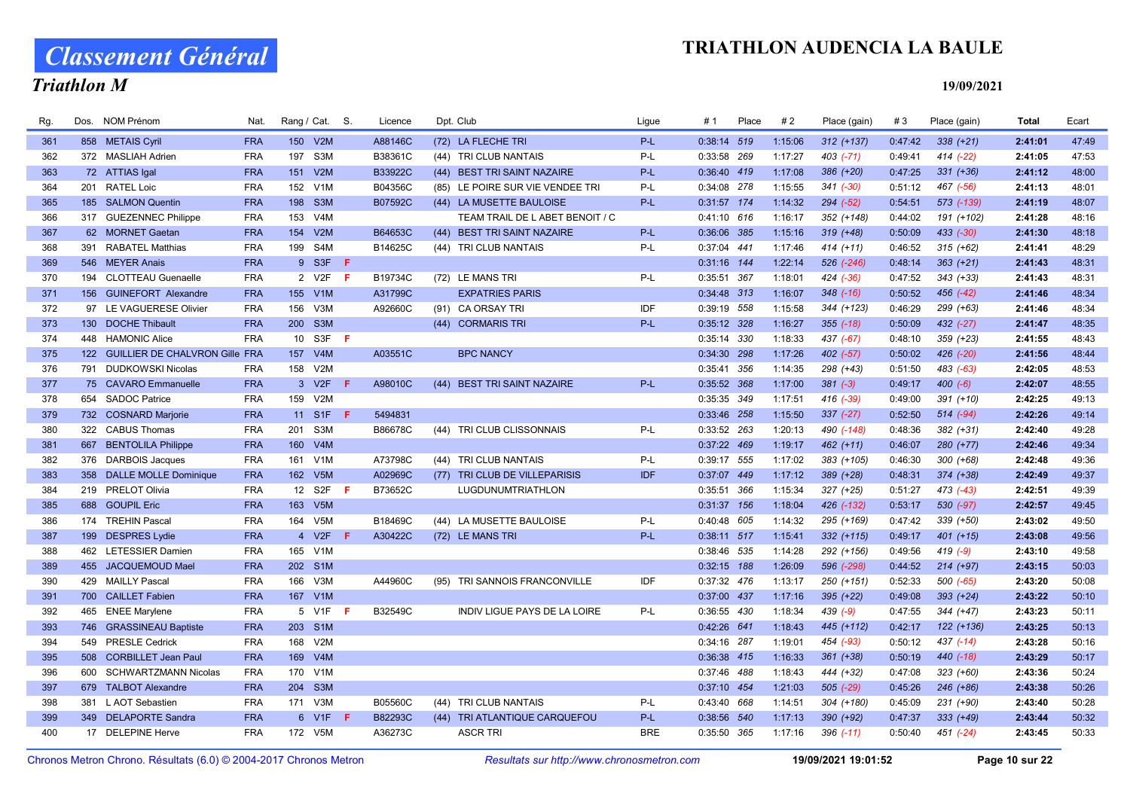# Classement Général

## Triathlon M

| Rg. | Dos. | <b>NOM Prénom</b>                  | Nat.       | Rang / Cat. S. |                  |     | Licence |      | Dpt. Club                        | Ligue      | # 1           | Place | #2      | Place (gain)  | #3      | Place (gain)  | Total   | Ecart |
|-----|------|------------------------------------|------------|----------------|------------------|-----|---------|------|----------------------------------|------------|---------------|-------|---------|---------------|---------|---------------|---------|-------|
| 361 |      | 858 METAIS Cyril                   | <b>FRA</b> |                | 150 V2M          |     | A88146C |      | (72) LA FLECHE TRI               | P-L        | 0:38:14 519   |       | 1:15:06 | $312 (+137)$  | 0:47:42 | $338 (+21)$   | 2:41:01 | 47:49 |
| 362 |      | 372 MASLIAH Adrien                 | <b>FRA</b> |                | 197 S3M          |     | B38361C |      | (44) TRI CLUB NANTAIS            | $P-L$      | 0:33:58 269   |       | 1:17:27 | $403$ $(-71)$ | 0:49:41 | $414$ $(-22)$ | 2:41:05 | 47:53 |
| 363 |      | 72 ATTIAS Igal                     | <b>FRA</b> | 151            | V2M              |     | B33922C |      | (44) BEST TRI SAINT NAZAIRE      | P-L        | $0:36:40$ 419 |       | 1:17:08 | 386 (+20)     | 0:47:25 | $331 (+36)$   | 2:41:12 | 48:00 |
| 364 |      | 201 RATEL Loic                     | <b>FRA</b> | 152            | V <sub>1</sub> M |     | B04356C |      | (85) LE POIRE SUR VIE VENDEE TRI | P-L        | 0:34:08 278   |       | 1:15:55 | $341 (-30)$   | 0:51:12 | 467 (-56)     | 2:41:13 | 48:01 |
| 365 |      | 185 SALMON Quentin                 | <b>FRA</b> |                | 198 S3M          |     | B07592C |      | (44) LA MUSETTE BAULOISE         | $P-L$      | 0:31:57 174   |       | 1:14:32 | $294 (-52)$   | 0:54:51 | 573 (-139)    | 2:41:19 | 48:07 |
| 366 |      | 317 GUEZENNEC Philippe             | <b>FRA</b> | 153            | V4M              |     |         |      | TEAM TRAIL DE L ABET BENOIT / C  |            | $0:41:10$ 616 |       | 1:16:17 | 352 (+148)    | 0:44:02 | 191 (+102)    | 2:41:28 | 48:16 |
| 367 |      | 62 MORNET Gaetan                   | <b>FRA</b> | 154            | V2M              |     | B64653C |      | (44) BEST TRI SAINT NAZAIRE      | $P-L$      | 0:36:06 385   |       | 1:15:16 | $319 (+48)$   | 0:50:09 | $433 (-30)$   | 2:41:30 | 48:18 |
| 368 | 391  | <b>RABATEL Matthias</b>            | <b>FRA</b> |                | 199 S4M          |     | B14625C |      | (44) TRI CLUB NANTAIS            | P-L        | 0:37:04 441   |       | 1:17:46 | $414 (+11)$   | 0:46:52 | $315 (+62)$   | 2:41:41 | 48:29 |
| 369 |      | 546 MEYER Anais                    | <b>FRA</b> |                | 9 S3F            | - F |         |      |                                  |            | 0:31:16 144   |       | 1:22:14 | 526 (-246)    | 0:48:14 | $363 (+21)$   | 2:41:43 | 48:31 |
| 370 |      | 194 CLOTTEAU Guenaelle             | <b>FRA</b> |                | 2 V2F            | -F  | B19734C |      | (72) LE MANS TRI                 | $P-L$      | 0:35:51 367   |       | 1:18:01 | 424 (-36)     | 0:47:52 | $343 (+33)$   | 2:41:43 | 48:31 |
| 371 |      | 156 GUINEFORT Alexandre            | <b>FRA</b> |                | 155 V1M          |     | A31799C |      | <b>EXPATRIES PARIS</b>           |            | 0:34:48 313   |       | 1:16:07 | $348$ $(-16)$ | 0:50:52 | $456$ $(-42)$ | 2:41:46 | 48:34 |
| 372 |      | 97 LE VAGUERESE Olivier            | <b>FRA</b> | 156            | V3M              |     | A92660C |      | (91) CA ORSAY TRI                | <b>IDF</b> | 0:39:19 558   |       | 1:15:58 | 344 (+123)    | 0:46:29 | 299 (+63)     | 2:41:46 | 48:34 |
| 373 |      | 130 DOCHE Thibault                 | <b>FRA</b> | 200            | S3M              |     |         |      | (44) CORMARIS TRI                | P-L        | 0:35:12 328   |       | 1:16:27 | $355 (-18)$   | 0:50:09 | $432 (-27)$   | 2:41:47 | 48:35 |
| 374 |      | 448 HAMONIC Alice                  | <b>FRA</b> |                | 10 S3F           | - F |         |      |                                  |            | 0:35:14 330   |       | 1:18:33 | 437 (-67)     | 0:48:10 | $359 (+23)$   | 2:41:55 | 48:43 |
| 375 |      | 122 GUILLIER DE CHALVRON Gille FRA |            |                | 157 V4M          |     | A03551C |      | <b>BPC NANCY</b>                 |            | 0:34:30 298   |       | 1:17:26 | 402 (-57)     | 0:50:02 | 426 (-20)     | 2:41:56 | 48:44 |
| 376 |      | 791 DUDKOWSKI Nicolas              | <b>FRA</b> |                | 158 V2M          |     |         |      |                                  |            | 0:35:41 356   |       | 1:14:35 | 298 (+43)     | 0:51:50 | 483 (-63)     | 2:42:05 | 48:53 |
| 377 |      | 75 CAVARO Emmanuelle               | <b>FRA</b> |                | 3 V2F            | -F  | A98010C |      | (44) BEST TRI SAINT NAZAIRE      | P-L        | 0:35:52 368   |       | 1:17:00 | $381 (-3)$    | 0:49:17 | $400 (-6)$    | 2:42:07 | 48:55 |
| 378 |      | 654 SADOC Patrice                  | <b>FRA</b> | 159            | V2M              |     |         |      |                                  |            | 0:35:35 349   |       | 1:17:51 | 416 (-39)     | 0:49:00 | $391 (+10)$   | 2:42:25 | 49:13 |
| 379 |      | 732 COSNARD Marjorie               | <b>FRA</b> |                | 11 S1F           | -F  | 5494831 |      |                                  |            | 0:33:46 258   |       | 1:15:50 | $337 (-27)$   | 0:52:50 | $514 (-94)$   | 2:42:26 | 49:14 |
| 380 |      | 322 CABUS Thomas                   | <b>FRA</b> | 201            | S3M              |     | B86678C |      | (44) TRI CLUB CLISSONNAIS        | P-L        | 0:33:52 263   |       | 1:20:13 | 490 (-148)    | 0:48:36 | $382 (+31)$   | 2:42:40 | 49:28 |
| 381 |      | 667 BENTOLILA Philippe             | <b>FRA</b> |                | 160 V4M          |     |         |      |                                  |            | 0:37:22 469   |       | 1:19:17 | 462 (+11)     | 0:46:07 | 280 (+77)     | 2:42:46 | 49:34 |
| 382 |      | 376 DARBOIS Jacques                | <b>FRA</b> |                | 161 V1M          |     | A73798C |      | (44) TRI CLUB NANTAIS            | P-L        | 0:39:17 555   |       | 1:17:02 | 383 (+105)    | 0:46:30 | $300 (+68)$   | 2:42:48 | 49:36 |
| 383 |      | 358 DALLE MOLLE Dominique          | <b>FRA</b> |                | 162 V5M          |     | A02969C |      | (77) TRI CLUB DE VILLEPARISIS    | <b>IDF</b> | 0:37:07 449   |       | 1:17:12 | 389 (+28)     | 0:48:31 | $374 (+38)$   | 2:42:49 | 49:37 |
| 384 |      | 219 PRELOT Olivia                  | <b>FRA</b> |                | 12 S2F           | -F  | B73652C |      | LUGDUNUMTRIATHLON                |            | 0:35:51 366   |       | 1:15:34 | 327 (+25)     | 0:51:27 | 473 (-43)     | 2:42:51 | 49:39 |
| 385 | 688  | <b>GOUPIL Eric</b>                 | <b>FRA</b> |                | 163 V5M          |     |         |      |                                  |            | 0:31:37 156   |       | 1:18:04 | 426 (-132)    | 0:53:17 | $530 (-97)$   | 2:42:57 | 49:45 |
| 386 |      | 174 TREHIN Pascal                  | <b>FRA</b> |                | 164 V5M          |     | B18469C |      | (44) LA MUSETTE BAULOISE         | P-L        | 0:40:48 605   |       | 1:14:32 | 295 (+169)    | 0:47:42 | 339 (+50)     | 2:43:02 | 49:50 |
| 387 |      | 199 DESPRES Lydie                  | <b>FRA</b> |                | 4 V2F            | F   | A30422C |      | (72) LE MANS TRI                 | P-L        | 0:38:11 517   |       | 1:15:41 | 332 (+115)    | 0:49:17 | $401 (+15)$   | 2:43:08 | 49:56 |
| 388 |      | 462 LETESSIER Damien               | <b>FRA</b> |                | 165 V1M          |     |         |      |                                  |            | 0:38:46 535   |       | 1:14:28 | 292 (+156)    | 0:49:56 | $419(-9)$     | 2:43:10 | 49:58 |
| 389 |      | 455 JACQUEMOUD Mael                | <b>FRA</b> |                | 202 S1M          |     |         |      |                                  |            | $0:32:15$ 188 |       | 1:26:09 | 596 (-298)    | 0:44:52 | $214 (+97)$   | 2:43:15 | 50:03 |
| 390 |      | 429 MAILLY Pascal                  | <b>FRA</b> |                | 166 V3M          |     | A44960C |      | (95) TRI SANNOIS FRANCONVILLE    | <b>IDF</b> | 0:37:32 476   |       | 1:13:17 | 250 (+151)    | 0:52:33 | $500 (-65)$   | 2:43:20 | 50:08 |
| 391 |      | 700 CAILLET Fabien                 | <b>FRA</b> |                | 167 V1M          |     |         |      |                                  |            | 0:37:00 437   |       | 1:17:16 | $395 (+22)$   | 0:49:08 | $393 (+24)$   | 2:43:22 | 50:10 |
| 392 |      | 465 ENEE Marylene                  | <b>FRA</b> |                | 5 V1F            | -F  | B32549C |      | INDIV LIGUE PAYS DE LA LOIRE     | P-L        | 0:36:55 430   |       | 1:18:34 | $439(-9)$     | 0:47:55 | $344 (+47)$   | 2:43:23 | 50:11 |
| 393 |      | 746 GRASSINEAU Baptiste            | <b>FRA</b> |                | 203 S1M          |     |         |      |                                  |            | 0:42:26 641   |       | 1:18:43 | 445 (+112)    | 0:42:17 | 122 (+136)    | 2:43:25 | 50:13 |
| 394 |      | 549 PRESLE Cedrick                 | <b>FRA</b> | 168            | V2M              |     |         |      |                                  |            | 0:34:16 287   |       | 1:19:01 | 454 (-93)     | 0:50:12 | 437 (-14)     | 2:43:28 | 50:16 |
| 395 | 508  | <b>CORBILLET Jean Paul</b>         | <b>FRA</b> | 169            | V4M              |     |         |      |                                  |            | 0:36:38 415   |       | 1:16:33 | $361 (+38)$   | 0:50:19 | $440$ $(-18)$ | 2:43:29 | 50:17 |
| 396 |      | 600 SCHWARTZMANN Nicolas           | <b>FRA</b> |                | 170 V1M          |     |         |      |                                  |            | 0:37:46 488   |       | 1:18:43 | 444 (+32)     | 0:47:08 | $323 (+60)$   | 2:43:36 | 50:24 |
| 397 |      | 679 TALBOT Alexandre               | <b>FRA</b> | 204            | S <sub>3</sub> M |     |         |      |                                  |            | 0:37:10 454   |       | 1:21:03 | 505 (-29)     | 0:45:26 | $246 (+86)$   | 2:43:38 | 50:26 |
| 398 |      | 381 L AOT Sebastien                | <b>FRA</b> |                | 171 V3M          |     | B05560C | (44) | TRI CLUB NANTAIS                 | P-L        | 0:43:40 668   |       | 1:14:51 | 304 (+180)    | 0:45:09 | 231 (+90)     | 2:43:40 | 50:28 |
| 399 |      | 349 DELAPORTE Sandra               | <b>FRA</b> |                | 6 V1F            | -F  | B82293C |      | (44) TRI ATLANTIQUE CARQUEFOU    | $P-L$      | 0:38:56 540   |       | 1:17:13 | 390 (+92)     | 0:47:37 | $333 (+49)$   | 2:43:44 | 50:32 |
| 400 |      | 17 DELEPINE Herve                  | <b>FRA</b> |                | 172 V5M          |     | A36273C |      | <b>ASCR TRI</b>                  | <b>BRE</b> | 0:35:50 365   |       | 1:17:16 | $396$ (-11)   | 0:50:40 | 451 (-24)     | 2:43:45 | 50:33 |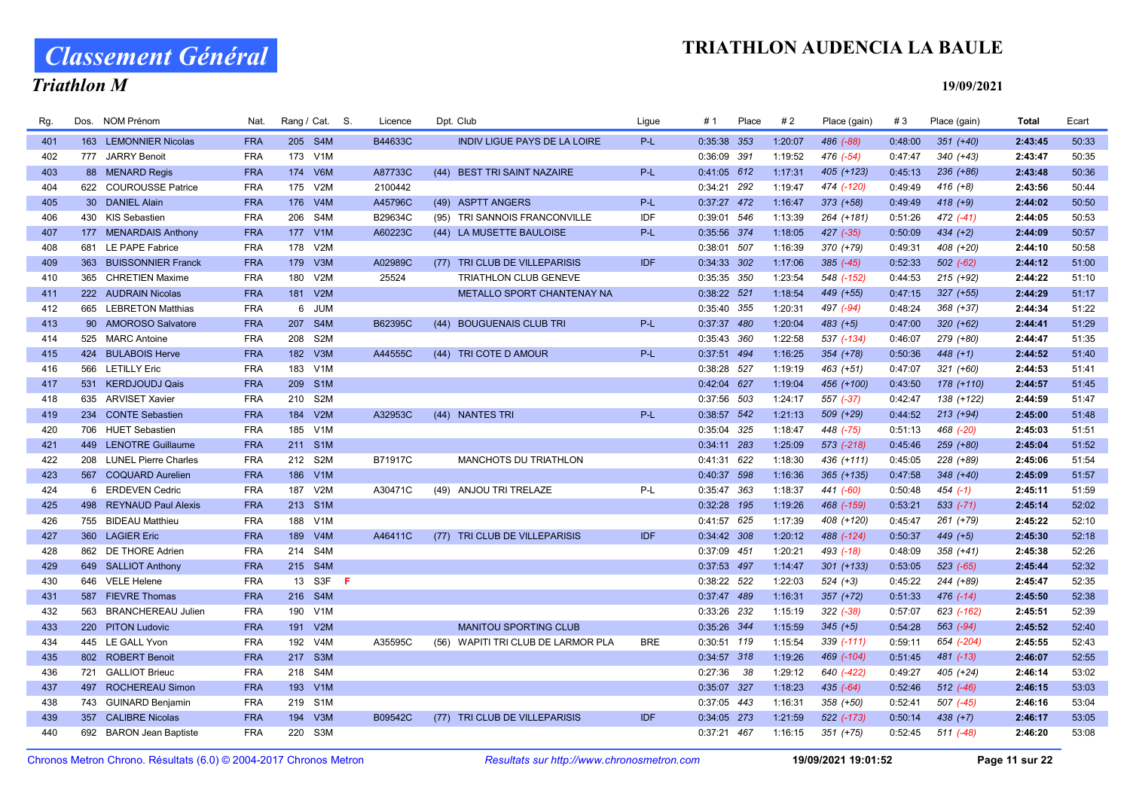# Classement Général

## Triathlon M

| Rg. |           | Dos. NOM Prénom          | Nat.       | Rang / Cat. S.          | Licence | Dpt. Club                           | Ligue      | #1            | Place | #2      | Place (gain)  | #3      | Place (gain)  | Total   | Ecart |
|-----|-----------|--------------------------|------------|-------------------------|---------|-------------------------------------|------------|---------------|-------|---------|---------------|---------|---------------|---------|-------|
| 401 |           | 163 LEMONNIER Nicolas    | <b>FRA</b> | 205 S4M                 | B44633C | <b>INDIV LIGUE PAYS DE LA LOIRE</b> | P-L        | 0:35:38 353   |       | 1:20:07 | 486 (-88)     | 0:48:00 | $351 (+40)$   | 2:43:45 | 50:33 |
| 402 |           | 777 JARRY Benoit         | <b>FRA</b> | 173 V1M                 |         |                                     |            | 0:36:09 391   |       | 1:19:52 | 476 (-54)     | 0:47:47 | $340 (+43)$   | 2:43:47 | 50:35 |
| 403 |           | 88 MENARD Regis          | <b>FRA</b> | 174 V6M                 | A87733C | (44) BEST TRI SAINT NAZAIRE         | $P-L$      | 0:41:05 612   |       | 1:17:31 | 405 (+123)    | 0:45:13 | $236 (+86)$   | 2:43:48 | 50:36 |
| 404 |           | 622 COUROUSSE Patrice    | <b>FRA</b> | 175 V2M                 | 2100442 |                                     |            | 0:34:21 292   |       | 1:19:47 | 474 (-120)    | 0:49:49 | $416 (+8)$    | 2:43:56 | 50:44 |
| 405 | <b>30</b> | <b>DANIEL Alain</b>      | <b>FRA</b> | 176 V4M                 | A45796C | (49) ASPTT ANGERS                   | P-L        | 0:37:27 472   |       | 1:16:47 | $373 (+58)$   | 0:49:49 | $418 (+9)$    | 2:44:02 | 50:50 |
| 406 |           | 430 KIS Sebastien        | <b>FRA</b> | 206 S4M                 | B29634C | (95) TRI SANNOIS FRANCONVILLE       | IDF        | 0:39:01 546   |       | 1:13:39 | 264 (+181)    | 0:51:26 | $472$ $(-41)$ | 2:44:05 | 50:53 |
| 407 |           | 177 MENARDAIS Anthony    | <b>FRA</b> | V1M<br>177              | A60223C | (44) LA MUSETTE BAULOISE            | $P-L$      | 0:35:56 374   |       | 1:18:05 | $427$ $(-35)$ | 0:50:09 | $434 (+2)$    | 2:44:09 | 50:57 |
| 408 | 681       | LE PAPE Fabrice          | <b>FRA</b> | V2M<br>178              |         |                                     |            | 0:38:01 507   |       | 1:16:39 | 370 (+79)     | 0:49:31 | 408 (+20)     | 2:44:10 | 50:58 |
| 409 |           | 363 BUISSONNIER Franck   | <b>FRA</b> | 179 V3M                 | A02989C | (77) TRI CLUB DE VILLEPARISIS       | <b>IDF</b> | 0:34:33 302   |       | 1:17:06 | $385 (-45)$   | 0:52:33 | $502 (-62)$   | 2:44:12 | 51:00 |
| 410 |           | 365 CHRETIEN Maxime      | <b>FRA</b> | 180 V2M                 | 25524   | <b>TRIATHLON CLUB GENEVE</b>        |            | 0:35:35 350   |       | 1:23:54 | 548 (-152)    | 0:44:53 | $215 (+92)$   | 2:44:22 | 51:10 |
| 411 |           | 222 AUDRAIN Nicolas      | <b>FRA</b> | 181 V2M                 |         | METALLO SPORT CHANTENAY NA          |            | 0:38:22 521   |       | 1:18:54 | 449 (+55)     | 0:47:15 | $327 (+55)$   | 2:44:29 | 51:17 |
| 412 |           | 665 LEBRETON Matthias    | <b>FRA</b> | 6 JUM                   |         |                                     |            | 0:35:40 355   |       | 1:20:31 | 497 (-94)     | 0:48:24 | 368 (+37)     | 2:44:34 | 51:22 |
| 413 |           | 90 AMOROSO Salvatore     | <b>FRA</b> | 207 S4M                 | B62395C | (44) BOUGUENAIS CLUB TRI            | $P-L$      | 0:37:37 480   |       | 1:20:04 | $483 (+5)$    | 0:47:00 | $320 (+62)$   | 2:44:41 | 51:29 |
| 414 | 525       | <b>MARC Antoine</b>      | <b>FRA</b> | 208<br>S2M              |         |                                     |            | 0:35:43 360   |       | 1:22:58 | 537 (-134)    | 0:46:07 | 279 (+80)     | 2:44:47 | 51:35 |
| 415 | 424       | <b>BULABOIS Herve</b>    | <b>FRA</b> | V3M<br>182              | A44555C | (44) TRI COTE D AMOUR               | $P-L$      | 0:37:51 494   |       | 1:16:25 | 354 (+78)     | 0:50:36 | $448 (+1)$    | 2:44:52 | 51:40 |
| 416 |           | 566 LETILLY Eric         | <b>FRA</b> | 183<br>V1M              |         |                                     |            | 0:38:28 527   |       | 1:19:19 | 463 (+51)     | 0:47:07 | $321 (+60)$   | 2:44:53 | 51:41 |
| 417 |           | 531 KERDJOUDJ Qais       | <b>FRA</b> | 209 S1M                 |         |                                     |            | 0:42:04 627   |       | 1:19:04 | 456 (+100)    | 0:43:50 | 178 (+110)    | 2:44:57 | 51:45 |
| 418 |           | 635 ARVISET Xavier       | <b>FRA</b> | 210 S2M                 |         |                                     |            | 0:37:56 503   |       | 1:24:17 | 557 (-37)     | 0:42:47 | 138 (+122)    | 2:44:59 | 51:47 |
| 419 |           | 234 CONTE Sebastien      | <b>FRA</b> | 184 V2M                 | A32953C | (44) NANTES TRI                     | P-L        | 0:38:57 542   |       | 1:21:13 | 509 (+29)     | 0:44:52 | $213 (+94)$   | 2:45:00 | 51:48 |
| 420 |           | 706 HUET Sebastien       | <b>FRA</b> | 185 V1M                 |         |                                     |            | 0:35:04 325   |       | 1:18:47 | 448 (-75)     | 0:51:13 | 468 (-20)     | 2:45:03 | 51:51 |
| 421 |           | 449 LENOTRE Guillaume    | <b>FRA</b> | 211 S1M                 |         |                                     |            | $0:34:11$ 283 |       | 1:25:09 | 573 (-218)    | 0:45:46 | 259 (+80)     | 2:45:04 | 51:52 |
| 422 |           | 208 LUNEL Pierre Charles | <b>FRA</b> | 212 S2M                 | B71917C | <b>MANCHOTS DU TRIATHLON</b>        |            | 0:41:31 622   |       | 1:18:30 | 436 (+111)    | 0:45:05 | 228 (+89)     | 2:45:06 | 51:54 |
| 423 |           | 567 COQUARD Aurelien     | <b>FRA</b> | 186 V1M                 |         |                                     |            | 0:40:37 598   |       | 1:16:36 | $365 (+135)$  | 0:47:58 | $348 (+40)$   | 2:45:09 | 51:57 |
| 424 |           | 6 ERDEVEN Cedric         | <b>FRA</b> | 187 V2M                 | A30471C | (49) ANJOU TRI TRELAZE              | P-L        | 0:35:47 363   |       | 1:18:37 | 441 (-60)     | 0:50:48 | $454$ (-1)    | 2:45:11 | 51:59 |
| 425 |           | 498 REYNAUD Paul Alexis  | <b>FRA</b> | 213 S1M                 |         |                                     |            | 0:32:28 195   |       | 1:19:26 | 468 (-159)    | 0:53:21 | $533 (-71)$   | 2:45:14 | 52:02 |
| 426 |           | 755 BIDEAU Matthieu      | <b>FRA</b> | 188<br>V1M              |         |                                     |            | 0:41:57 625   |       | 1:17:39 | 408 (+120)    | 0:45:47 | 261 (+79)     | 2:45:22 | 52:10 |
| 427 |           | 360 LAGIER Eric          | <b>FRA</b> | V4M<br>189              | A46411C | (77) TRI CLUB DE VILLEPARISIS       | IDF        | 0:34:42 308   |       | 1:20:12 | 488 (-124)    | 0:50:37 | $449 (+5)$    | 2:45:30 | 52:18 |
| 428 |           | 862 DE THORE Adrien      | <b>FRA</b> | 214 S4M                 |         |                                     |            | 0:37:09 451   |       | 1:20:21 | $493( -18)$   | 0:48:09 | $358(+41)$    | 2:45:38 | 52:26 |
| 429 |           | 649 SALLIOT Anthony      | <b>FRA</b> | 215 S4M                 |         |                                     |            | 0:37:53 497   |       | 1:14:47 | $301 (+133)$  | 0:53:05 | 523 (-65)     | 2:45:44 | 52:32 |
| 430 |           | 646 VELE Helene          | <b>FRA</b> | 13 S3F <b>F</b>         |         |                                     |            | 0:38:22 522   |       | 1:22:03 | $524 (+3)$    | 0:45:22 | 244 (+89)     | 2:45:47 | 52:35 |
| 431 |           | 587 FIEVRE Thomas        | <b>FRA</b> | 216 S4M                 |         |                                     |            | 0:37:47 489   |       | 1:16:31 | 357 (+72)     | 0:51:33 | $476$ $(-14)$ | 2:45:50 | 52:38 |
| 432 |           | 563 BRANCHEREAU Julien   | <b>FRA</b> | V <sub>1</sub> M<br>190 |         |                                     |            | 0:33:26 232   |       | 1:15:19 | $322 (-38)$   | 0:57:07 | 623 (-162)    | 2:45:51 | 52:39 |
| 433 |           | 220 PITON Ludovic        | <b>FRA</b> | V2M<br>191              |         | <b>MANITOU SPORTING CLUB</b>        |            | 0:35:26 344   |       | 1:15:59 | $345 (+5)$    | 0:54:28 | 563 (-94)     | 2:45:52 | 52:40 |
| 434 |           | 445 LE GALL Yvon         | <b>FRA</b> | V <sub>4</sub> M<br>192 | A35595C | (56) WAPITI TRI CLUB DE LARMOR PLA  | <b>BRE</b> | 0:30:51 119   |       | 1:15:54 | 339 (-111)    | 0:59:11 | 654 (-204)    | 2:45:55 | 52:43 |
| 435 |           | 802 ROBERT Benoit        | <b>FRA</b> | S3M<br>217              |         |                                     |            | 0:34:57 318   |       | 1:19:26 | 469 (-104)    | 0:51:45 | 481 (-13)     | 2:46:07 | 52:55 |
| 436 |           | 721 GALLIOT Brieuc       | <b>FRA</b> | 218<br>S4M              |         |                                     |            | 0:27:36       | 38    | 1:29:12 | 640 (-422)    | 0:49:27 | 405 (+24)     | 2:46:14 | 53:02 |
| 437 |           | 497 ROCHEREAU Simon      | <b>FRA</b> | 193 V1M                 |         |                                     |            | 0:35:07 327   |       | 1:18:23 | $435 (-64)$   | 0:52:46 | $512$ (-46)   | 2:46:15 | 53:03 |
| 438 |           | 743 GUINARD Benjamin     | <b>FRA</b> | 219 S1M                 |         |                                     |            | 0:37:05 443   |       | 1:16:31 | 358 (+50)     | 0:52:41 | $507$ $(-45)$ | 2:46:16 | 53:04 |
| 439 |           | 357 CALIBRE Nicolas      | <b>FRA</b> | 194 V3M                 | B09542C | (77) TRI CLUB DE VILLEPARISIS       | IDF        | 0:34:05 273   |       | 1:21:59 | 522 (-173)    | 0:50:14 | $438 (+7)$    | 2:46:17 | 53:05 |
| 440 |           | 692 BARON Jean Baptiste  | <b>FRA</b> | 220 S3M                 |         |                                     |            | 0:37:21 467   |       | 1:16:15 | $351 (+75)$   | 0:52:45 | $511 (-48)$   | 2:46:20 | 53:08 |
|     |           |                          |            |                         |         |                                     |            |               |       |         |               |         |               |         |       |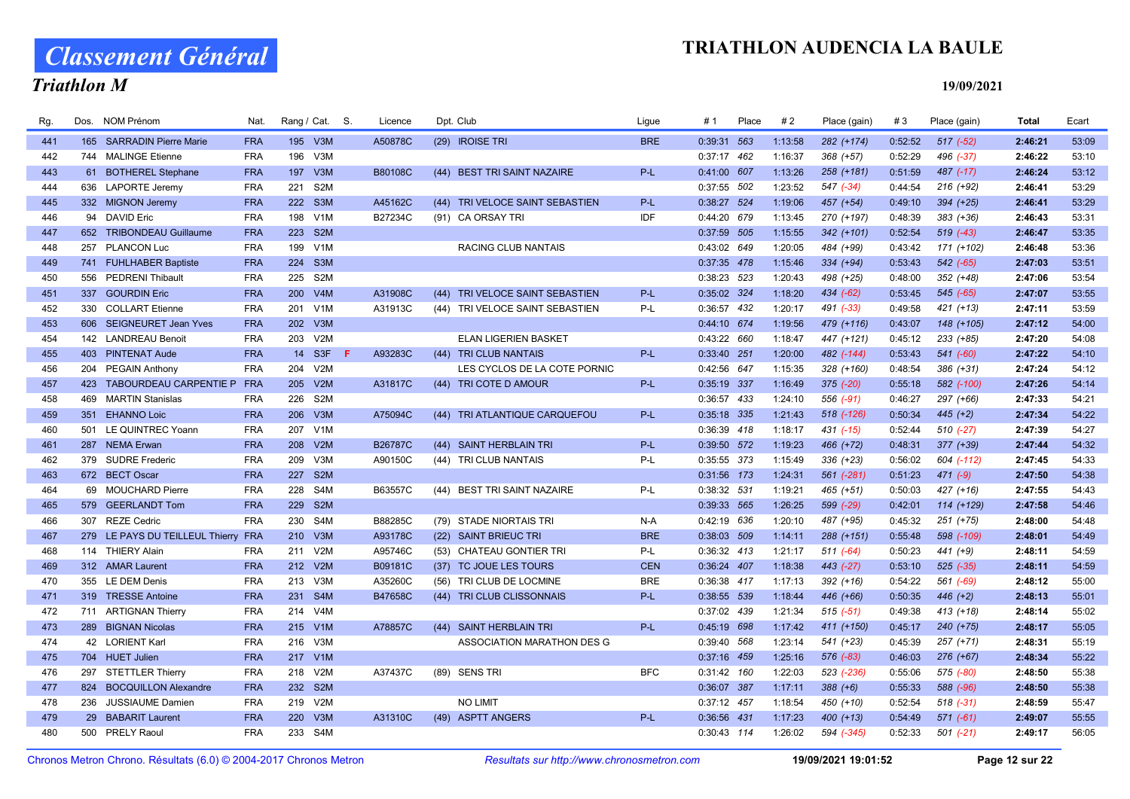# Classement Général

### Triathlon M

| Rg. | Dos. | <b>NOM Prénom</b>                   | Nat.       |         | Rang / Cat. S.   |    | Licence        |      | Dpt. Club                       | Ligue      | # 1           | Place | #2      | Place (gain)  | #3      | Place (gain)  | <b>Total</b> | Ecart |
|-----|------|-------------------------------------|------------|---------|------------------|----|----------------|------|---------------------------------|------------|---------------|-------|---------|---------------|---------|---------------|--------------|-------|
| 441 |      | 165 SARRADIN Pierre Marie           | <b>FRA</b> | 195 V3M |                  |    | A50878C        |      | (29) IROISE TRI                 | <b>BRE</b> | 0:39:31 563   |       | 1:13:58 | 282 (+174)    | 0:52:52 | $517(-52)$    | 2:46:21      | 53:09 |
| 442 |      | 744 MALINGE Etienne                 | <b>FRA</b> | 196     | V3M              |    |                |      |                                 |            | $0:37:17$ 462 |       | 1:16:37 | 368 (+57)     | 0:52:29 | 496 (-37)     | 2:46:22      | 53:10 |
| 443 |      | 61 BOTHEREL Stephane                | <b>FRA</b> | 197     | V3M              |    | B80108C        |      | (44) BEST TRI SAINT NAZAIRE     | $P-L$      | 0:41:00 607   |       | 1:13:26 | $258 (+181)$  | 0:51:59 | $487$ (-17)   | 2:46:24      | 53:12 |
| 444 |      | 636 LAPORTE Jeremy                  | <b>FRA</b> | 221     | S <sub>2</sub> M |    |                |      |                                 |            | 0:37:55 502   |       | 1:23:52 | 547 (-34)     | 0:44:54 | 216 (+92)     | 2:46:41      | 53:29 |
| 445 |      | 332 MIGNON Jeremy                   | <b>FRA</b> | 222 S3M |                  |    | A45162C        |      | (44) TRI VELOCE SAINT SEBASTIEN | $P-L$      | 0:38:27 524   |       | 1:19:06 | 457 (+54)     | 0:49:10 | 394 (+25)     | 2:46:41      | 53:29 |
| 446 |      | 94 DAVID Eric                       | <b>FRA</b> | 198 V1M |                  |    | B27234C        |      | (91) CA ORSAY TRI               | IDF        | 0:44:20 679   |       | 1:13:45 | 270 (+197)    | 0:48:39 | 383 (+36)     | 2:46:43      | 53:31 |
| 447 |      | 652 TRIBONDEAU Guillaume            | <b>FRA</b> | 223 S2M |                  |    |                |      |                                 |            | 0:37:59 505   |       | 1:15:55 | $342 (+101)$  | 0:52:54 | $519$ $(-43)$ | 2:46:47      | 53:35 |
| 448 |      | 257 PLANCON Luc                     | <b>FRA</b> | 199     | V1M              |    |                |      | RACING CLUB NANTAIS             |            | 0:43:02 649   |       | 1:20:05 | 484 (+99)     | 0:43:42 | 171 (+102)    | 2:46:48      | 53:36 |
| 449 |      | 741 FUHLHABER Baptiste              | <b>FRA</b> | 224 S3M |                  |    |                |      |                                 |            | 0:37:35 478   |       | 1:15:46 | 334 (+94)     | 0:53:43 | 542 (-65)     | 2:47:03      | 53:51 |
| 450 |      | 556 PEDRENI Thibault                | <b>FRA</b> | 225 S2M |                  |    |                |      |                                 |            | 0:38:23 523   |       | 1:20:43 | 498 (+25)     | 0:48:00 | 352 (+48)     | 2:47:06      | 53:54 |
| 451 | 337  | <b>GOURDIN Eric</b>                 | <b>FRA</b> | 200     | V4M              |    | A31908C        |      | (44) TRI VELOCE SAINT SEBASTIEN | $P-L$      | 0:35:02 324   |       | 1:18:20 | 434 (-62)     | 0:53:45 | $545$ (-65)   | 2:47:07      | 53:55 |
| 452 |      | 330 COLLART Etienne                 | <b>FRA</b> | 201 V1M |                  |    | A31913C        |      | (44) TRI VELOCE SAINT SEBASTIEN | P-L        | 0:36:57 432   |       | 1:20:17 | 491 (-33)     | 0:49:58 | $421 (+13)$   | 2:47:11      | 53:59 |
| 453 |      | 606 SEIGNEURET Jean Yves            | <b>FRA</b> | 202 V3M |                  |    |                |      |                                 |            | 0:44:10 674   |       | 1:19:56 | 479 (+116)    | 0:43:07 | 148 (+105)    | 2:47:12      | 54:00 |
| 454 |      | 142 LANDREAU Benoit                 | <b>FRA</b> | 203     | V2M              |    |                |      | <b>ELAN LIGERIEN BASKET</b>     |            | 0:43:22 660   |       | 1:18:47 | 447 (+121)    | 0:45:12 | 233 (+85)     | 2:47:20      | 54:08 |
| 455 |      | 403 PINTENAT Aude                   | <b>FRA</b> |         | 14 S3F           | F. | A93283C        |      | (44) TRI CLUB NANTAIS           | $P-L$      | 0:33:40 251   |       | 1:20:00 | 482 (-144)    | 0:53:43 | $541 (-60)$   | 2:47:22      | 54:10 |
| 456 |      | 204 PEGAIN Anthony                  | <b>FRA</b> | 204     | V2M              |    |                |      | LES CYCLOS DE LA COTE PORNIC    |            | 0:42:56 647   |       | 1:15:35 | 328 (+160)    | 0:48:54 | 386 (+31)     | 2:47:24      | 54:12 |
| 457 |      | 423 TABOURDEAU CARPENTIE P FRA      |            | 205 V2M |                  |    | A31817C        |      | (44) TRI COTE D AMOUR           | P-L        | 0:35:19 337   |       | 1:16:49 | $375 (-20)$   | 0:55:18 | 582 (-100)    | 2:47:26      | 54:14 |
| 458 |      | 469 MARTIN Stanislas                | <b>FRA</b> | 226     | S2M              |    |                |      |                                 |            | 0:36:57 433   |       | 1:24:10 | 556 (-91)     | 0:46:27 | 297 (+66)     | 2:47:33      | 54:21 |
| 459 |      | 351 EHANNO Loic                     | <b>FRA</b> | 206 V3M |                  |    | A75094C        |      | (44) TRI ATLANTIQUE CARQUEFOU   | $P-L$      | 0:35:18 335   |       | 1:21:43 | 518 (-126)    | 0:50:34 | $445 (+2)$    | 2:47:34      | 54:22 |
| 460 |      | 501 LE QUINTREC Yoann               | <b>FRA</b> | 207 V1M |                  |    |                |      |                                 |            | 0:36:39 418   |       | 1:18:17 | $431$ $(-15)$ | 0:52:44 | $510 (-27)$   | 2:47:39      | 54:27 |
| 461 |      | 287 NEMA Erwan                      | <b>FRA</b> | 208 V2M |                  |    | <b>B26787C</b> |      | (44) SAINT HERBLAIN TRI         | P-L        | 0:39:50 572   |       | 1:19:23 | 466 (+72)     | 0:48:31 | 377 (+39)     | 2:47:44      | 54:32 |
| 462 |      | 379 SUDRE Frederic                  | <b>FRA</b> | 209     | V3M              |    | A90150C        |      | (44) TRI CLUB NANTAIS           | P-L        | 0:35:55 373   |       | 1:15:49 | $336 (+23)$   | 0:56:02 | 604 (-112)    | 2:47:45      | 54:33 |
| 463 |      | 672 BECT Oscar                      | <b>FRA</b> | 227     | S <sub>2M</sub>  |    |                |      |                                 |            | 0:31:56 173   |       | 1:24:31 | 561 (-281)    | 0:51:23 | $471 (-9)$    | 2:47:50      | 54:38 |
| 464 |      | 69 MOUCHARD Pierre                  | <b>FRA</b> | 228 S4M |                  |    | B63557C        |      | (44) BEST TRI SAINT NAZAIRE     | P-L        | 0:38:32 531   |       | 1:19:21 | 465 (+51)     | 0:50:03 | 427 (+16)     | 2:47:55      | 54:43 |
| 465 |      | 579 GEERLANDT Tom                   | <b>FRA</b> | 229     | S <sub>2M</sub>  |    |                |      |                                 |            | 0:39:33 565   |       | 1:26:25 | 599 (-29)     | 0:42:01 | $114 (+129)$  | 2:47:58      | 54:46 |
| 466 |      | 307 REZE Cedric                     | <b>FRA</b> | 230 S4M |                  |    | B88285C        |      | (79) STADE NIORTAIS TRI         | $N-A$      | 0:42:19 636   |       | 1:20:10 | 487 (+95)     | 0:45:32 | 251 (+75)     | 2:48:00      | 54:48 |
| 467 |      | 279 LE PAYS DU TEILLEUL Thierry FRA |            | 210 V3M |                  |    | A93178C        |      | (22) SAINT BRIEUC TRI           | <b>BRE</b> | 0:38:03 509   |       | 1:14:11 | 288 (+151)    | 0:55:48 | 598 (-109)    | 2:48:01      | 54:49 |
| 468 |      | 114 THIERY Alain                    | <b>FRA</b> | 211     | V2M              |    | A95746C        |      | (53) CHATEAU GONTIER TRI        | P-L        | 0:36:32 413   |       | 1:21:17 | $511 (-64)$   | 0:50:23 | 441 (+9)      | 2:48:11      | 54:59 |
| 469 |      | 312 AMAR Laurent                    | <b>FRA</b> | 212 V2M |                  |    | B09181C        |      | (37) TC JOUE LES TOURS          | <b>CEN</b> | 0:36:24 407   |       | 1:18:38 | 443 (-27)     | 0:53:10 | $525$ (-35)   | 2:48:11      | 54:59 |
| 470 |      | 355 LE DEM Denis                    | <b>FRA</b> | 213 V3M |                  |    | A35260C        |      | (56) TRI CLUB DE LOCMINE        | <b>BRE</b> | 0:36:38 417   |       | 1:17:13 | 392 (+16)     | 0:54:22 | 561 (-69)     | 2:48:12      | 55:00 |
| 471 |      | 319 TRESSE Antoine                  | <b>FRA</b> | 231 S4M |                  |    | B47658C        |      | (44) TRI CLUB CLISSONNAIS       | P-L        | 0:38:55 539   |       | 1:18:44 | 446 (+66)     | 0:50:35 | $446 (+2)$    | 2:48:13      | 55:01 |
| 472 |      | 711 ARTIGNAN Thierry                | <b>FRA</b> | 214 V4M |                  |    |                |      |                                 |            | 0:37:02 439   |       | 1:21:34 | $515(-51)$    | 0:49:38 | $413 (+18)$   | 2:48:14      | 55:02 |
| 473 |      | 289 BIGNAN Nicolas                  | <b>FRA</b> | 215 V1M |                  |    | A78857C        |      | (44) SAINT HERBLAIN TRI         | P-L        | 0:45:19 698   |       | 1:17:42 | 411 (+150)    | 0:45:17 | 240 (+75)     | 2:48:17      | 55:05 |
| 474 |      | 42 LORIENT Karl                     | <b>FRA</b> | 216     | V3M              |    |                |      | ASSOCIATION MARATHON DES G      |            | 0:39:40 568   |       | 1:23:14 | 541 (+23)     | 0:45:39 | $257 (+71)$   | 2:48:31      | 55:19 |
| 475 |      | 704 HUET Julien                     | <b>FRA</b> | 217 V1M |                  |    |                |      |                                 |            | 0:37:16 459   |       | 1:25:16 | 576 (-83)     | 0:46:03 | 276 (+67)     | 2:48:34      | 55:22 |
| 476 |      | 297 STETTLER Thierry                | <b>FRA</b> | 218     | V2M              |    | A37437C        | (89) | <b>SENS TRI</b>                 | <b>BFC</b> | 0:31:42 160   |       | 1:22:03 | 523 (-236)    | 0:55:06 | 575 (-80)     | 2:48:50      | 55:38 |
| 477 |      | 824 BOCQUILLON Alexandre            | <b>FRA</b> | 232 S2M |                  |    |                |      |                                 |            | 0:36:07 387   |       | 1:17:11 | $388 (+6)$    | 0:55:33 | 588 (-96)     | 2:48:50      | 55:38 |
| 478 | 236  | <b>JUSSIAUME Damien</b>             | <b>FRA</b> | 219     | V2M              |    |                |      | NO LIMIT                        |            | 0:37:12 457   |       | 1:18:54 | 450 (+10)     | 0:52:54 | $518(-31)$    | 2:48:59      | 55:47 |
| 479 |      | 29 BABARIT Laurent                  | <b>FRA</b> | 220     | V3M              |    | A31310C        |      | (49) ASPTT ANGERS               | $P-L$      | 0:36:56 431   |       | 1:17:23 | 400 (+13)     | 0:54:49 | $571$ (-61)   | 2:49:07      | 55:55 |
| 480 |      | 500 PRELY Raoul                     | <b>FRA</b> | 233 S4M |                  |    |                |      |                                 |            | 0:30:43 114   |       | 1:26:02 | 594 (-345)    | 0:52:33 | $501 (-21)$   | 2:49:17      | 56:05 |
|     |      |                                     |            |         |                  |    |                |      |                                 |            |               |       |         |               |         |               |              |       |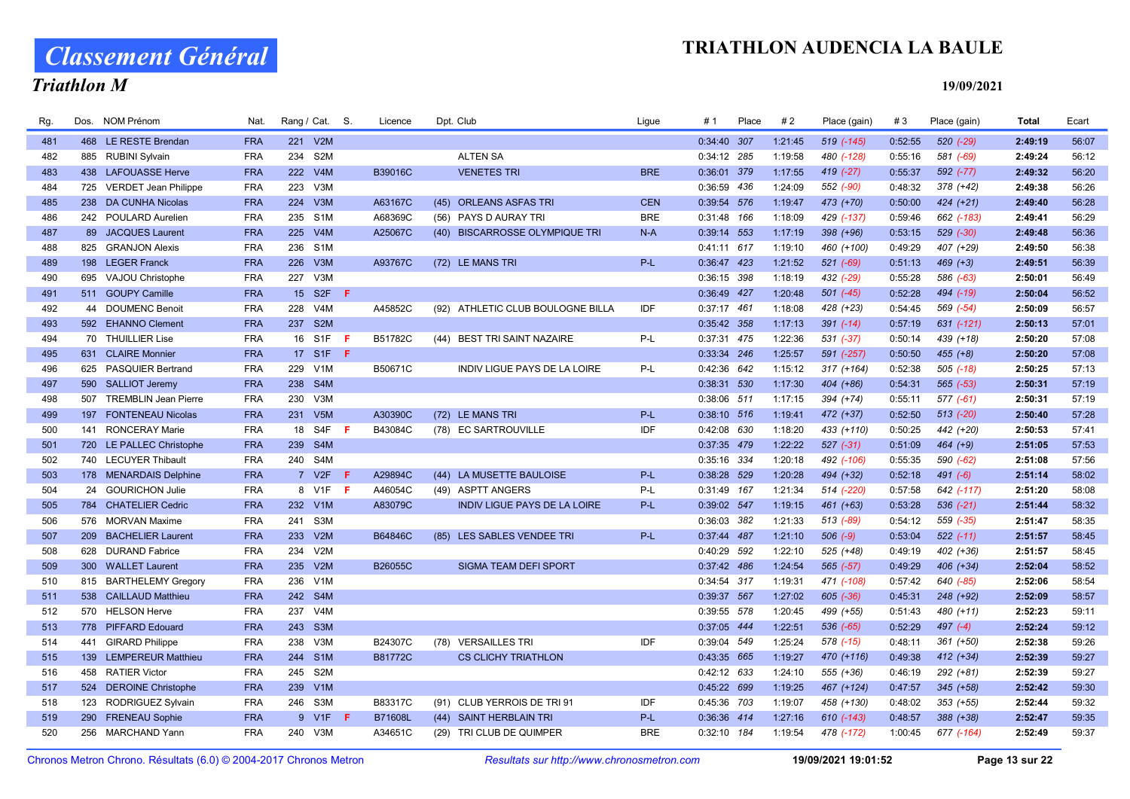# Classement Général

### Triathlon M

| Rg. | Dos. | NOM Prénom                  | Nat.       | Rang / Cat. S. |                  |     | Licence        |      | Dpt. Club                           | Ligue      | # 1           | Place | #2      | Place (gain)   | #3      | Place (gain)   | <b>Total</b> | Ecart |
|-----|------|-----------------------------|------------|----------------|------------------|-----|----------------|------|-------------------------------------|------------|---------------|-------|---------|----------------|---------|----------------|--------------|-------|
| 481 |      | 468 LE RESTE Brendan        | <b>FRA</b> |                | 221 V2M          |     |                |      |                                     |            | $0:34:40$ 307 |       | 1:21:45 | 519 (-145)     | 0:52:55 | $520$ $(-29)$  | 2:49:19      | 56:07 |
| 482 |      | 885 RUBINI Sylvain          | <b>FRA</b> | 234            | S <sub>2</sub> M |     |                |      | <b>ALTEN SA</b>                     |            | 0:34:12 285   |       | 1:19:58 | 480 (-128)     | 0:55:16 | 581 (-69)      | 2:49:24      | 56:12 |
| 483 |      | 438 LAFOUASSE Herve         | <b>FRA</b> | 222            | V4M              |     | B39016C        |      | <b>VENETES TRI</b>                  | <b>BRE</b> | 0:36:01 379   |       | 1:17:55 | 419 (-27)      | 0:55:37 | 592 (-77)      | 2:49:32      | 56:20 |
| 484 |      | 725 VERDET Jean Philippe    | <b>FRA</b> | 223            | V3M              |     |                |      |                                     |            | 0:36:59 436   |       | 1:24:09 | 552 (-90)      | 0:48:32 | $378 (+42)$    | 2:49:38      | 56:26 |
| 485 |      | 238 DA CUNHA Nicolas        | <b>FRA</b> | 224            | V3M              |     | A63167C        | (45) | <b>ORLEANS ASFAS TRI</b>            | <b>CEN</b> | 0:39:54 576   |       | 1:19:47 | 473 (+70)      | 0:50:00 | $424 (+21)$    | 2:49:40      | 56:28 |
| 486 |      | 242 POULARD Aurelien        | <b>FRA</b> |                | 235 S1M          |     | A68369C        |      | (56) PAYS D AURAY TRI               | <b>BRE</b> | 0:31:48 166   |       | 1:18:09 | 429 (-137)     | 0:59:46 | 662 (-183)     | 2:49:41      | 56:29 |
| 487 |      | 89 JACQUES Laurent          | <b>FRA</b> |                | 225 V4M          |     | A25067C        |      | (40) BISCARROSSE OLYMPIQUE TRI      | $N-A$      | 0:39:14 553   |       | 1:17:19 | 398 (+96)      | 0:53:15 | $529$ $(-30)$  | 2:49:48      | 56:36 |
| 488 |      | 825 GRANJON Alexis          | <b>FRA</b> | 236            | S <sub>1</sub> M |     |                |      |                                     |            | $0:41:11$ 617 |       | 1:19:10 | 460 (+100)     | 0:49:29 | 407 (+29)      | 2:49:50      | 56:38 |
| 489 |      | 198 LEGER Franck            | <b>FRA</b> |                | 226 V3M          |     | A93767C        |      | (72) LE MANS TRI                    | $P-L$      | 0:36:47 423   |       | 1:21:52 | 521 (-69)      | 0:51:13 | $469 (+3)$     | 2:49:51      | 56:39 |
| 490 |      | 695 VAJOU Christophe        | <b>FRA</b> |                | 227 V3M          |     |                |      |                                     |            | 0:36:15 398   |       | 1:18:19 | 432 (-29)      | 0:55:28 | 586 (-63)      | 2:50:01      | 56:49 |
| 491 |      | 511 GOUPY Camille           | <b>FRA</b> |                | 15 S2F           | - F |                |      |                                     |            | 0:36:49 427   |       | 1:20:48 | 501 (-45)      | 0:52:28 | 494 (-19)      | 2:50:04      | 56:52 |
| 492 |      | 44 DOUMENC Benoit           | <b>FRA</b> | 228            | V4M              |     | A45852C        |      | (92) ATHLETIC CLUB BOULOGNE BILLA   | IDF        | $0:37:17$ 461 |       | 1:18:08 | 428 (+23)      | 0:54:45 | 569 (-54)      | 2:50:09      | 56:57 |
| 493 |      | 592 EHANNO Clement          | <b>FRA</b> | 237            | S <sub>2M</sub>  |     |                |      |                                     |            | 0:35:42 358   |       | 1:17:13 | $391 (-14)$    | 0:57:19 | $631$ $(-121)$ | 2:50:13      | 57:01 |
| 494 |      | 70 THUILLIER Lise           | <b>FRA</b> |                | 16 S1F           | F.  | B51782C        | (44) | <b>BEST TRI SAINT NAZAIRE</b>       | P-L        | 0:37:31 475   |       | 1:22:36 | 531 (-37)      | 0:50:14 | 439 (+18)      | 2:50:20      | 57:08 |
| 495 |      | 631 CLAIRE Monnier          | <b>FRA</b> |                | 17 S1F F         |     |                |      |                                     |            | 0:33:34 246   |       | 1:25:57 | 591 (-257)     | 0:50:50 | $455 (+8)$     | 2:50:20      | 57:08 |
| 496 |      | 625 PASQUIER Bertrand       | <b>FRA</b> | 229            | V1M              |     | B50671C        |      | <b>INDIV LIGUE PAYS DE LA LOIRE</b> | P-L        | 0:42:36 642   |       | 1:15:12 | $317 (+164)$   | 0:52:38 | $505$ $(-18)$  | 2:50:25      | 57:13 |
| 497 |      | 590 SALLIOT Jeremy          | <b>FRA</b> |                | 238 S4M          |     |                |      |                                     |            | 0:38:31 530   |       | 1:17:30 | 404 (+86)      | 0:54:31 | 565 (-53)      | 2:50:31      | 57:19 |
| 498 | 507  | <b>TREMBLIN Jean Pierre</b> | <b>FRA</b> | 230            | V3M              |     |                |      |                                     |            | 0:38:06 511   |       | 1:17:15 | 394 (+74)      | 0:55:11 | 577 (-61)      | 2:50:31      | 57:19 |
| 499 |      | 197 FONTENEAU Nicolas       | <b>FRA</b> |                | 231 V5M          |     | A30390C        |      | (72) LE MANS TRI                    | $P-L$      | 0:38:10 516   |       | 1:19:41 | 472 (+37)      | 0:52:50 | $513$ $(-20)$  | 2:50:40      | 57:28 |
| 500 |      | 141 RONCERAY Marie          | <b>FRA</b> |                | 18 S4F           | -F  | B43084C        |      | (78) EC SARTROUVILLE                | IDF        | 0:42:08 630   |       | 1:18:20 | 433 (+110)     | 0:50:25 | 442 (+20)      | 2:50:53      | 57:41 |
| 501 |      | 720 LE PALLEC Christophe    | <b>FRA</b> |                | 239 S4M          |     |                |      |                                     |            | 0:37:35 479   |       | 1:22:22 | $527 (-31)$    | 0:51:09 | $464 (+9)$     | 2:51:05      | 57:53 |
| 502 |      | 740 LECUYER Thibault        | <b>FRA</b> |                | 240 S4M          |     |                |      |                                     |            | 0:35:16 334   |       | 1:20:18 | 492 (-106)     | 0:55:35 | 590 (-62)      | 2:51:08      | 57:56 |
| 503 |      | 178 MENARDAIS Delphine      | <b>FRA</b> |                | 7 V2F            | F   | A29894C        | (44) | LA MUSETTE BAULOISE                 | P-L        | 0:38:28 529   |       | 1:20:28 | 494 (+32)      | 0:52:18 | $491 (-6)$     | 2:51:14      | 58:02 |
| 504 | 24   | <b>GOURICHON Julie</b>      | <b>FRA</b> |                | 8 V1F            | -F. | A46054C        |      | (49) ASPTT ANGERS                   | P-L        | 0:31:49 167   |       | 1:21:34 | 514 (-220)     | 0:57:58 | 642 (-117)     | 2:51:20      | 58:08 |
| 505 | 784  | <b>CHATELIER Cedric</b>     | <b>FRA</b> |                | 232 V1M          |     | A83079C        |      | <b>INDIV LIGUE PAYS DE LA LOIRE</b> | P-L        | 0:39:02 547   |       | 1:19:15 | $461 (+63)$    | 0:53:28 | $536$ $(-21)$  | 2:51:44      | 58:32 |
| 506 |      | 576 MORVAN Maxime           | <b>FRA</b> | 241            | S3M              |     |                |      |                                     |            | 0:36:03 382   |       | 1:21:33 | 513 (-89)      | 0:54:12 | 559 (-35)      | 2:51:47      | 58:35 |
| 507 |      | 209 BACHELIER Laurent       | <b>FRA</b> | 233            | V2M              |     | B64846C        |      | (85) LES SABLES VENDEE TRI          | P-L        | 0:37:44 487   |       | 1:21:10 | $506 (-9)$     | 0:53:04 | $522 (-11)$    | 2:51:57      | 58:45 |
| 508 |      | 628 DURAND Fabrice          | <b>FRA</b> | 234            | V2M              |     |                |      |                                     |            | 0:40:29 592   |       | 1:22:10 | 525 (+48)      | 0:49:19 | 402 (+36)      | 2:51:57      | 58:45 |
| 509 |      | 300 WALLET Laurent          | <b>FRA</b> |                | 235 V2M          |     | B26055C        |      | <b>SIGMA TEAM DEFI SPORT</b>        |            | 0:37:42 486   |       | 1:24:54 | 565 (-57)      | 0:49:29 | $406 (+34)$    | 2:52:04      | 58:52 |
| 510 |      | 815 BARTHELEMY Gregory      | <b>FRA</b> |                | 236 V1M          |     |                |      |                                     |            | 0:34:54 317   |       | 1:19:31 | 471 (-108)     | 0:57:42 | 640 (-85)      | 2:52:06      | 58:54 |
| 511 |      | 538 CAILLAUD Matthieu       | <b>FRA</b> |                | 242 S4M          |     |                |      |                                     |            | 0:39:37 567   |       | 1:27:02 | 605 (-36)      | 0:45:31 | 248 (+92)      | 2:52:09      | 58:57 |
| 512 |      | 570 HELSON Herve            | <b>FRA</b> | 237            | V <sub>4</sub> M |     |                |      |                                     |            | 0:39:55 578   |       | 1:20:45 | 499 (+55)      | 0:51:43 | 480 (+11)      | 2:52:23      | 59:11 |
| 513 |      | 778 PIFFARD Edouard         | <b>FRA</b> | 243            | S <sub>3</sub> M |     |                |      |                                     |            | 0:37:05 444   |       | 1:22:51 | $536$ $(-65)$  | 0:52:29 | 497 $(-4)$     | 2:52:24      | 59:12 |
| 514 |      | 441 GIRARD Philippe         | <b>FRA</b> | 238            | V3M              |     | B24307C        | (78) | <b>VERSAILLES TRI</b>               | IDF        | 0:39:04 549   |       | 1:25:24 | 578 (-15)      | 0:48:11 | 361 (+50)      | 2:52:38      | 59:26 |
| 515 |      | 139 LEMPEREUR Matthieu      | <b>FRA</b> |                | 244 S1M          |     | B81772C        |      | <b>CS CLICHY TRIATHLON</b>          |            | 0:43:35 665   |       | 1:19:27 | 470 (+116)     | 0:49:38 | $412 (+34)$    | 2:52:39      | 59:27 |
| 516 |      | 458 RATIER Victor           | <b>FRA</b> |                | 245 S2M          |     |                |      |                                     |            | 0:42:12 633   |       | 1:24:10 | 555 (+36)      | 0:46:19 | 292 (+81)      | 2:52:39      | 59:27 |
| 517 |      | 524 DEROINE Christophe      | <b>FRA</b> |                | 239 V1M          |     |                |      |                                     |            | 0:45:22 699   |       | 1:19:25 | 467 (+124)     | 0:47:57 | $345 (+58)$    | 2:52:42      | 59:30 |
| 518 | 123  | <b>RODRIGUEZ Sylvain</b>    | <b>FRA</b> |                | 246 S3M          |     | B83317C        |      | (91) CLUB YERROIS DE TRI 91         | IDF        | 0:45:36 703   |       | 1:19:07 | 458 (+130)     | 0:48:02 | $353 (+55)$    | 2:52:44      | 59:32 |
| 519 |      | 290 FRENEAU Sophie          | <b>FRA</b> |                | 9 V1F            | -F  | <b>B71608L</b> |      | (44) SAINT HERBLAIN TRI             | $P-L$      | 0:36:36 414   |       | 1:27:16 | $610$ $(-143)$ | 0:48:57 | 388 (+38)      | 2:52:47      | 59:35 |
| 520 |      | 256 MARCHAND Yann           | <b>FRA</b> |                | 240 V3M          |     | A34651C        |      | (29) TRI CLUB DE QUIMPER            | <b>BRE</b> | $0:32:10$ 184 |       | 1:19:54 | 478 (-172)     | 1:00:45 | 677 (-164)     | 2:52:49      | 59:37 |
|     |      |                             |            |                |                  |     |                |      |                                     |            |               |       |         |                |         |                |              |       |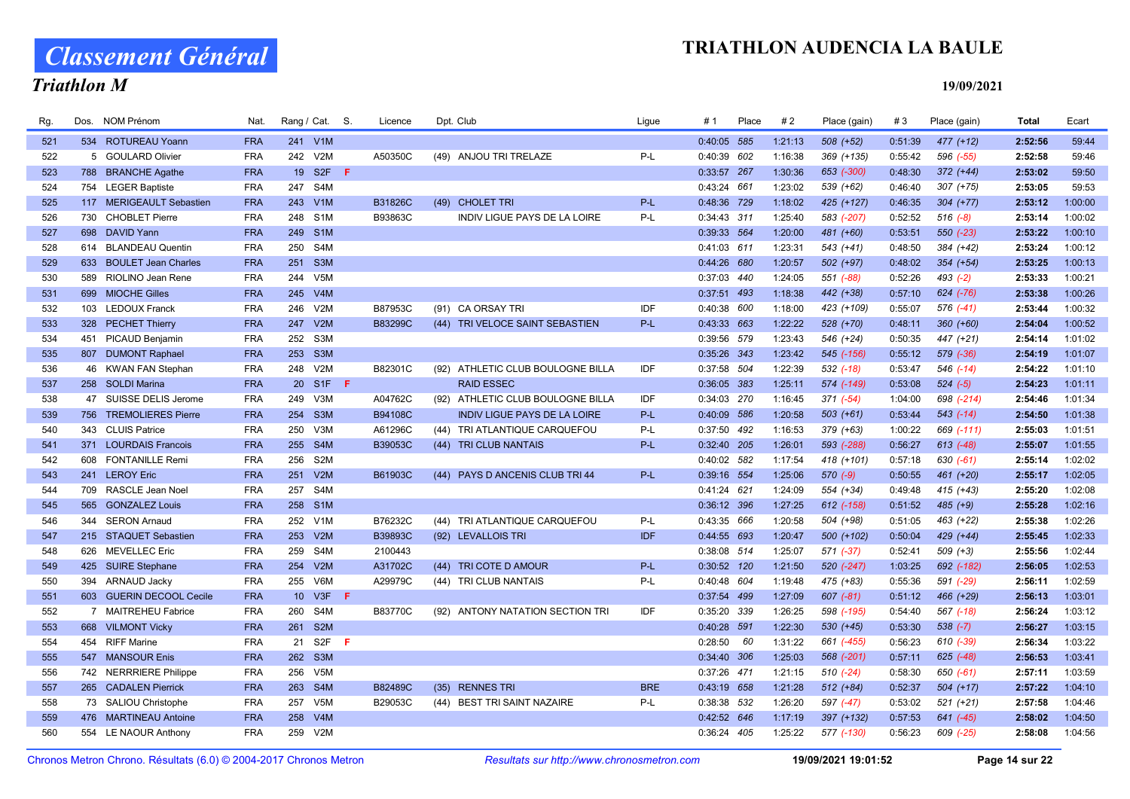# Classement Général

### Triathlon M

| Rg. | Dos. | <b>NOM Prénom</b>        | Nat.       |     | Rang / Cat. S.   |     | Licence        |      | Dpt. Club                           | Ligue      | # 1         | Place | #2      | Place (gain)  | #3      | Place (gain)  | <b>Total</b> | Ecart   |
|-----|------|--------------------------|------------|-----|------------------|-----|----------------|------|-------------------------------------|------------|-------------|-------|---------|---------------|---------|---------------|--------------|---------|
| 521 |      | 534 ROTUREAU Yoann       | <b>FRA</b> |     | 241 V1M          |     |                |      |                                     |            | 0:40:05 585 |       | 1:21:13 | $508 (+52)$   | 0:51:39 | 477 (+12)     | 2:52:56      | 59:44   |
| 522 |      | 5 GOULARD Olivier        | <b>FRA</b> |     | 242 V2M          |     | A50350C        |      | (49) ANJOU TRI TRELAZE              | P-L        | 0:40:39 602 |       | 1:16:38 | 369 (+135)    | 0:55:42 | 596 (-55)     | 2:52:58      | 59:46   |
| 523 |      | 788 BRANCHE Agathe       | <b>FRA</b> |     | 19 S2F           | -F  |                |      |                                     |            | 0:33:57 267 |       | 1:30:36 | 653 (-300)    | 0:48:30 | $372 (+44)$   | 2:53:02      | 59:50   |
| 524 |      | 754 LEGER Baptiste       | <b>FRA</b> | 247 | S4M              |     |                |      |                                     |            | 0:43:24 661 |       | 1:23:02 | 539 (+62)     | 0:46:40 | $307 (+75)$   | 2:53:05      | 59:53   |
| 525 |      | 117 MERIGEAULT Sebastien | <b>FRA</b> |     | 243 V1M          |     | <b>B31826C</b> | (49) | <b>CHOLET TRI</b>                   | $P-L$      | 0:48:36 729 |       | 1:18:02 | 425 (+127)    | 0:46:35 | $304 (+77)$   | 2:53:12      | 1:00:00 |
| 526 |      | 730 CHOBLET Pierre       | <b>FRA</b> |     | 248 S1M          |     | B93863C        |      | INDIV LIGUE PAYS DE LA LOIRE        | P-L        | 0:34:43 311 |       | 1:25:40 | 583 (-207)    | 0:52:52 | $516(-8)$     | 2:53:14      | 1:00:02 |
| 527 |      | 698 DAVID Yann           | <b>FRA</b> |     | 249 S1M          |     |                |      |                                     |            | 0:39:33 564 |       | 1:20:00 | 481 (+60)     | 0:53:51 | 550 (-23)     | 2:53:22      | 1:00:10 |
| 528 |      | 614 BLANDEAU Quentin     | <b>FRA</b> | 250 | S4M              |     |                |      |                                     |            | 0:41:03 611 |       | 1:23:31 | 543 (+41)     | 0:48:50 | 384 (+42)     | 2:53:24      | 1:00:12 |
| 529 |      | 633 BOULET Jean Charles  | <b>FRA</b> |     | 251 S3M          |     |                |      |                                     |            | 0:44:26 680 |       | 1:20:57 | $502 (+97)$   | 0:48:02 | $354 (+54)$   | 2:53:25      | 1:00:13 |
| 530 |      | 589 RIOLINO Jean Rene    | <b>FRA</b> |     | 244 V5M          |     |                |      |                                     |            | 0:37:03 440 |       | 1:24:05 | 551 (-88)     | 0:52:26 | $493 (-2)$    | 2:53:33      | 1:00:21 |
| 531 | 699  | <b>MIOCHE Gilles</b>     | <b>FRA</b> | 245 | V4M              |     |                |      |                                     |            | 0:37:51 493 |       | 1:18:38 | 442 (+38)     | 0:57:10 | 624 (-76)     | 2:53:38      | 1:00:26 |
| 532 |      | 103 LEDOUX Franck        | <b>FRA</b> | 246 | V2M              |     | B87953C        |      | (91) CA ORSAY TRI                   | IDF        | 0:40:38 600 |       | 1:18:00 | 423 (+109)    | 0:55:07 | 576 (-41)     | 2:53:44      | 1:00:32 |
| 533 |      | 328 PECHET Thierry       | <b>FRA</b> | 247 | V2M              |     | B83299C        |      | (44) TRI VELOCE SAINT SEBASTIEN     | P-L        | 0:43:33 663 |       | 1:22:22 | 528 (+70)     | 0:48:11 | $360 (+60)$   | 2:54:04      | 1:00:52 |
| 534 |      | 451 PICAUD Benjamin      | <b>FRA</b> | 252 | S <sub>3</sub> M |     |                |      |                                     |            | 0:39:56 579 |       | 1:23:43 | 546 (+24)     | 0:50:35 | 447 (+21)     | 2:54:14      | 1:01:02 |
| 535 |      | 807 DUMONT Raphael       | <b>FRA</b> |     | 253 S3M          |     |                |      |                                     |            | 0:35:26 343 |       | 1:23:42 | 545 (-156)    | 0:55:12 | 579 (-36)     | 2:54:19      | 1:01:07 |
| 536 |      | 46 KWAN FAN Stephan      | <b>FRA</b> |     | 248 V2M          |     | B82301C        |      | (92) ATHLETIC CLUB BOULOGNE BILLA   | IDF        | 0:37:58 504 |       | 1:22:39 | $532$ $(-18)$ | 0:53:47 | 546 (-14)     | 2:54:22      | 1:01:10 |
| 537 |      | 258 SOLDI Marina         | <b>FRA</b> |     | 20 S1F F         |     |                |      | <b>RAID ESSEC</b>                   |            | 0:36:05 383 |       | 1:25:11 | 574 (-149)    | 0:53:08 | $524 (-5)$    | 2:54:23      | 1:01:11 |
| 538 |      | 47 SUISSE DELIS Jerome   | <b>FRA</b> | 249 | V3M              |     | A04762C        |      | (92) ATHLETIC CLUB BOULOGNE BILLA   | IDF        | 0:34:03 270 |       | 1:16:45 | $371 (-54)$   | 1:04:00 | 698 (-214)    | 2:54:46      | 1:01:34 |
| 539 |      | 756 TREMOLIERES Pierre   | <b>FRA</b> |     | 254 S3M          |     | <b>B94108C</b> |      | <b>INDIV LIGUE PAYS DE LA LOIRE</b> | P-L        | 0:40:09 586 |       | 1:20:58 | $503 (+61)$   | 0:53:44 | $543$ (-14)   | 2:54:50      | 1:01:38 |
| 540 |      | 343 CLUIS Patrice        | <b>FRA</b> |     | 250 V3M          |     | A61296C        |      | (44) TRI ATLANTIQUE CARQUEFOU       | P-L        | 0:37:50 492 |       | 1:16:53 | 379 (+63)     | 1:00:22 | 669 (-111)    | 2:55:03      | 1:01:51 |
| 541 |      | 371 LOURDAIS Francois    | <b>FRA</b> | 255 | S <sub>4</sub> M |     | B39053C        |      | (44) TRI CLUB NANTAIS               | $P-L$      | 0:32:40 205 |       | 1:26:01 | 593 (-288)    | 0:56:27 | $613$ $(-48)$ | 2:55:07      | 1:01:55 |
| 542 |      | 608 FONTANILLE Remi      | <b>FRA</b> | 256 | S <sub>2</sub> M |     |                |      |                                     |            | 0:40:02 582 |       | 1:17:54 | 418 (+101)    | 0:57:18 | $630 (-61)$   | 2:55:14      | 1:02:02 |
| 543 |      | 241 LEROY Eric           | <b>FRA</b> | 251 | V2M              |     | B61903C        |      | (44) PAYS D ANCENIS CLUB TRI 44     | P-L        | 0:39:16 554 |       | 1:25:06 | $570(-9)$     | 0:50:55 | 461 (+20)     | 2:55:17      | 1:02:05 |
| 544 | 709  | RASCLE Jean Noel         | <b>FRA</b> | 257 | S4M              |     |                |      |                                     |            | 0:41:24 621 |       | 1:24:09 | 554 (+34)     | 0:49:48 | 415 (+43)     | 2:55:20      | 1:02:08 |
| 545 | 565  | <b>GONZALEZ Louis</b>    | <b>FRA</b> |     | 258 S1M          |     |                |      |                                     |            | 0:36:12 396 |       | 1:27:25 | 612 (-158)    | 0:51:52 | $485 (+9)$    | 2:55:28      | 1:02:16 |
| 546 |      | 344 SERON Arnaud         | <b>FRA</b> |     | 252 V1M          |     | B76232C        |      | (44) TRI ATLANTIQUE CARQUEFOU       | P-L        | 0:43:35 666 |       | 1:20:58 | 504 (+98)     | 0:51:05 | 463 (+22)     | 2:55:38      | 1:02:26 |
| 547 |      | 215 STAQUET Sebastien    | <b>FRA</b> | 253 | V2M              |     | B39893C        |      | (92) LEVALLOIS TRI                  | IDF        | 0:44:55 693 |       | 1:20:47 | 500 (+102)    | 0:50:04 | 429 (+44)     | 2:55:45      | 1:02:33 |
| 548 |      | 626 MEVELLEC Eric        | <b>FRA</b> | 259 | S4M              |     | 2100443        |      |                                     |            | 0:38:08 514 |       | 1:25:07 | 571 (-37)     | 0:52:41 | $509 (+3)$    | 2:55:56      | 1:02:44 |
| 549 |      | 425 SUIRE Stephane       | <b>FRA</b> |     | 254 V2M          |     | A31702C        |      | (44) TRI COTE D AMOUR               | P-L        | 0:30:52 120 |       | 1:21:50 | 520 (-247)    | 1:03:25 | 692 (-182)    | 2:56:05      | 1:02:53 |
| 550 |      | 394 ARNAUD Jacky         | <b>FRA</b> |     | 255 V6M          |     | A29979C        |      | (44) TRI CLUB NANTAIS               | P-L        | 0:40:48 604 |       | 1:19:48 | 475 (+83)     | 0:55:36 | 591 (-29)     | 2:56:11      | 1:02:59 |
| 551 |      | 603 GUERIN DECOOL Cecile | <b>FRA</b> |     | 10 V3F <b>F</b>  |     |                |      |                                     |            | 0:37:54 499 |       | 1:27:09 | 607 (-81)     | 0:51:12 | 466 (+29)     | 2:56:13      | 1:03:01 |
| 552 |      | 7 MAITREHEU Fabrice      | <b>FRA</b> | 260 | S4M              |     | B83770C        |      | (92) ANTONY NATATION SECTION TRI    | IDF        | 0:35:20 339 |       | 1:26:25 | 598 (-195)    | 0:54:40 | 567 (-18)     | 2:56:24      | 1:03:12 |
| 553 |      | 668 VILMONT Vicky        | <b>FRA</b> | 261 | S <sub>2M</sub>  |     |                |      |                                     |            | 0:40:28 591 |       | 1:22:30 | $530 (+45)$   | 0:53:30 | $538 (-7)$    | 2:56:27      | 1:03:15 |
| 554 |      | 454 RIFF Marine          | <b>FRA</b> |     | 21 S2F           | - F |                |      |                                     |            | 0:28:50     | 60    | 1:31:22 | 661 (-455)    | 0:56:23 | 610 (-39)     | 2:56:34      | 1:03:22 |
| 555 |      | 547 MANSOUR Enis         | <b>FRA</b> | 262 | S <sub>3</sub> M |     |                |      |                                     |            | 0:34:40 306 |       | 1:25:03 | 568 (-201)    | 0:57:11 | $625$ $(-48)$ | 2:56:53      | 1:03:41 |
| 556 |      | 742 NERRRIERE Philippe   | <b>FRA</b> | 256 | V5M              |     |                |      |                                     |            | 0:37:26 471 |       | 1:21:15 | $510(-24)$    | 0:58:30 | 650 (-61)     | 2:57:11      | 1:03:59 |
| 557 |      | 265 CADALEN Pierrick     | <b>FRA</b> | 263 | S <sub>4</sub> M |     | B82489C        | (35) | <b>RENNES TRI</b>                   | <b>BRE</b> | 0:43:19 658 |       | 1:21:28 | $512 (+84)$   | 0:52:37 | $504 (+17)$   | 2:57:22      | 1:04:10 |
| 558 |      | 73 SALIOU Christophe     | <b>FRA</b> | 257 | V <sub>5</sub> M |     | B29053C        |      | (44) BEST TRI SAINT NAZAIRE         | P-L        | 0:38:38 532 |       | 1:26:20 | 597 (-47)     | 0:53:02 | $521 (+21)$   | 2:57:58      | 1:04:46 |
| 559 |      | 476 MARTINEAU Antoine    | <b>FRA</b> | 258 | V4M              |     |                |      |                                     |            | 0:42:52 646 |       | 1:17:19 | 397 (+132)    | 0:57:53 | 641 (-45)     | 2:58:02      | 1:04:50 |
| 560 |      | 554 LE NAOUR Anthony     | <b>FRA</b> |     | 259 V2M          |     |                |      |                                     |            | 0:36:24 405 |       | 1:25:22 | 577 (-130)    | 0:56:23 | 609 (-25)     | 2:58:08      | 1:04:56 |
|     |      |                          |            |     |                  |     |                |      |                                     |            |             |       |         |               |         |               |              |         |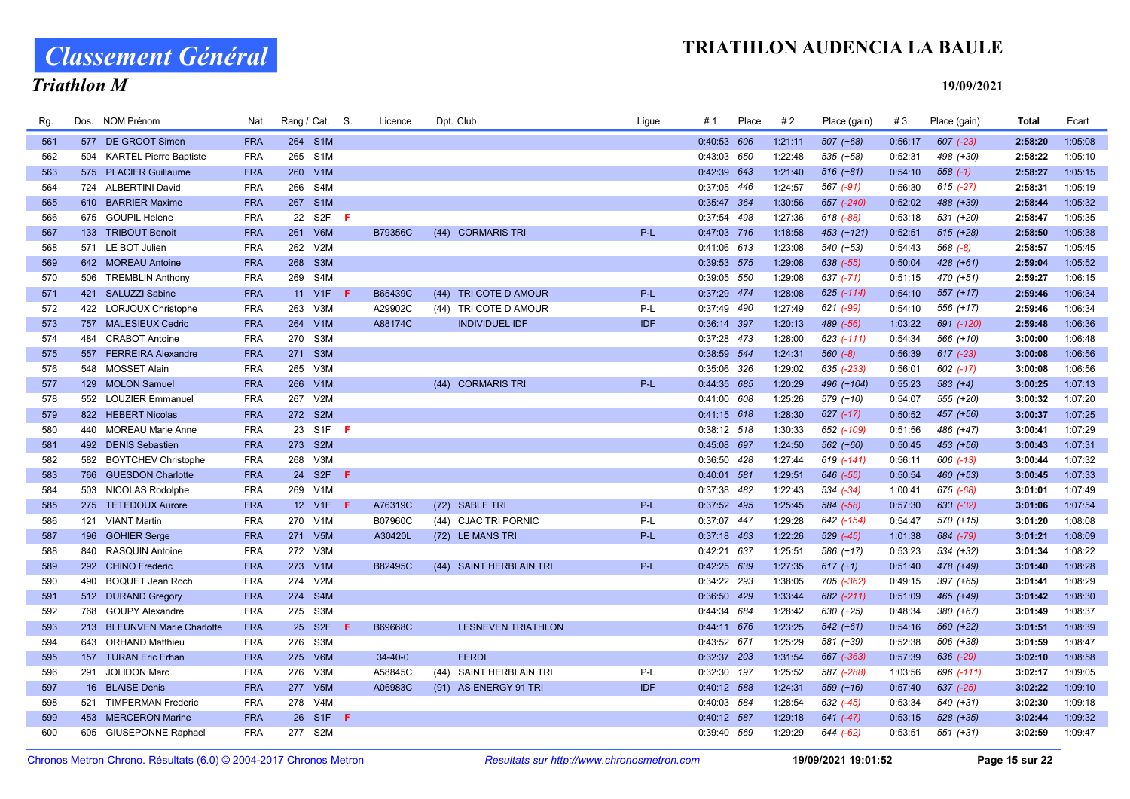Classement Général

## Triathlon M

| Rg. | Dos. | <b>NOM Prénom</b>            | Nat.       | Rang / Cat. S.             | Licence       | Dpt. Club                  | Ligue      | #1            | Place | #2      | Place (gain)  | #3      | Place (gain)  | <b>Total</b> | Ecart   |
|-----|------|------------------------------|------------|----------------------------|---------------|----------------------------|------------|---------------|-------|---------|---------------|---------|---------------|--------------|---------|
| 561 |      | 577 DE GROOT Simon           | <b>FRA</b> | 264 S1M                    |               |                            |            | 0:40:53 606   |       | 1:21:11 | $507 (+68)$   | 0:56:17 | $607$ $(-23)$ | 2:58:20      | 1:05:08 |
| 562 |      | 504 KARTEL Pierre Baptiste   | <b>FRA</b> | 265 S1M                    |               |                            |            | 0:43:03 650   |       | 1:22:48 | 535 (+58)     | 0:52:31 | 498 (+30)     | 2:58:22      | 1:05:10 |
| 563 |      | 575 PLACIER Guillaume        | <b>FRA</b> | 260<br>V1M                 |               |                            |            | 0:42:39 643   |       | 1:21:40 | $516 (+81)$   | 0:54:10 | $558(-1)$     | 2:58:27      | 1:05:15 |
| 564 |      | 724 ALBERTINI David          | <b>FRA</b> | S <sub>4</sub> M<br>266    |               |                            |            | 0:37:05 446   |       | 1:24:57 | 567 (-91)     | 0:56:30 | $615$ (-27)   | 2:58:31      | 1:05:19 |
| 565 |      | 610 BARRIER Maxime           | <b>FRA</b> | 267 S1M                    |               |                            |            | 0:35:47 364   |       | 1:30:56 | 657 (-240)    | 0:52:02 | 488 (+39)     | 2:58:44      | 1:05:32 |
| 566 |      | 675 GOUPIL Helene            | <b>FRA</b> | S2F<br>22<br>- F           |               |                            |            | 0:37:54 498   |       | 1:27:36 | 618 (-88)     | 0:53:18 | 531 (+20)     | 2:58:47      | 1:05:35 |
| 567 |      | 133 TRIBOUT Benoit           | <b>FRA</b> | 261 V6M                    | B79356C       | (44) CORMARIS TRI          | P-L        | 0:47:03 716   |       | 1:18:58 | 453 (+121)    | 0:52:51 | $515 (+28)$   | 2:58:50      | 1:05:38 |
| 568 |      | 571 LE BOT Julien            | <b>FRA</b> | V2M<br>262                 |               |                            |            | 0:41:06 613   |       | 1:23:08 | 540 (+53)     | 0:54:43 | $568 (-8)$    | 2:58:57      | 1:05:45 |
| 569 |      | 642 MOREAU Antoine           | <b>FRA</b> | 268<br>S <sub>3</sub> M    |               |                            |            | 0:39:53 575   |       | 1:29:08 | 638 (-55)     | 0:50:04 | $428 (+61)$   | 2:59:04      | 1:05:52 |
| 570 |      | 506 TREMBLIN Anthony         | <b>FRA</b> | 269 S4M                    |               |                            |            | 0:39:05 550   |       | 1:29:08 | $637$ $(-71)$ | 0:51:15 | 470 (+51)     | 2:59:27      | 1:06:15 |
| 571 |      | 421 SALUZZI Sabine           | <b>FRA</b> | 11 V1F<br>-F.              | B65439C       | TRI COTE D AMOUR<br>(44)   | P-L        | 0:37:29 474   |       | 1:28:08 | 625 (-114)    | 0:54:10 | $557 (+17)$   | 2:59:46      | 1:06:34 |
| 572 |      | 422 LORJOUX Christophe       | <b>FRA</b> | 263<br>V3M                 | A29902C       | (44) TRI COTE D AMOUR      | P-L        | 0:37:49 490   |       | 1:27:49 | 621 (-99)     | 0:54:10 | 556 (+17)     | 2:59:46      | 1:06:34 |
| 573 |      | 757 MALESIEUX Cedric         | <b>FRA</b> | 264<br>V1M                 | A88174C       | <b>INDIVIDUEL IDF</b>      | <b>IDF</b> | 0:36:14 397   |       | 1:20:13 | 489 (-56)     | 1:03:22 | 691 (-120)    | 2:59:48      | 1:06:36 |
| 574 |      | 484 CRABOT Antoine           | <b>FRA</b> | 270<br>S <sub>3</sub> M    |               |                            |            | 0:37:28 473   |       | 1:28:00 | 623 (-111)    | 0:54:34 | 566 (+10)     | 3:00:00      | 1:06:48 |
| 575 |      | 557 FERREIRA Alexandre       | <b>FRA</b> | 271 S3M                    |               |                            |            | 0:38:59 544   |       | 1:24:31 | $560 (-8)$    | 0:56:39 | $617$ $(-23)$ | 3:00:08      | 1:06:56 |
| 576 |      | 548 MOSSET Alain             | <b>FRA</b> | V3M<br>265                 |               |                            |            | 0:35:06 326   |       | 1:29:02 | 635 (-233)    | 0:56:01 | 602 (-17)     | 3:00:08      | 1:06:56 |
| 577 |      | 129 MOLON Samuel             | <b>FRA</b> | 266<br>V1M                 |               | (44) CORMARIS TRI          | P-L        | 0:44:35 685   |       | 1:20:29 | 496 (+104)    | 0:55:23 | $583 (+4)$    | 3:00:25      | 1:07:13 |
| 578 |      | 552 LOUZIER Emmanuel         | <b>FRA</b> | 267<br>V2M                 |               |                            |            | 0:41:00 608   |       | 1:25:26 | 579 (+10)     | 0:54:07 | 555 (+20)     | 3:00:32      | 1:07:20 |
| 579 |      | 822 HEBERT Nicolas           | <b>FRA</b> | 272 S2M                    |               |                            |            | $0:41:15$ 618 |       | 1:28:30 | $627$ $(-17)$ | 0:50:52 | 457 (+56)     | 3:00:37      | 1:07:25 |
| 580 |      | 440 MOREAU Marie Anne        | <b>FRA</b> | 23 S1F F                   |               |                            |            | 0:38:12 518   |       | 1:30:33 | 652 (-109)    | 0:51:56 | 486 (+47)     | 3:00:41      | 1:07:29 |
| 581 |      | 492 DENIS Sebastien          | <b>FRA</b> | 273 S2M                    |               |                            |            | 0:45:08 697   |       | 1:24:50 | 562 (+60)     | 0:50:45 | 453 (+56)     | 3:00:43      | 1:07:31 |
| 582 |      | 582 BOYTCHEV Christophe      | <b>FRA</b> | 268 V3M                    |               |                            |            | 0:36:50 428   |       | 1:27:44 | 619 (-141)    | 0:56:11 | 606 (-13)     | 3:00:44      | 1:07:32 |
| 583 |      | 766 GUESDON Charlotte        | <b>FRA</b> | 24<br>S <sub>2F</sub><br>F |               |                            |            | 0:40:01 581   |       | 1:29:51 | 646 (-55)     | 0:50:54 | $460 (+53)$   | 3:00:45      | 1:07:33 |
| 584 |      | 503 NICOLAS Rodolphe         | <b>FRA</b> | 269<br>V1M                 |               |                            |            | 0:37:38 482   |       | 1:22:43 | 534 (-34)     | 1:00:41 | 675 (-68)     | 3:01:01      | 1:07:49 |
| 585 |      | 275 TETEDOUX Aurore          | <b>FRA</b> | 12 V1F<br>-F.              | A76319C       | (72) SABLE TRI             | P-L        | 0:37:52 495   |       | 1:25:45 | 584 (-58)     | 0:57:30 | $633 (-32)$   | 3:01:06      | 1:07:54 |
| 586 | 121  | <b>VIANT Martin</b>          | <b>FRA</b> | 270<br>V1M                 | B07960C       | (44) CJAC TRI PORNIC       | P-L        | 0:37:07 447   |       | 1:29:28 | 642 (-154)    | 0:54:47 | 570 (+15)     | 3:01:20      | 1:08:08 |
| 587 |      | 196 GOHIER Serge             | <b>FRA</b> | 271 V5M                    | A30420L       | (72) LE MANS TRI           | P-L        | $0:37:18$ 463 |       | 1:22:26 | 529 (-45)     | 1:01:38 | 684 (-79)     | 3:01:21      | 1:08:09 |
| 588 | 840  | RASQUIN Antoine              | <b>FRA</b> | 272 V3M                    |               |                            |            | 0:42:21 637   |       | 1:25:51 | 586 (+17)     | 0:53:23 | 534 (+32)     | 3:01:34      | 1:08:22 |
| 589 |      | 292 CHINO Frederic           | <b>FRA</b> | 273 V1M                    | B82495C       | (44) SAINT HERBLAIN TRI    | P-L        | 0:42:25 639   |       | 1:27:35 | $617 (+1)$    | 0:51:40 | 478 (+49)     | 3:01:40      | 1:08:28 |
| 590 | 490  | <b>BOQUET Jean Roch</b>      | <b>FRA</b> | 274 V2M                    |               |                            |            | 0:34:22 293   |       | 1:38:05 | 705 (-362)    | 0:49:15 | 397 (+65)     | 3:01:41      | 1:08:29 |
| 591 |      | 512 DURAND Gregory           | <b>FRA</b> | 274 S4M                    |               |                            |            | 0:36:50 429   |       | 1:33:44 | 682 (-211)    | 0:51:09 | 465 (+49)     | 3:01:42      | 1:08:30 |
| 592 |      | 768 GOUPY Alexandre          | <b>FRA</b> | 275 S3M                    |               |                            |            | 0:44:34 684   |       | 1:28:42 | 630 (+25)     | 0:48:34 | 380 (+67)     | 3:01:49      | 1:08:37 |
| 593 |      | 213 BLEUNVEN Marie Charlotte | <b>FRA</b> | 25 S2F<br>F.               | B69668C       | <b>LESNEVEN TRIATHLON</b>  |            | 0:44:11 676   |       | 1:23:25 | $542 (+61)$   | 0:54:16 | $560 (+22)$   | 3:01:51      | 1:08:39 |
| 594 |      | 643 ORHAND Matthieu          | <b>FRA</b> | 276<br>S3M                 |               |                            |            | 0:43:52 671   |       | 1:25:29 | 581 (+39)     | 0:52:38 | 506 (+38)     | 3:01:59      | 1:08:47 |
| 595 |      | 157 TURAN Eric Erhan         | <b>FRA</b> | 275 V6M                    | $34 - 40 - 0$ | <b>FERDI</b>               |            | 0:32:37 203   |       | 1:31:54 | 667 (-363)    | 0:57:39 | 636 (-29)     | 3:02:10      | 1:08:58 |
| 596 | 291  | <b>JOLIDON Marc</b>          | <b>FRA</b> | V3M<br>276                 | A58845C       | SAINT HERBLAIN TRI<br>(44) | P-L        | 0:32:30 197   |       | 1:25:52 | 587 (-288)    | 1:03:56 | 696 (-111)    | 3:02:17      | 1:09:05 |
| 597 |      | 16 BLAISE Denis              | <b>FRA</b> | 277 V5M                    | A06983C       | (91) AS ENERGY 91 TRI      | <b>IDF</b> | 0:40:12 588   |       | 1:24:31 | 559 (+16)     | 0:57:40 | 637 (-25)     | 3:02:22      | 1:09:10 |
| 598 |      | 521 TIMPERMAN Frederic       | <b>FRA</b> | 278 V4M                    |               |                            |            | 0:40:03 584   |       | 1:28:54 | 632 (-45)     | 0:53:34 | $540 (+31)$   | 3:02:30      | 1:09:18 |
| 599 |      | 453 MERCERON Marine          | <b>FRA</b> | 26 S1F<br>-F.              |               |                            |            | 0:40:12 587   |       | 1:29:18 | $641$ $(-47)$ | 0:53:15 | $528 (+35)$   | 3:02:44      | 1:09:32 |
| 600 |      | 605 GIUSEPONNE Raphael       | <b>FRA</b> | 277 S2M                    |               |                            |            | 0:39:40 569   |       | 1:29:29 | 644 (-62)     | 0:53:51 | 551 (+31)     | 3:02:59      | 1:09:47 |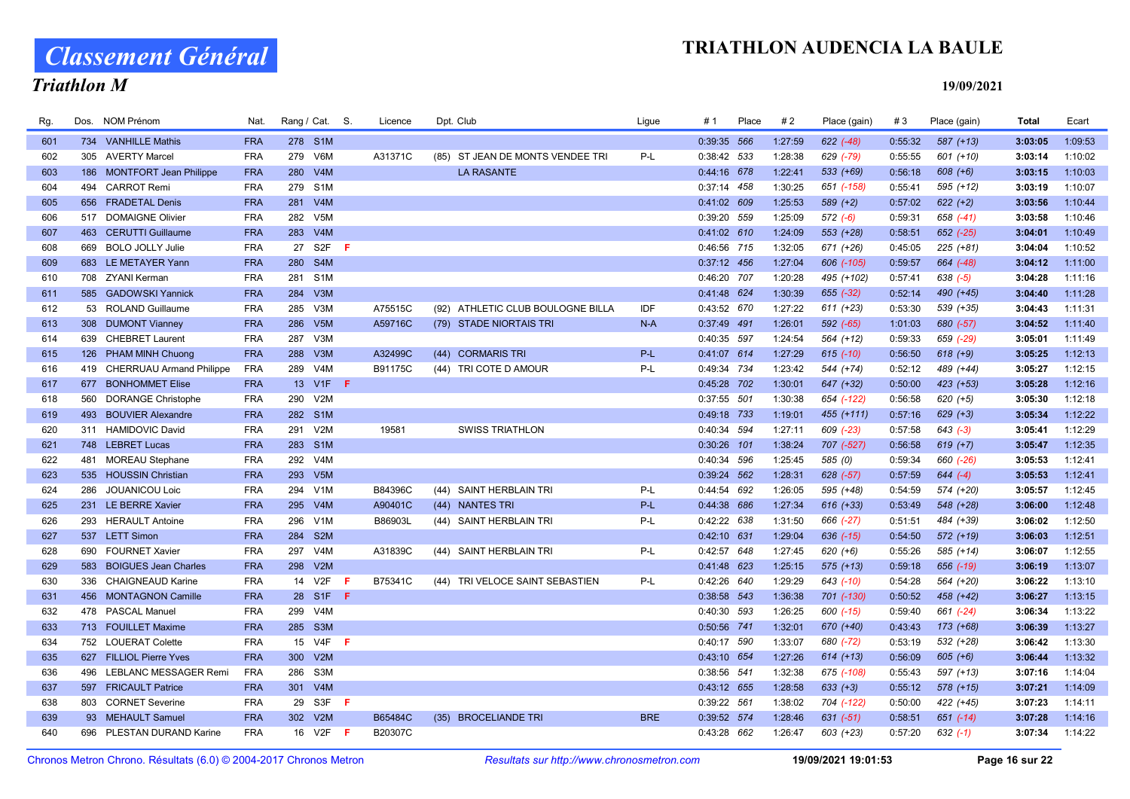# Classement Général

### Triathlon M

| Rg. | Dos. | NOM Prénom                   | Nat.       |     | Rang / Cat. S.   |     | Licence | Dpt. Club                           | Ligue      | # 1         | Place | #2      | Place (gain)  | #3      | Place (gain)  | Total   | Ecart   |
|-----|------|------------------------------|------------|-----|------------------|-----|---------|-------------------------------------|------------|-------------|-------|---------|---------------|---------|---------------|---------|---------|
| 601 |      | 734 VANHILLE Mathis          | <b>FRA</b> |     | 278 S1M          |     |         |                                     |            | 0:39:35 566 |       | 1:27:59 | 622 (-48)     | 0:55:32 | $587 (+13)$   | 3:03:05 | 1:09:53 |
| 602 |      | 305 AVERTY Marcel            | <b>FRA</b> | 279 | V6M              |     | A31371C | ST JEAN DE MONTS VENDEE TRI<br>(85) | P-L        | 0:38:42 533 |       | 1:28:38 | 629 (-79)     | 0:55:55 | 601 (+10)     | 3:03:14 | 1:10:02 |
| 603 |      | 186 MONTFORT Jean Philippe   | <b>FRA</b> | 280 | V4M              |     |         | <b>LA RASANTE</b>                   |            | 0:44:16 678 |       | 1:22:41 | $533 (+69)$   | 0:56:18 | $608 (+6)$    | 3:03:15 | 1:10:03 |
| 604 | 494  | <b>CARROT Remi</b>           | <b>FRA</b> |     | 279 S1M          |     |         |                                     |            | 0:37:14 458 |       | 1:30:25 | 651 (-158)    | 0:55:41 | $595 (+12)$   | 3:03:19 | 1:10:07 |
| 605 |      | 656 FRADETAL Denis           | <b>FRA</b> | 281 | V4M              |     |         |                                     |            | 0:41:02 609 |       | 1:25:53 | $589 (+2)$    | 0:57:02 | $622 (+2)$    | 3:03:56 | 1:10:44 |
| 606 |      | 517 DOMAIGNE Olivier         | <b>FRA</b> | 282 | V <sub>5</sub> M |     |         |                                     |            | 0:39:20 559 |       | 1:25:09 | $572(-6)$     | 0:59:31 | 658 (-41)     | 3:03:58 | 1:10:46 |
| 607 |      | 463 CERUTTI Guillaume        | <b>FRA</b> |     | 283 V4M          |     |         |                                     |            | 0:41:02 610 |       | 1:24:09 | $553 (+28)$   | 0:58:51 | 652 (-25)     | 3:04:01 | 1:10:49 |
| 608 | 669  | <b>BOLO JOLLY Julie</b>      | <b>FRA</b> | 27  | S <sub>2F</sub>  | -F  |         |                                     |            | 0:46:56 715 |       | 1:32:05 | 671 (+26)     | 0:45:05 | $225 (+81)$   | 3:04:04 | 1:10:52 |
| 609 |      | 683 LE METAYER Yann          | <b>FRA</b> |     | 280 S4M          |     |         |                                     |            | 0:37:12 456 |       | 1:27:04 | 606 (-105)    | 0:59:57 | 664 (-48)     | 3:04:12 | 1:11:00 |
| 610 |      | 708 ZYANI Kerman             | <b>FRA</b> | 281 | S1M              |     |         |                                     |            | 0:46:20 707 |       | 1:20:28 | 495 (+102)    | 0:57:41 | $638 (-5)$    | 3:04:28 | 1:11:16 |
| 611 | 585  | <b>GADOWSKI Yannick</b>      | <b>FRA</b> | 284 | V3M              |     |         |                                     |            | 0:41:48 624 |       | 1:30:39 | 655 (-32)     | 0:52:14 | 490 (+45)     | 3:04:40 | 1:11:28 |
| 612 |      | 53 ROLAND Guillaume          | <b>FRA</b> | 285 | V3M              |     | A75515C | (92) ATHLETIC CLUB BOULOGNE BILLA   | IDF        | 0:43:52 670 |       | 1:27:22 | $611 (+23)$   | 0:53:30 | 539 (+35)     | 3:04:43 | 1:11:31 |
| 613 |      | 308 DUMONT Vianney           | <b>FRA</b> | 286 | V <sub>5</sub> M |     | A59716C | (79) STADE NIORTAIS TRI             | $N-A$      | 0:37:49 491 |       | 1:26:01 | 592 (-65)     | 1:01:03 | 680 (-57)     | 3:04:52 | 1:11:40 |
| 614 | 639  | <b>CHEBRET Laurent</b>       | <b>FRA</b> | 287 | V3M              |     |         |                                     |            | 0:40:35 597 |       | 1:24:54 | 564 (+12)     | 0:59:33 | 659 (-29)     | 3:05:01 | 1:11:49 |
| 615 |      | 126 PHAM MINH Chuong         | <b>FRA</b> |     | 288 V3M          |     | A32499C | (44) CORMARIS TRI                   | P-L        | 0:41:07 614 |       | 1:27:29 | $615$ $(-10)$ | 0:56:50 | $618 (+9)$    | 3:05:25 | 1:12:13 |
| 616 |      | 419 CHERRUAU Armand Philippe | <b>FRA</b> |     | 289 V4M          |     | B91175C | (44) TRI COTE D AMOUR               | P-L        | 0:49:34 734 |       | 1:23:42 | 544 (+74)     | 0:52:12 | 489 (+44)     | 3:05:27 | 1:12:15 |
| 617 |      | 677 BONHOMMET Elise          | <b>FRA</b> |     | 13 V1F <b>F</b>  |     |         |                                     |            | 0:45:28 702 |       | 1:30:01 | 647 (+32)     | 0:50:00 | $423 (+53)$   | 3:05:28 | 1:12:16 |
| 618 | 560  | <b>DORANGE Christophe</b>    | <b>FRA</b> | 290 | V2M              |     |         |                                     |            | 0:37:55 501 |       | 1:30:38 | 654 (-122)    | 0:56:58 | $620 (+5)$    | 3:05:30 | 1:12:18 |
| 619 |      | 493 BOUVIER Alexandre        | <b>FRA</b> |     | 282 S1M          |     |         |                                     |            | 0:49:18 733 |       | 1:19:01 | 455 (+111)    | 0:57:16 | $629 (+3)$    | 3:05:34 | 1:12:22 |
| 620 |      | 311 HAMIDOVIC David          | <b>FRA</b> | 291 | V2M              |     | 19581   | <b>SWISS TRIATHLON</b>              |            | 0:40:34 594 |       | 1:27:11 | 609 (-23)     | 0:57:58 | $643$ (-3)    | 3:05:41 | 1:12:29 |
| 621 |      | 748 LEBRET Lucas             | <b>FRA</b> | 283 | S <sub>1</sub> M |     |         |                                     |            | 0:30:26 101 |       | 1:38:24 | 707 (-527)    | 0:56:58 | $619 (+7)$    | 3:05:47 | 1:12:35 |
| 622 |      | 481 MOREAU Stephane          | <b>FRA</b> |     | 292 V4M          |     |         |                                     |            | 0:40:34 596 |       | 1:25:45 | 585 (0)       | 0:59:34 | 660 (-26)     | 3:05:53 | 1:12:41 |
| 623 |      | 535 HOUSSIN Christian        | <b>FRA</b> | 293 | V5M              |     |         |                                     |            | 0:39:24 562 |       | 1:28:31 | 628 (-57)     | 0:57:59 | $644 (-4)$    | 3:05:53 | 1:12:41 |
| 624 | 286  | JOUANICOU Loic               | <b>FRA</b> | 294 | V <sub>1</sub> M |     | B84396C | (44) SAINT HERBLAIN TRI             | $P-L$      | 0:44:54 692 |       | 1:26:05 | 595 (+48)     | 0:54:59 | 574 (+20)     | 3:05:57 | 1:12:45 |
| 625 |      | 231 LE BERRE Xavier          | <b>FRA</b> | 295 | V4M              |     | A90401C | (44) NANTES TRI                     | P-L        | 0:44:38 686 |       | 1:27:34 | $616 (+33)$   | 0:53:49 | 548 (+28)     | 3:06:00 | 1:12:48 |
| 626 |      | 293 HERAULT Antoine          | <b>FRA</b> | 296 | V1M              |     | B86903L | (44) SAINT HERBLAIN TRI             | P-L        | 0:42:22 638 |       | 1:31:50 | 666 (-27)     | 0:51:51 | 484 (+39)     | 3:06:02 | 1:12:50 |
| 627 |      | 537 LETT Simon               | <b>FRA</b> | 284 | S <sub>2M</sub>  |     |         |                                     |            | 0:42:10 631 |       | 1:29:04 | 636 (-15)     | 0:54:50 | $572 (+19)$   | 3:06:03 | 1:12:51 |
| 628 | 690  | <b>FOURNET Xavier</b>        | <b>FRA</b> | 297 | V4M              |     | A31839C | (44) SAINT HERBLAIN TRI             | P-L        | 0:42:57 648 |       | 1:27:45 | $620 (+6)$    | 0:55:26 | 585 (+14)     | 3:06:07 | 1:12:55 |
| 629 | 583  | <b>BOIGUES Jean Charles</b>  | <b>FRA</b> | 298 | V2M              |     |         |                                     |            | 0:41:48 623 |       | 1:25:15 | $575 (+13)$   | 0:59:18 | 656 (-19)     | 3:06:19 | 1:13:07 |
| 630 | 336  | <b>CHAIGNEAUD Karine</b>     | <b>FRA</b> |     | 14 V2F           | -F. | B75341C | (44) TRI VELOCE SAINT SEBASTIEN     | P-L        | 0:42:26 640 |       | 1:29:29 | 643 (-10)     | 0:54:28 | 564 (+20)     | 3:06:22 | 1:13:10 |
| 631 |      | 456 MONTAGNON Camille        | <b>FRA</b> |     | 28 S1F F         |     |         |                                     |            | 0:38:58 543 |       | 1:36:38 | 701 (-130)    | 0:50:52 | 458 (+42)     | 3:06:27 | 1:13:15 |
| 632 |      | 478 PASCAL Manuel            | <b>FRA</b> | 299 | V4M              |     |         |                                     |            | 0:40:30 593 |       | 1:26:25 | 600 (-15)     | 0:59:40 | 661 (-24)     | 3:06:34 | 1:13:22 |
| 633 |      | 713 FOUILLET Maxime          | <b>FRA</b> |     | 285 S3M          |     |         |                                     |            | 0:50:56 741 |       | 1:32:01 | 670 (+40)     | 0:43:43 | $173 (+68)$   | 3:06:39 | 1:13:27 |
| 634 |      | 752 LOUERAT Colette          | <b>FRA</b> |     | 15 V4F           | -F  |         |                                     |            | 0:40:17 590 |       | 1:33:07 | 680 (-72)     | 0:53:19 | 532 (+28)     | 3:06:42 | 1:13:30 |
| 635 |      | 627 FILLIOL Pierre Yves      | <b>FRA</b> | 300 | V2M              |     |         |                                     |            | 0:43:10 654 |       | 1:27:26 | $614 (+13)$   | 0:56:09 | $605 (+6)$    | 3:06:44 | 1:13:32 |
| 636 | 496  | LEBLANC MESSAGER Remi        | <b>FRA</b> | 286 | S <sub>3</sub> M |     |         |                                     |            | 0:38:56 541 |       | 1:32:38 | 675 (-108)    | 0:55:43 | 597 (+13)     | 3:07:16 | 1:14:04 |
| 637 |      | 597 FRICAULT Patrice         | <b>FRA</b> |     | 301 V4M          |     |         |                                     |            | 0:43:12 655 |       | 1:28:58 | $633 (+3)$    | 0:55:12 | 578 (+15)     | 3:07:21 | 1:14:09 |
| 638 |      | 803 CORNET Severine          | <b>FRA</b> |     | 29 S3F           | -F  |         |                                     |            | 0:39:22 561 |       | 1:38:02 | 704 (-122)    | 0:50:00 | 422 (+45)     | 3:07:23 | 1:14:11 |
| 639 |      | 93 MEHAULT Samuel            | <b>FRA</b> |     | 302 V2M          |     | B65484C | (35) BROCELIANDE TRI                | <b>BRE</b> | 0:39:52 574 |       | 1:28:46 | $631 (-51)$   | 0:58:51 | $651$ $(-14)$ | 3:07:28 | 1:14:16 |
| 640 |      | 696 PLESTAN DURAND Karine    | <b>FRA</b> |     | 16 V2F           | - F | B20307C |                                     |            | 0:43:28 662 |       | 1:26:47 | $603 (+23)$   | 0:57:20 | $632(-1)$     | 3:07:34 | 1:14:22 |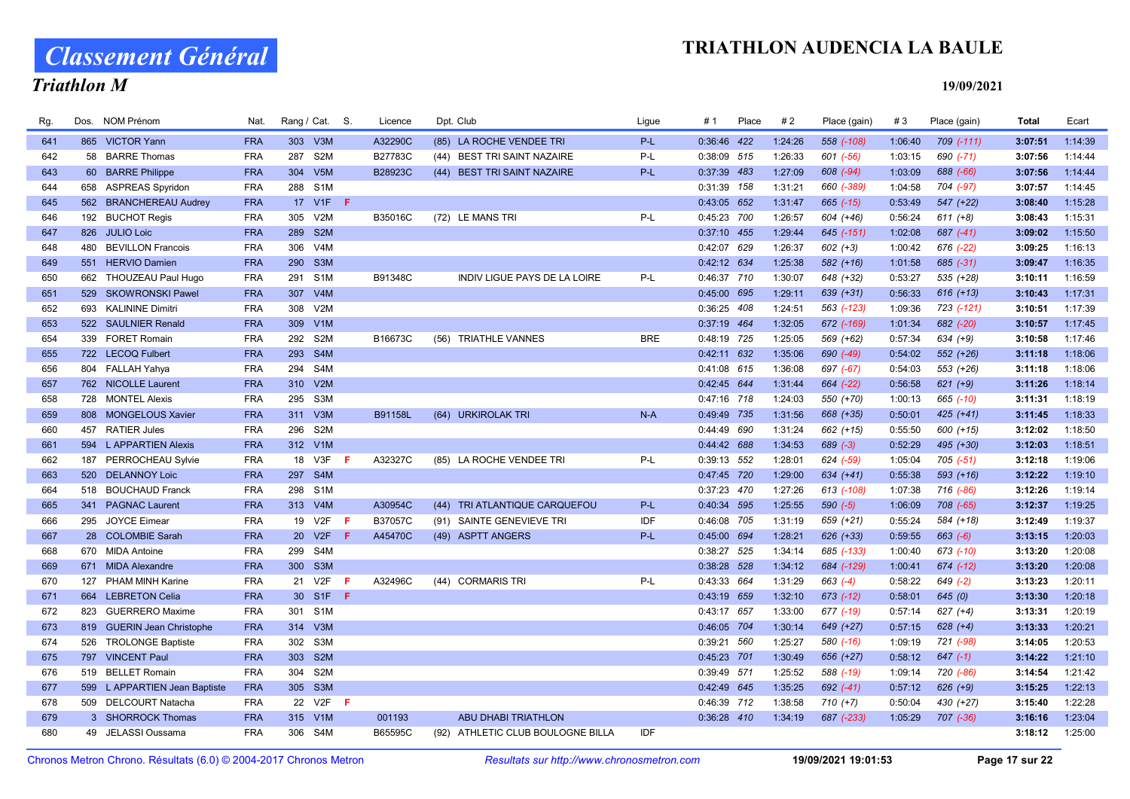# Classement Général

### Triathlon M

| Rg. | Dos. | <b>NOM Prénom</b>             | Nat.       |                 | Rang / Cat. S.   |     | Licence | Dpt. Club                         | Lique      | # 1           | Place | #2      | Place (gain)   | #3      | Place (gain)   | Total   | Ecart   |
|-----|------|-------------------------------|------------|-----------------|------------------|-----|---------|-----------------------------------|------------|---------------|-------|---------|----------------|---------|----------------|---------|---------|
| 641 |      | 865 VICTOR Yann               | <b>FRA</b> |                 | 303 V3M          |     | A32290C | (85) LA ROCHE VENDEE TRI          | P-L        | 0:36:46 422   |       | 1:24:26 | 558 (-108)     | 1:06:40 | $709$ $(-111)$ | 3:07:51 | 1:14:39 |
| 642 |      | 58 BARRE Thomas               | <b>FRA</b> | 287             | S <sub>2</sub> M |     | B27783C | (44) BEST TRI SAINT NAZAIRE       | P-L        | 0:38:09 515   |       | 1:26:33 | 601 (-56)      | 1:03:15 | $690 (-71)$    | 3:07:56 | 1:14:44 |
| 643 | 60   | <b>BARRE Philippe</b>         | <b>FRA</b> |                 | 304 V5M          |     | B28923C | (44) BEST TRI SAINT NAZAIRE       | $P-L$      | 0:37:39 483   |       | 1:27:09 | 608 (-94)      | 1:03:09 | 688 (-66)      | 3:07:56 | 1:14:44 |
| 644 |      | 658 ASPREAS Spyridon          | <b>FRA</b> |                 | 288 S1M          |     |         |                                   |            | 0:31:39 158   |       | 1:31:21 | 660 (-389)     | 1:04:58 | 704 (-97)      | 3:07:57 | 1:14:45 |
| 645 |      | 562 BRANCHEREAU Audrey        | <b>FRA</b> |                 | 17 V1F <b>F</b>  |     |         |                                   |            | 0:43:05 652   |       | 1:31:47 | $665$ $(-15)$  | 0:53:49 | 547 (+22)      | 3:08:40 | 1:15:28 |
| 646 |      | 192 BUCHOT Regis              | <b>FRA</b> | 305             | V2M              |     | B35016C | (72) LE MANS TRI                  | P-L        | 0:45:23 700   |       | 1:26:57 | 604 (+46)      | 0:56:24 | $611 (+8)$     | 3:08:43 | 1:15:31 |
| 647 |      | 826 JULIO Loic                | <b>FRA</b> |                 | 289 S2M          |     |         |                                   |            | 0:37:10 455   |       | 1:29:44 | $645$ $(-151)$ | 1:02:08 | $687 (-41)$    | 3:09:02 | 1:15:50 |
| 648 | 480  | <b>BEVILLON Francois</b>      | <b>FRA</b> | 306             | V <sub>4</sub> M |     |         |                                   |            | 0:42:07 629   |       | 1:26:37 | $602 (+3)$     | 1:00:42 | 676 (-22)      | 3:09:25 | 1:16:13 |
| 649 |      | 551 HERVIO Damien             | <b>FRA</b> |                 | 290 S3M          |     |         |                                   |            | 0:42:12 634   |       | 1:25:38 | $582 (+16)$    | 1:01:58 | 685 (-31)      | 3:09:47 | 1:16:35 |
| 650 |      | 662 THOUZEAU Paul Hugo        | <b>FRA</b> |                 | 291 S1M          |     | B91348C | INDIV LIGUE PAYS DE LA LOIRE      | P-L        | 0:46:37 710   |       | 1:30:07 | 648 (+32)      | 0:53:27 | 535 (+28)      | 3:10:11 | 1:16:59 |
| 651 |      | 529 SKOWRONSKI Pawel          | <b>FRA</b> |                 | 307 V4M          |     |         |                                   |            | 0:45:00 695   |       | 1:29:11 | $639 (+31)$    | 0:56:33 | $616 (+13)$    | 3:10:43 | 1:17:31 |
| 652 |      | 693 KALININE Dimitri          | <b>FRA</b> | 308             | V2M              |     |         |                                   |            | 0:36:25 408   |       | 1:24:51 | 563 (-123)     | 1:09:36 | 723 (-121)     | 3:10:51 | 1:17:39 |
| 653 |      | 522 SAULNIER Renald           | <b>FRA</b> | 309             | V1M              |     |         |                                   |            | 0:37:19 464   |       | 1:32:05 | 672 (-169)     | 1:01:34 | 682 (-20)      | 3:10:57 | 1:17:45 |
| 654 |      | 339 FORET Romain              | <b>FRA</b> | 292             | S2M              |     | B16673C | <b>TRIATHLE VANNES</b><br>(56)    | <b>BRE</b> | 0:48:19 725   |       | 1:25:05 | 569 (+62)      | 0:57:34 | $634 (+9)$     | 3:10:58 | 1:17:46 |
| 655 |      | 722 LECOQ Fulbert             | <b>FRA</b> | 293             | S4M              |     |         |                                   |            | 0:42:11 632   |       | 1:35:06 | 690 (-49)      | 0:54:02 | 552 (+26)      | 3:11:18 | 1:18:06 |
| 656 |      | 804 FALLAH Yahya              | <b>FRA</b> |                 | 294 S4M          |     |         |                                   |            | 0:41:08 615   |       | 1:36:08 | 697 (-67)      | 0:54:03 | 553 (+26)      | 3:11:18 | 1:18:06 |
| 657 |      | 762 NICOLLE Laurent           | <b>FRA</b> |                 | 310 V2M          |     |         |                                   |            | 0:42:45 644   |       | 1:31:44 | 664 (-22)      | 0:56:58 | $621 (+9)$     | 3:11:26 | 1:18:14 |
| 658 | 728  | <b>MONTEL Alexis</b>          | <b>FRA</b> | 295             | S3M              |     |         |                                   |            | 0:47:16 718   |       | 1:24:03 | 550 (+70)      | 1:00:13 | 665 (-10)      | 3:11:31 | 1:18:19 |
| 659 |      | 808 MONGELOUS Xavier          | <b>FRA</b> |                 | 311 V3M          |     | B91158L | (64) URKIROLAK TRI                | $N-A$      | 0:49:49 735   |       | 1:31:56 | 668 (+35)      | 0:50:01 | $425 (+41)$    | 3:11:45 | 1:18:33 |
| 660 |      | 457 RATIER Jules              | <b>FRA</b> |                 | 296 S2M          |     |         |                                   |            | 0:44:49 690   |       | 1:31:24 | 662 (+15)      | 0:55:50 | 600 (+15)      | 3:12:02 | 1:18:50 |
| 661 |      | 594 L APPARTIEN Alexis        | <b>FRA</b> |                 | 312 V1M          |     |         |                                   |            | 0:44:42 688   |       | 1:34:53 | $689 (-3)$     | 0:52:29 | 495 (+30)      | 3:12:03 | 1:18:51 |
| 662 |      | 187 PERROCHEAU Sylvie         | <b>FRA</b> |                 | 18 V3F           | -F  | A32327C | (85) LA ROCHE VENDEE TRI          | P-L        | 0:39:13 552   |       | 1:28:01 | 624 (-59)      | 1:05:04 | $705 (-51)$    | 3:12:18 | 1:19:06 |
| 663 | 520  | <b>DELANNOY Loic</b>          | <b>FRA</b> | 297             | S <sub>4</sub> M |     |         |                                   |            | 0:47:45 720   |       | 1:29:00 | $634 (+41)$    | 0:55:38 | 593 (+16)      | 3:12:22 | 1:19:10 |
| 664 | 518  | <b>BOUCHAUD Franck</b>        | <b>FRA</b> | 298             | S <sub>1</sub> M |     |         |                                   |            | 0:37:23 470   |       | 1:27:26 | 613 (-108)     | 1:07:38 | 716 (-86)      | 3:12:26 | 1:19:14 |
| 665 |      | 341 PAGNAC Laurent            | <b>FRA</b> |                 | 313 V4M          |     | A30954C | TRI ATLANTIQUE CARQUEFOU<br>(44)  | $P-L$      | 0:40:34 595   |       | 1:25:55 | $590 (-5)$     | 1:06:09 | 708 (-65)      | 3:12:37 | 1:19:25 |
| 666 |      | 295 JOYCE Eimear              | <b>FRA</b> |                 | 19 V2F           | -F  | B37057C | (91) SAINTE GENEVIEVE TRI         | IDF        | 0:46:08 705   |       | 1:31:19 | 659 (+21)      | 0:55:24 | 584 (+18)      | 3:12:49 | 1:19:37 |
| 667 |      | 28 COLOMBIE Sarah             | <b>FRA</b> | 20 <sup>°</sup> | V2F              | -F. | A45470C | (49) ASPTT ANGERS                 | $P-L$      | 0:45:00 694   |       | 1:28:21 | 626 (+33)      | 0:59:55 | $663 (-6)$     | 3:13:15 | 1:20:03 |
| 668 |      | 670 MIDA Antoine              | <b>FRA</b> | 299             | S4M              |     |         |                                   |            | 0:38:27 525   |       | 1:34:14 | 685 (-133)     | 1:00:40 | 673 (-10)      | 3:13:20 | 1:20:08 |
| 669 |      | 671 MIDA Alexandre            | <b>FRA</b> |                 | 300 S3M          |     |         |                                   |            | 0:38:28 528   |       | 1:34:12 | 684 (-129)     | 1:00:41 | $674$ $(-12)$  | 3:13:20 | 1:20:08 |
| 670 |      | 127 PHAM MINH Karine          | <b>FRA</b> |                 | 21 V2F           | -F. | A32496C | (44) CORMARIS TRI                 | P-L        | 0:43:33 664   |       | 1:31:29 | $663$ $(-4)$   | 0:58:22 | $649$ $(-2)$   | 3:13:23 | 1:20:11 |
| 671 |      | 664 LEBRETON Celia            | <b>FRA</b> |                 | 30 S1F F         |     |         |                                   |            | 0:43:19 659   |       | 1:32:10 | 673 (-12)      | 0:58:01 | 645(0)         | 3:13:30 | 1:20:18 |
| 672 |      | 823 GUERRERO Maxime           | <b>FRA</b> | 301             | S <sub>1</sub> M |     |         |                                   |            | 0:43:17 657   |       | 1:33:00 | 677 (-19)      | 0:57:14 | $627 (+4)$     | 3:13:31 | 1:20:19 |
| 673 |      | 819 GUERIN Jean Christophe    | <b>FRA</b> |                 | 314 V3M          |     |         |                                   |            | 0:46:05 704   |       | 1:30:14 | 649 (+27)      | 0:57:15 | $628 (+4)$     | 3:13:33 | 1:20:21 |
| 674 | 526  | <b>TROLONGE Baptiste</b>      | <b>FRA</b> |                 | 302 S3M          |     |         |                                   |            | 0:39:21 560   |       | 1:25:27 | 580 (-16)      | 1:09:19 | 721 (-98)      | 3:14:05 | 1:20:53 |
| 675 |      | 797 VINCENT Paul              | <b>FRA</b> | 303             | S <sub>2M</sub>  |     |         |                                   |            | 0:45:23 701   |       | 1:30:49 | 656 (+27)      | 0:58:12 | $647$ $(-1)$   | 3:14:22 | 1:21:10 |
| 676 |      | 519 BELLET Romain             | <b>FRA</b> |                 | 304 S2M          |     |         |                                   |            | 0:39:49 571   |       | 1:25:52 | 588 (-19)      | 1:09:14 | 720 (-86)      | 3:14:54 | 1:21:42 |
| 677 |      | 599 L APPARTIEN Jean Baptiste | <b>FRA</b> |                 | 305 S3M          |     |         |                                   |            | 0:42:49 645   |       | 1:35:25 | $692 (-41)$    | 0:57:12 | $626 (+9)$     | 3:15:25 | 1:22:13 |
| 678 |      | 509 DELCOURT Natacha          | <b>FRA</b> | 22              | V2F              | - F |         |                                   |            | 0:46:39 712   |       | 1:38:58 | $710 (+7)$     | 0:50:04 | 430 (+27)      | 3:15:40 | 1:22:28 |
| 679 |      | 3 SHORROCK Thomas             | <b>FRA</b> |                 | 315 V1M          |     | 001193  | <b>ABU DHABI TRIATHLON</b>        |            | $0:36:28$ 410 |       | 1:34:19 | 687 (-233)     | 1:05:29 | 707 (-36)      | 3:16:16 | 1:23:04 |
| 680 |      | 49 JELASSI Oussama            | <b>FRA</b> |                 | 306 S4M          |     | B65595C | (92) ATHLETIC CLUB BOULOGNE BILLA | <b>IDF</b> |               |       |         |                |         |                | 3:18:12 | 1:25:00 |
|     |      |                               |            |                 |                  |     |         |                                   |            |               |       |         |                |         |                |         |         |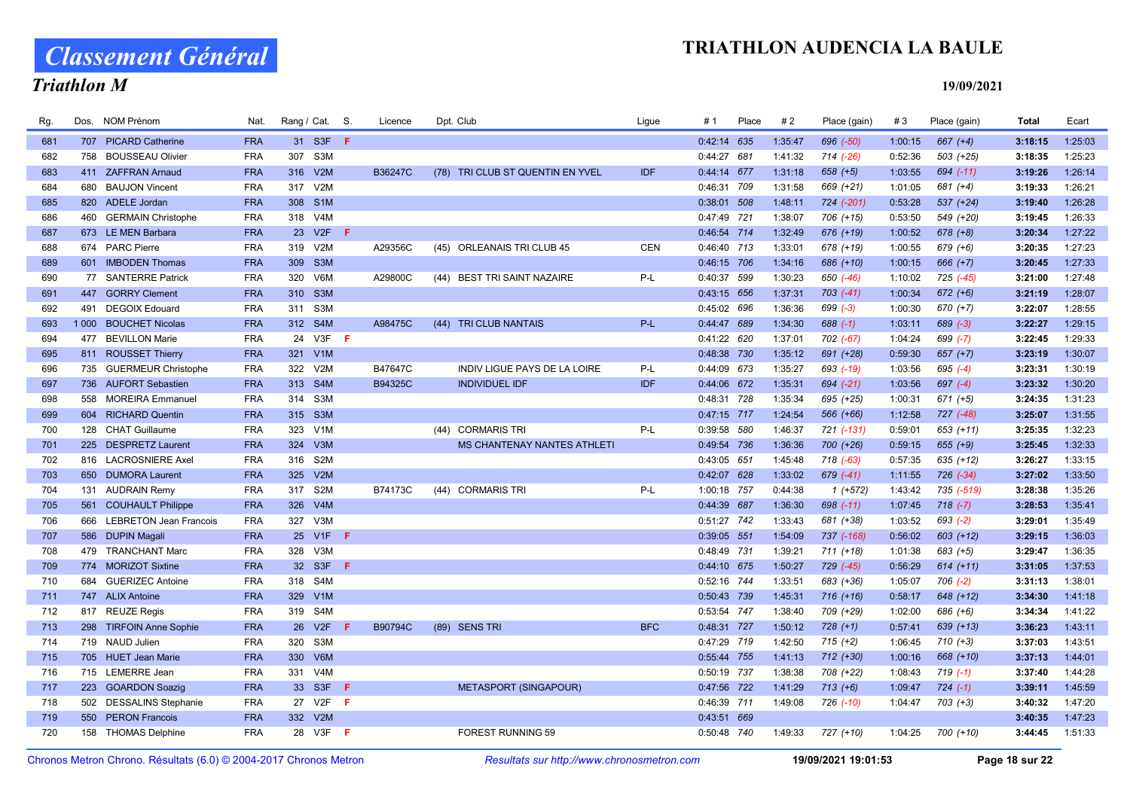Classement Général

### Triathlon M

| Rg. | Dos.    | NOM Prénom                 | Nat.       | Rang / Cat. S.          |     | Licence | Dpt. Club                           | Ligue      | #1            | Place | #2      | Place (gain)  | #3      | Place (gain)  | <b>Total</b> | Ecart   |
|-----|---------|----------------------------|------------|-------------------------|-----|---------|-------------------------------------|------------|---------------|-------|---------|---------------|---------|---------------|--------------|---------|
| 681 |         | 707 PICARD Catherine       | <b>FRA</b> | 31 S3F F                |     |         |                                     |            | $0:42:14$ 635 |       | 1:35:47 | 696 (-50)     | 1:00:15 | $667 (+4)$    | 3:18:15      | 1:25:03 |
| 682 | 758     | <b>BOUSSEAU Olivier</b>    | <b>FRA</b> | S <sub>3</sub> M<br>307 |     |         |                                     |            | 0:44:27 681   |       | 1:41:32 | 714 (-26)     | 0:52:36 | $503 (+25)$   | 3:18:35      | 1:25:23 |
| 683 | 411     | <b>ZAFFRAN Arnaud</b>      | <b>FRA</b> | V2M<br>316              |     | B36247C | TRI CLUB ST QUENTIN EN YVEL<br>(78) | <b>IDF</b> | 0:44:14 677   |       | 1:31:18 | $658 (+5)$    | 1:03:55 | $694$ $(-11)$ | 3:19:26      | 1:26:14 |
| 684 | 680     | <b>BAUJON Vincent</b>      | <b>FRA</b> | V2M<br>317              |     |         |                                     |            | 0:46:31 709   |       | 1:31:58 | 669 (+21)     | 1:01:05 | $681 (+4)$    | 3:19:33      | 1:26:21 |
| 685 |         | 820 ADELE Jordan           | <b>FRA</b> | 308<br>S <sub>1</sub> M |     |         |                                     |            | 0:38:01 508   |       | 1:48:11 | 724 (-201)    | 0:53:28 | 537 (+24)     | 3:19:40      | 1:26:28 |
| 686 | 460     | <b>GERMAIN Christophe</b>  | <b>FRA</b> | 318 V4M                 |     |         |                                     |            | 0:47:49 721   |       | 1:38:07 | 706 (+15)     | 0:53:50 | 549 (+20)     | 3:19:45      | 1:26:33 |
| 687 |         | 673 LE MEN Barbara         | <b>FRA</b> | 23<br>V2F               | -F. |         |                                     |            | 0:46:54 714   |       | 1:32:49 | 676 (+19)     | 1:00:52 | $678 (+8)$    | 3:20:34      | 1:27:22 |
| 688 |         | 674 PARC Pierre            | <b>FRA</b> | 319<br>V2N              |     | A29356C | (45) ORLEANAIS TRI CLUB 45          | <b>CEN</b> | 0:46:40 713   |       | 1:33:01 | 678 (+19)     | 1:00:55 | $679 (+6)$    | 3:20:35      | 1:27:23 |
| 689 |         | 601 IMBODEN Thomas         | <b>FRA</b> | 309 S3M                 |     |         |                                     |            | 0:46:15 706   |       | 1:34:16 | 686 (+10)     | 1:00:15 | $666 (+7)$    | 3:20:45      | 1:27:33 |
| 690 |         | 77 SANTERRE Patrick        | <b>FRA</b> | 320<br>V6M              |     | A29800C | (44) BEST TRI SAINT NAZAIRE         | P-L        | 0:40:37 599   |       | 1:30:23 | 650 (-46)     | 1:10:02 | 725 (-45)     | 3:21:00      | 1:27:48 |
| 691 | 447     | <b>GORRY Clement</b>       | <b>FRA</b> | 310 S3M                 |     |         |                                     |            | 0:43:15 656   |       | 1:37:31 | $703$ $(-41)$ | 1:00:34 | $672 (+6)$    | 3:21:19      | 1:28:07 |
| 692 | 491     | <b>DEGOIX Edouard</b>      | <b>FRA</b> | 311<br>S3M              |     |         |                                     |            | 0:45:02 696   |       | 1:36:36 | $699 (-3)$    | 1:00:30 | $670 (+7)$    | 3:22:07      | 1:28:55 |
| 693 | 1 0 0 0 | <b>BOUCHET Nicolas</b>     | <b>FRA</b> | 312 S4M                 |     | A98475C | (44)<br><b>TRI CLUB NANTAIS</b>     | $P-L$      | 0:44:47 689   |       | 1:34:30 | $688(-1)$     | 1:03:11 | $689 (-3)$    | 3:22:27      | 1:29:15 |
| 694 | 477     | <b>BEVILLON Marie</b>      | <b>FRA</b> | 24 V3F <b>F</b>         |     |         |                                     |            | 0:41:22 620   |       | 1:37:01 | 702 (-67)     | 1:04:24 | $699 (-7)$    | 3:22:45      | 1:29:33 |
| 695 |         | 811 ROUSSET Thierry        | <b>FRA</b> | 321<br>V1M              |     |         |                                     |            | 0:48:38 730   |       | 1:35:12 | 691 (+28)     | 0:59:30 | $657 (+7)$    | 3:23:19      | 1:30:07 |
| 696 |         | 735 GUERMEUR Christophe    | <b>FRA</b> | 322 V2M                 |     | B47647C | INDIV LIGUE PAYS DE LA LOIRE        | P-L        | 0:44:09 673   |       | 1:35:27 | 693 (-19)     | 1:03:56 | 695 $(-4)$    | 3:23:31      | 1:30:19 |
| 697 |         | 736 AUFORT Sebastien       | <b>FRA</b> | 313<br>S <sub>4</sub> M |     | B94325C | <b>INDIVIDUEL IDF</b>               | <b>IDF</b> | 0:44:06 672   |       | 1:35:31 | 694 (-21)     | 1:03:56 | $697 (-4)$    | 3:23:32      | 1:30:20 |
| 698 | 558     | <b>MOREIRA Emmanuel</b>    | <b>FRA</b> | S <sub>3</sub> M<br>314 |     |         |                                     |            | 0:48:31 728   |       | 1:35:34 | 695 (+25)     | 1:00:31 | $671 (+5)$    | 3:24:35      | 1:31:23 |
| 699 |         | 604 RICHARD Quentin        | <b>FRA</b> | 315 S3M                 |     |         |                                     |            | 0:47:15 717   |       | 1:24:54 | 566 (+66)     | 1:12:58 | $727 (-48)$   | 3:25:07      | 1:31:55 |
| 700 | 128     | <b>CHAT Guillaume</b>      | <b>FRA</b> | V1M<br>323              |     |         | <b>CORMARIS TRI</b><br>(44)         | P-L        | 0:39:58 580   |       | 1:46:37 | 721 (-131)    | 0:59:01 | $653 (+11)$   | 3:25:35      | 1:32:23 |
| 701 |         | 225 DESPRETZ Laurent       | <b>FRA</b> | 324<br>V3M              |     |         | MS CHANTENAY NANTES ATHLETI         |            | 0:49:54 736   |       | 1:36:36 | 700 (+26)     | 0:59:15 | $655 (+9)$    | 3:25:45      | 1:32:33 |
| 702 |         | 816 LACROSNIERE Axel       | <b>FRA</b> | S <sub>2</sub> M<br>316 |     |         |                                     |            | 0:43:05 651   |       | 1:45:48 | $718$ $(-63)$ | 0:57:35 | $635 (+12)$   | 3:26:27      | 1:33:15 |
| 703 |         | 650 DUMORA Laurent         | <b>FRA</b> | V2M<br>325              |     |         |                                     |            | 0:42:07 628   |       | 1:33:02 | 679 (-41)     | 1:11:55 | $726 (-34)$   | 3:27:02      | 1:33:50 |
| 704 |         | 131 AUDRAIN Remy           | <b>FRA</b> | S <sub>2</sub> M<br>317 |     | B74173C | <b>CORMARIS TRI</b><br>(44)         | P-L        | 1:00:18 757   |       | 0:44:38 | $1(+572)$     | 1:43:42 | 735 (-519)    | 3:28:38      | 1:35:26 |
| 705 | 561     | <b>COUHAULT Philippe</b>   | <b>FRA</b> | V4M<br>326              |     |         |                                     |            | 0:44:39 687   |       | 1:36:30 | 698 (-11)     | 1:07:45 | $718(-7)$     | 3:28:53      | 1:35:41 |
| 706 |         | 666 LEBRETON Jean Francois | <b>FRA</b> | 327 V3M                 |     |         |                                     |            | 0:51:27 742   |       | 1:33:43 | 681 (+38)     | 1:03:52 | $693 (-2)$    | 3:29:01      | 1:35:49 |
| 707 | 586     | <b>DUPIN Magali</b>        | <b>FRA</b> | V <sub>1F</sub><br>25   | F   |         |                                     |            | 0:39:05 551   |       | 1:54:09 | 737 (-168)    | 0:56:02 | $603 (+12)$   | 3:29:15      | 1:36:03 |
| 708 | 479     | <b>TRANCHANT Marc</b>      | <b>FRA</b> | V3N<br>328              |     |         |                                     |            | 0:48:49 731   |       | 1:39:21 | $711 (+18)$   | 1:01:38 | 683 (+5)      | 3:29:47      | 1:36:35 |
| 709 |         | 774 MORIZOT Sixtine        | <b>FRA</b> | 32 S3F                  | F.  |         |                                     |            | 0:44:10 675   |       | 1:50:27 | 729 (-45)     | 0:56:29 | $614 (+11)$   | 3:31:05      | 1:37:53 |
| 710 | 684     | <b>GUERIZEC Antoine</b>    | <b>FRA</b> | 318 S4M                 |     |         |                                     |            | 0:52:16 744   |       | 1:33:51 | 683 (+36)     | 1:05:07 | $706$ $(-2)$  | 3:31:13      | 1:38:01 |
| 711 |         | 747 ALIX Antoine           | <b>FRA</b> | 329 V1M                 |     |         |                                     |            | 0:50:43 739   |       | 1:45:31 | $716 (+16)$   | 0:58:17 | 648 (+12)     | 3:34:30      | 1:41:18 |
| 712 | 817     | <b>REUZE Regis</b>         | <b>FRA</b> | S4M<br>319              |     |         |                                     |            | 0:53:54 747   |       | 1:38:40 | 709 (+29)     | 1:02:00 | 686 (+6)      | 3:34:34      | 1:41:22 |
| 713 | 298     | <b>TIRFOIN Anne Sophie</b> | <b>FRA</b> | 26 V2F                  | F.  | B90794C | (89) SENS TRI                       | <b>BFC</b> | 0:48:31 727   |       | 1:50:12 | $728 (+1)$    | 0:57:41 | $639 (+13)$   | 3:36:23      | 1:43:11 |
| 714 |         | 719 NAUD Julien            | <b>FRA</b> | S <sub>3</sub> M<br>320 |     |         |                                     |            | 0:47:29 719   |       | 1:42:50 | $715 (+2)$    | 1:06:45 | $710 (+3)$    | 3:37:03      | 1:43:51 |
| 715 |         | 705 HUET Jean Marie        | <b>FRA</b> | 330<br>V6M              |     |         |                                     |            | 0:55:44 755   |       | 1:41:13 | $712 (+30)$   | 1:00:16 | 668 (+10)     | 3:37:13      | 1:44:01 |
| 716 |         | 715 LEMERRE Jean           | <b>FRA</b> | V4N<br>331              |     |         |                                     |            | 0:50:19 737   |       | 1:38:38 | 708 (+22)     | 1:08:43 | $719(-1)$     | 3:37:40      | 1:44:28 |
| 717 |         | 223 GOARDON Soaziq         | <b>FRA</b> | S <sub>3F</sub><br>33   | F   |         | <b>METASPORT (SINGAPOUR)</b>        |            | 0:47:56 722   |       | 1:41:29 | $713 (+6)$    | 1:09:47 | $724 (-1)$    | 3:39:11      | 1:45:59 |
| 718 |         | 502 DESSALINS Stephanie    | <b>FRA</b> | 27 V2F                  | −Ē. |         |                                     |            | 0:46:39 711   |       | 1:49:08 | 726 (-10)     | 1:04:47 | $703 (+3)$    | 3:40:32      | 1:47:20 |
| 719 | 550     | <b>PERON Francois</b>      | <b>FRA</b> | 332 V2M                 |     |         |                                     |            | 0:43:51 669   |       |         |               |         |               | 3:40:35      | 1:47:23 |
| 720 |         | 158 THOMAS Delphine        | <b>FRA</b> | 28 V3F F                |     |         | <b>FOREST RUNNING 59</b>            |            | 0:50:48 740   |       | 1:49:33 | 727 (+10)     | 1:04:25 | 700 (+10)     | 3:44:45      | 1:51:33 |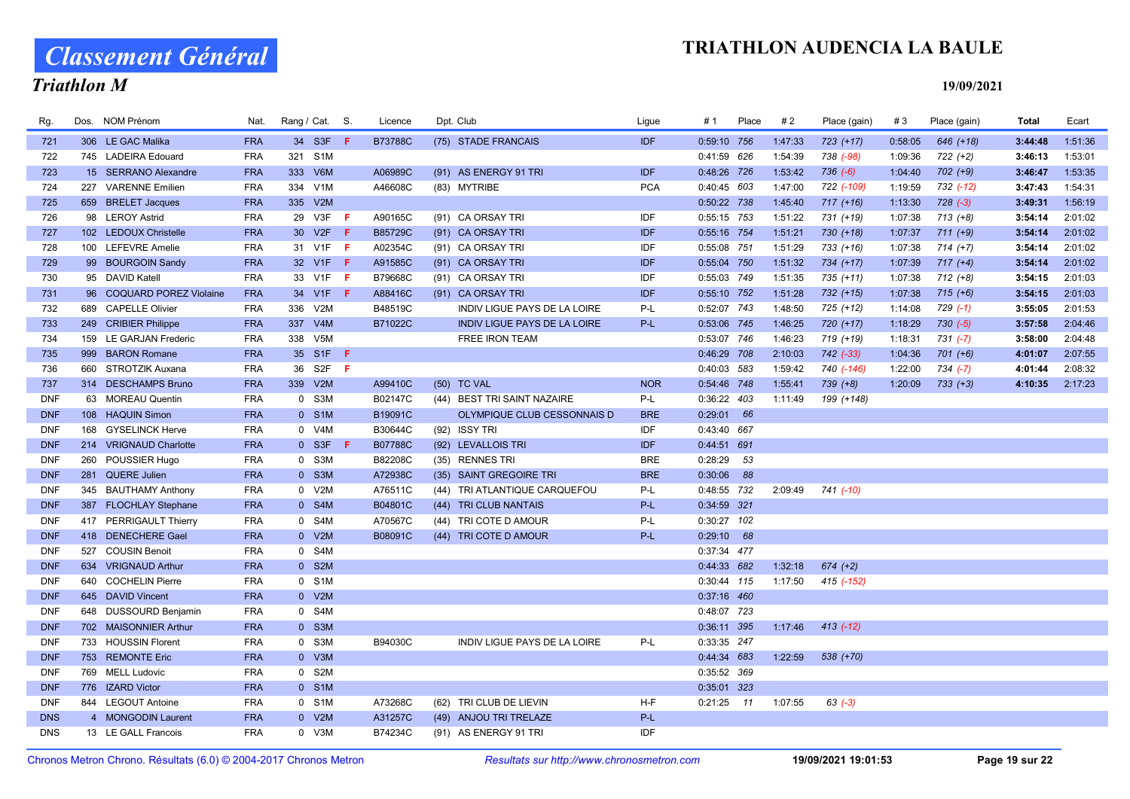# Classement Général

### Triathlon M

| Rg.        | Dos. NOM Prénom           | Nat.       | Rang / Cat. S. |                 |      | Licence        | Dpt. Club                           | Ligue      | # 1           | Place | #2      | Place (gain)  | #3      | Place (gain) | <b>Total</b> | Ecart   |
|------------|---------------------------|------------|----------------|-----------------|------|----------------|-------------------------------------|------------|---------------|-------|---------|---------------|---------|--------------|--------------|---------|
| 721        | 306 LE GAC Malika         | <b>FRA</b> |                | 34 S3F          | - F  | <b>B73788C</b> | (75) STADE FRANCAIS                 | IDF        | 0:59:10 756   |       | 1:47:33 | 723 (+17)     | 0:58:05 | 646 (+18)    | 3:44:48      | 1:51:36 |
| 722        | 745 LADEIRA Edouard       | <b>FRA</b> | 321 S1M        |                 |      |                |                                     |            | 0:41:59 626   |       | 1:54:39 | 738 (-98)     | 1:09:36 | 722 (+2)     | 3:46:13      | 1:53:01 |
| 723        | 15 SERRANO Alexandre      | <b>FRA</b> | 333 V6M        |                 |      | A06989C        | (91) AS ENERGY 91 TRI               | <b>IDF</b> | 0:48:26 726   |       | 1:53:42 | $736 (-6)$    | 1:04:40 | $702 (+9)$   | 3:46:47      | 1:53:35 |
| 724        | 227 VARENNE Emilien       | <b>FRA</b> | 334 V1M        |                 |      | A46608C        | (83) MYTRIBE                        | <b>PCA</b> | 0:40:45 603   |       | 1:47:00 | 722 (-109)    | 1:19:59 | 732 (-12)    | 3:47:43      | 1:54:31 |
| 725        | 659 BRELET Jacques        | <b>FRA</b> | 335 V2M        |                 |      |                |                                     |            | 0:50:22 738   |       | 1:45:40 | $717 (+16)$   | 1:13:30 | $728 (-3)$   | 3:49:31      | 1:56:19 |
| 726        | 98 LEROY Astrid           | <b>FRA</b> |                | 29 V3F          | - F  | A90165C        | (91) CA ORSAY TRI                   | <b>IDF</b> | 0:55:15 753   |       | 1:51:22 | 731 (+19)     | 1:07:38 | $713 (+8)$   | 3:54:14      | 2:01:02 |
| 727        | 102 LEDOUX Christelle     | <b>FRA</b> |                | 30 V2F F        |      | B85729C        | (91) CA ORSAY TRI                   | <b>IDF</b> | 0:55:16 754   |       | 1:51:21 | $730 (+18)$   | 1:07:37 | $711 (+9)$   | 3:54:14      | 2:01:02 |
| 728        | 100 LEFEVRE Amelie        | <b>FRA</b> |                | 31 V1F          | - F  | A02354C        | (91) CA ORSAY TRI                   | IDF        | 0:55:08 751   |       | 1:51:29 | $733 (+16)$   | 1:07:38 | $714 (+7)$   | 3:54:14      | 2:01:02 |
| 729        | 99 BOURGOIN Sandy         | <b>FRA</b> |                | 32 V1F          | - F  | A91585C        | (91) CA ORSAY TRI                   | IDF        | 0:55:04 750   |       | 1:51:32 | 734 (+17)     | 1:07:39 | $717 (+4)$   | 3:54:14      | 2:01:02 |
| 730        | 95 DAVID Katell           | <b>FRA</b> |                | 33 V1F          | $-F$ | B79668C        | (91) CA ORSAY TRI                   | IDF        | 0:55:03 749   |       | 1:51:35 | $735 (+11)$   | 1:07:38 | $712 (+8)$   | 3:54:15      | 2:01:03 |
| 731        | 96 COQUARD POREZ Violaine | <b>FRA</b> |                | 34 V1F <b>F</b> |      | A88416C        | (91) CA ORSAY TRI                   | IDF        | 0:55:10 752   |       | 1:51:28 | 732 (+15)     | 1:07:38 | $715 (+6)$   | 3:54:15      | 2:01:03 |
| 732        | 689 CAPELLE Olivier       | <b>FRA</b> | 336 V2M        |                 |      | B48519C        | INDIV LIGUE PAYS DE LA LOIRE        | P-L        | 0:52:07 743   |       | 1:48:50 | 725 (+12)     | 1:14:08 | $729(-1)$    | 3:55:05      | 2:01:53 |
| 733        | 249 CRIBIER Philippe      | <b>FRA</b> | 337 V4M        |                 |      | B71022C        | <b>INDIV LIGUE PAYS DE LA LOIRE</b> | $P-L$      | 0:53:06 745   |       | 1:46:25 | $720 (+17)$   | 1:18:29 | $730 (-5)$   | 3:57:58      | 2:04:46 |
| 734        | 159 LE GARJAN Frederic    | <b>FRA</b> | 338 V5M        |                 |      |                | FREE IRON TEAM                      |            | 0:53:07 746   |       | 1:46:23 | 719 (+19)     | 1:18:31 | 731 (-7)     | 3:58:00      | 2:04:48 |
| 735        | 999 BARON Romane          | <b>FRA</b> |                | 35 S1F F        |      |                |                                     |            | 0:46:29 708   |       | 2:10:03 | $742$ $(-33)$ | 1:04:36 | $701 (+6)$   | 4:01:07      | 2:07:55 |
| 736        | 660 STROTZIK Auxana       | <b>FRA</b> |                | 36 S2F <b>F</b> |      |                |                                     |            | 0:40:03 583   |       | 1:59:42 | 740 (-146)    | 1:22:00 | 734 (-7)     | 4:01:44      | 2:08:32 |
| 737        | 314 DESCHAMPS Bruno       | <b>FRA</b> | 339 V2M        |                 |      | A99410C        | (50) TC VAL                         | <b>NOR</b> | 0:54:46 748   |       | 1:55:41 | $739 (+8)$    | 1:20:09 | $733 (+3)$   | 4:10:35      | 2:17:23 |
| <b>DNF</b> | 63 MOREAU Quentin         | <b>FRA</b> |                | 0 S3M           |      | B02147C        | (44) BEST TRI SAINT NAZAIRE         | P-L        | 0:36:22 403   |       | 1:11:49 | 199 (+148)    |         |              |              |         |
| <b>DNF</b> | 108 HAQUIN Simon          | <b>FRA</b> |                | 0 S1M           |      | B19091C        | OLYMPIQUE CLUB CESSONNAIS D         | <b>BRE</b> | $0:29:01$ 66  |       |         |               |         |              |              |         |
| <b>DNF</b> | 168 GYSELINCK Herve       | <b>FRA</b> |                | 0 V4M           |      | B30644C        | (92) ISSY TRI                       | IDF        | 0:43:40 667   |       |         |               |         |              |              |         |
| <b>DNF</b> | 214 VRIGNAUD Charlotte    | <b>FRA</b> |                | $0$ S3F         | -F   | <b>B07788C</b> | (92) LEVALLOIS TRI                  | <b>IDF</b> | 0:44:51 691   |       |         |               |         |              |              |         |
| <b>DNF</b> | 260 POUSSIER Hugo         | <b>FRA</b> |                | 0 S3M           |      | B82208C        | (35) RENNES TRI                     | <b>BRE</b> | $0:28:29$ 53  |       |         |               |         |              |              |         |
| <b>DNF</b> | 281 QUERE Julien          | <b>FRA</b> |                | 0 S3M           |      | A72938C        | (35) SAINT GREGOIRE TRI             | <b>BRE</b> | $0:30:06$ 88  |       |         |               |         |              |              |         |
| <b>DNF</b> | 345 BAUTHAMY Anthony      | <b>FRA</b> |                | 0 V2M           |      | A76511C        | (44) TRI ATLANTIQUE CARQUEFOU       | P-L        | 0:48:55 732   |       | 2:09:49 | 741 (-10)     |         |              |              |         |
| <b>DNF</b> | 387 FLOCHLAY Stephane     | <b>FRA</b> |                | 0 S4M           |      | B04801C        | (44) TRI CLUB NANTAIS               | P-L        | 0:34:59 321   |       |         |               |         |              |              |         |
| <b>DNF</b> | 417 PERRIGAULT Thierry    | <b>FRA</b> |                | 0 S4M           |      | A70567C        | (44) TRI COTE D AMOUR               | P-L        | $0:30:27$ 102 |       |         |               |         |              |              |         |
| <b>DNF</b> | 418 DENECHERE Gael        | <b>FRA</b> |                | 0 V2M           |      | B08091C        | (44) TRI COTE D AMOUR               | P-L        | $0:29:10$ 68  |       |         |               |         |              |              |         |
| <b>DNF</b> | 527 COUSIN Benoit         | <b>FRA</b> |                | 0 S4M           |      |                |                                     |            | 0:37:34 477   |       |         |               |         |              |              |         |
| <b>DNF</b> | 634 VRIGNAUD Arthur       | <b>FRA</b> |                | 0 S2M           |      |                |                                     |            | 0:44:33 682   |       | 1:32:18 | $674 (+2)$    |         |              |              |         |
| <b>DNF</b> | 640 COCHELIN Pierre       | <b>FRA</b> |                | 0 S1M           |      |                |                                     |            | 0:30:44 115   |       | 1:17:50 | 415 (-152)    |         |              |              |         |
| <b>DNF</b> | 645 DAVID Vincent         | <b>FRA</b> |                | 0 V2M           |      |                |                                     |            | $0:37:16$ 460 |       |         |               |         |              |              |         |
| <b>DNF</b> | 648 DUSSOURD Benjamin     | <b>FRA</b> |                | 0 S4M           |      |                |                                     |            | 0:48:07 723   |       |         |               |         |              |              |         |
| <b>DNF</b> | 702 MAISONNIER Arthur     | <b>FRA</b> |                | 0 S3M           |      |                |                                     |            | 0:36:11 395   |       | 1:17:46 | $413$ $(-12)$ |         |              |              |         |
| <b>DNF</b> | 733 HOUSSIN Florent       | <b>FRA</b> |                | 0 S3M           |      | B94030C        | <b>INDIV LIGUE PAYS DE LA LOIRE</b> | P-L        | 0:33:35 247   |       |         |               |         |              |              |         |
| <b>DNF</b> | 753 REMONTE Eric          | <b>FRA</b> |                | 0 V3M           |      |                |                                     |            | 0:44:34 683   |       | 1:22:59 | 538 (+70)     |         |              |              |         |
| <b>DNF</b> | 769 MELL Ludovic          | <b>FRA</b> |                | 0 S2M           |      |                |                                     |            | 0:35:52 369   |       |         |               |         |              |              |         |
| <b>DNF</b> | 776 IZARD Victor          | <b>FRA</b> |                | 0 S1M           |      |                |                                     |            | 0:35:01 323   |       |         |               |         |              |              |         |
| <b>DNF</b> | 844 LEGOUT Antoine        | <b>FRA</b> |                | 0 S1M           |      | A73268C        | (62) TRI CLUB DE LIEVIN             | H-F        | $0:21:25$ 11  |       | 1:07:55 | $63$ $(-3)$   |         |              |              |         |
| <b>DNS</b> | 4 MONGODIN Laurent        | <b>FRA</b> |                | 0 V2M           |      | A31257C        | (49) ANJOU TRI TRELAZE              | P-L        |               |       |         |               |         |              |              |         |
| <b>DNS</b> | 13 LE GALL Francois       | <b>FRA</b> |                | 0 V3M           |      | B74234C        | (91) AS ENERGY 91 TRI               | <b>IDF</b> |               |       |         |               |         |              |              |         |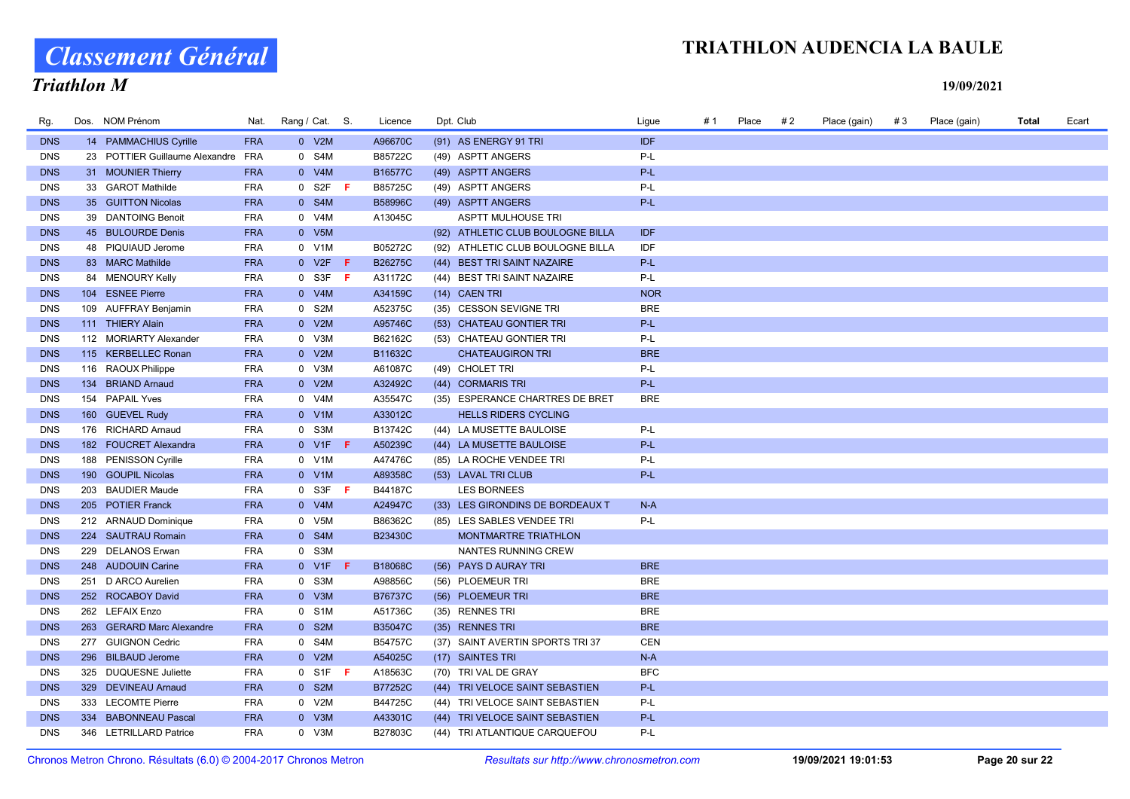# Classement Général

### Triathlon M

### TRIATHLON AUDENCIA LA BAULE

| Rg.        | Dos. NOM Prénom                    | Nat.       | Rang / Cat. S. |                  |     | Licence        | Dpt. Club                         | Ligue      | #1 | Place | # 2 | Place (gain) | #3 | Place (gain) | Total | Ecart |
|------------|------------------------------------|------------|----------------|------------------|-----|----------------|-----------------------------------|------------|----|-------|-----|--------------|----|--------------|-------|-------|
| <b>DNS</b> | 14 PAMMACHIUS Cyrille              | <b>FRA</b> |                | 0 V2M            |     | A96670C        | (91) AS ENERGY 91 TRI             | <b>IDF</b> |    |       |     |              |    |              |       |       |
| <b>DNS</b> | 23 POTTIER Guillaume Alexandre FRA |            |                | 0 S4M            |     | B85722C        | (49) ASPTT ANGERS                 | P-L        |    |       |     |              |    |              |       |       |
| <b>DNS</b> | 31 MOUNIER Thierry                 | <b>FRA</b> |                | 0 V4M            |     | B16577C        | (49) ASPTT ANGERS                 | P-L        |    |       |     |              |    |              |       |       |
| <b>DNS</b> | 33 GAROT Mathilde                  | <b>FRA</b> |                | $0$ S2F F        |     | B85725C        | (49) ASPTT ANGERS                 | P-L        |    |       |     |              |    |              |       |       |
| <b>DNS</b> | 35 GUITTON Nicolas                 | <b>FRA</b> |                | 0 S4M            |     | B58996C        | (49) ASPTT ANGERS                 | $P-L$      |    |       |     |              |    |              |       |       |
| <b>DNS</b> | 39 DANTOING Benoit                 | <b>FRA</b> |                | 0 V4M            |     | A13045C        | <b>ASPTT MULHOUSE TRI</b>         |            |    |       |     |              |    |              |       |       |
| <b>DNS</b> | 45 BULOURDE Denis                  | <b>FRA</b> |                | 0 V5M            |     |                | (92) ATHLETIC CLUB BOULOGNE BILLA | <b>IDF</b> |    |       |     |              |    |              |       |       |
| <b>DNS</b> | 48 PIQUIAUD Jerome                 | <b>FRA</b> |                | 0 V1M            |     | B05272C        | (92) ATHLETIC CLUB BOULOGNE BILLA | IDF        |    |       |     |              |    |              |       |       |
| <b>DNS</b> | 83 MARC Mathilde                   | <b>FRA</b> |                | 0 V2F            | - F | B26275C        | (44) BEST TRI SAINT NAZAIRE       | P-L        |    |       |     |              |    |              |       |       |
| <b>DNS</b> | 84 MENOURY Kelly                   | <b>FRA</b> |                | $0$ S3F F        |     | A31172C        | (44) BEST TRI SAINT NAZAIRE       | P-L        |    |       |     |              |    |              |       |       |
| <b>DNS</b> | 104 ESNEE Pierre                   | <b>FRA</b> |                | 0 V4M            |     | A34159C        | (14) CAEN TRI                     | <b>NOR</b> |    |       |     |              |    |              |       |       |
| <b>DNS</b> | 109 AUFFRAY Benjamin               | <b>FRA</b> |                | 0 S2M            |     | A52375C        | (35) CESSON SEVIGNE TRI           | <b>BRE</b> |    |       |     |              |    |              |       |       |
| <b>DNS</b> | 111 THIERY Alain                   | <b>FRA</b> |                | 0 V2M            |     | A95746C        | (53) CHATEAU GONTIER TRI          | P-L        |    |       |     |              |    |              |       |       |
| <b>DNS</b> | 112 MORIARTY Alexander             | <b>FRA</b> |                | 0 V3M            |     | B62162C        | (53) CHATEAU GONTIER TRI          | P-L        |    |       |     |              |    |              |       |       |
| <b>DNS</b> | 115 KERBELLEC Ronan                | <b>FRA</b> |                | 0 V2M            |     | B11632C        | <b>CHATEAUGIRON TRI</b>           | <b>BRE</b> |    |       |     |              |    |              |       |       |
| <b>DNS</b> | 116 RAOUX Philippe                 | <b>FRA</b> |                | 0 V3M            |     | A61087C        | (49) CHOLET TRI                   | P-L        |    |       |     |              |    |              |       |       |
| <b>DNS</b> | 134 BRIAND Arnaud                  | <b>FRA</b> |                | 0 V2M            |     | A32492C        | (44) CORMARIS TRI                 | P-L        |    |       |     |              |    |              |       |       |
| <b>DNS</b> | 154 PAPAIL Yves                    | <b>FRA</b> |                | 0 V4M            |     | A35547C        | (35) ESPERANCE CHARTRES DE BRET   | <b>BRE</b> |    |       |     |              |    |              |       |       |
| <b>DNS</b> | 160 GUEVEL Rudy                    | <b>FRA</b> |                | $0$ V1M          |     | A33012C        | <b>HELLS RIDERS CYCLING</b>       |            |    |       |     |              |    |              |       |       |
| <b>DNS</b> | 176 RICHARD Arnaud                 | <b>FRA</b> |                | 0 S3M            |     | B13742C        | (44) LA MUSETTE BAULOISE          | P-L        |    |       |     |              |    |              |       |       |
| <b>DNS</b> | 182 FOUCRET Alexandra              | <b>FRA</b> |                | $0$ V1F <b>F</b> |     | A50239C        | (44) LA MUSETTE BAULOISE          | P-L        |    |       |     |              |    |              |       |       |
| <b>DNS</b> | 188 PENISSON Cyrille               | <b>FRA</b> |                | 0 V1M            |     | A47476C        | (85) LA ROCHE VENDEE TRI          | P-L        |    |       |     |              |    |              |       |       |
| <b>DNS</b> | 190 GOUPIL Nicolas                 | <b>FRA</b> |                | 0 V1M            |     | A89358C        | (53) LAVAL TRI CLUB               | P-L        |    |       |     |              |    |              |       |       |
| <b>DNS</b> | 203 BAUDIER Maude                  | <b>FRA</b> |                | 0 S3F            | - F | B44187C        | <b>LES BORNEES</b>                |            |    |       |     |              |    |              |       |       |
| <b>DNS</b> | 205 POTIER Franck                  | <b>FRA</b> |                | 0 V4M            |     | A24947C        | (33) LES GIRONDINS DE BORDEAUX T  | $N-A$      |    |       |     |              |    |              |       |       |
| <b>DNS</b> | 212 ARNAUD Dominique               | <b>FRA</b> |                | 0 V5M            |     | B86362C        | (85) LES SABLES VENDEE TRI        | P-L        |    |       |     |              |    |              |       |       |
| <b>DNS</b> | 224 SAUTRAU Romain                 | <b>FRA</b> |                | 0 S4M            |     | B23430C        | <b>MONTMARTRE TRIATHLON</b>       |            |    |       |     |              |    |              |       |       |
| <b>DNS</b> | 229 DELANOS Erwan                  | <b>FRA</b> |                | 0 S3M            |     |                | NANTES RUNNING CREW               |            |    |       |     |              |    |              |       |       |
| <b>DNS</b> | 248 AUDOUIN Carine                 | <b>FRA</b> |                | 0 V1F            | - F | B18068C        | (56) PAYS D AURAY TRI             | <b>BRE</b> |    |       |     |              |    |              |       |       |
| <b>DNS</b> | 251 D ARCO Aurelien                | <b>FRA</b> |                | 0 S3M            |     | A98856C        | (56) PLOEMEUR TRI                 | <b>BRE</b> |    |       |     |              |    |              |       |       |
| <b>DNS</b> | 252 ROCABOY David                  | <b>FRA</b> |                | 0 V3M            |     | <b>B76737C</b> | (56) PLOEMEUR TRI                 | <b>BRE</b> |    |       |     |              |    |              |       |       |
| <b>DNS</b> | 262 LEFAIX Enzo                    | <b>FRA</b> |                | 0 S1M            |     | A51736C        | (35) RENNES TRI                   | <b>BRE</b> |    |       |     |              |    |              |       |       |
| <b>DNS</b> | 263 GERARD Marc Alexandre          | <b>FRA</b> |                | 0 S2M            |     | <b>B35047C</b> | (35) RENNES TRI                   | <b>BRE</b> |    |       |     |              |    |              |       |       |
| <b>DNS</b> | 277 GUIGNON Cedric                 | <b>FRA</b> |                | 0 S4M            |     | B54757C        | (37) SAINT AVERTIN SPORTS TRI 37  | CEN        |    |       |     |              |    |              |       |       |
| <b>DNS</b> | 296 BILBAUD Jerome                 | <b>FRA</b> |                | 0 V2M            |     | A54025C        | (17) SAINTES TRI                  | $N-A$      |    |       |     |              |    |              |       |       |
| <b>DNS</b> | 325 DUQUESNE Juliette              | <b>FRA</b> |                | $0$ S1F F        |     | A18563C        | (70) TRI VAL DE GRAY              | <b>BFC</b> |    |       |     |              |    |              |       |       |
| <b>DNS</b> | 329 DEVINEAU Arnaud                | <b>FRA</b> |                | 0 S2M            |     | <b>B77252C</b> | (44) TRI VELOCE SAINT SEBASTIEN   | P-L        |    |       |     |              |    |              |       |       |
| <b>DNS</b> | 333 LECOMTE Pierre                 | <b>FRA</b> |                | 0 V2M            |     | B44725C        | (44) TRI VELOCE SAINT SEBASTIEN   | P-L        |    |       |     |              |    |              |       |       |
| <b>DNS</b> | 334 BABONNEAU Pascal               | <b>FRA</b> |                | 0 V3M            |     | A43301C        | (44) TRI VELOCE SAINT SEBASTIEN   | P-L        |    |       |     |              |    |              |       |       |
| <b>DNS</b> | 346 LETRILLARD Patrice             | <b>FRA</b> |                | 0 V3M            |     | B27803C        | (44) TRI ATLANTIQUE CARQUEFOU     | P-L        |    |       |     |              |    |              |       |       |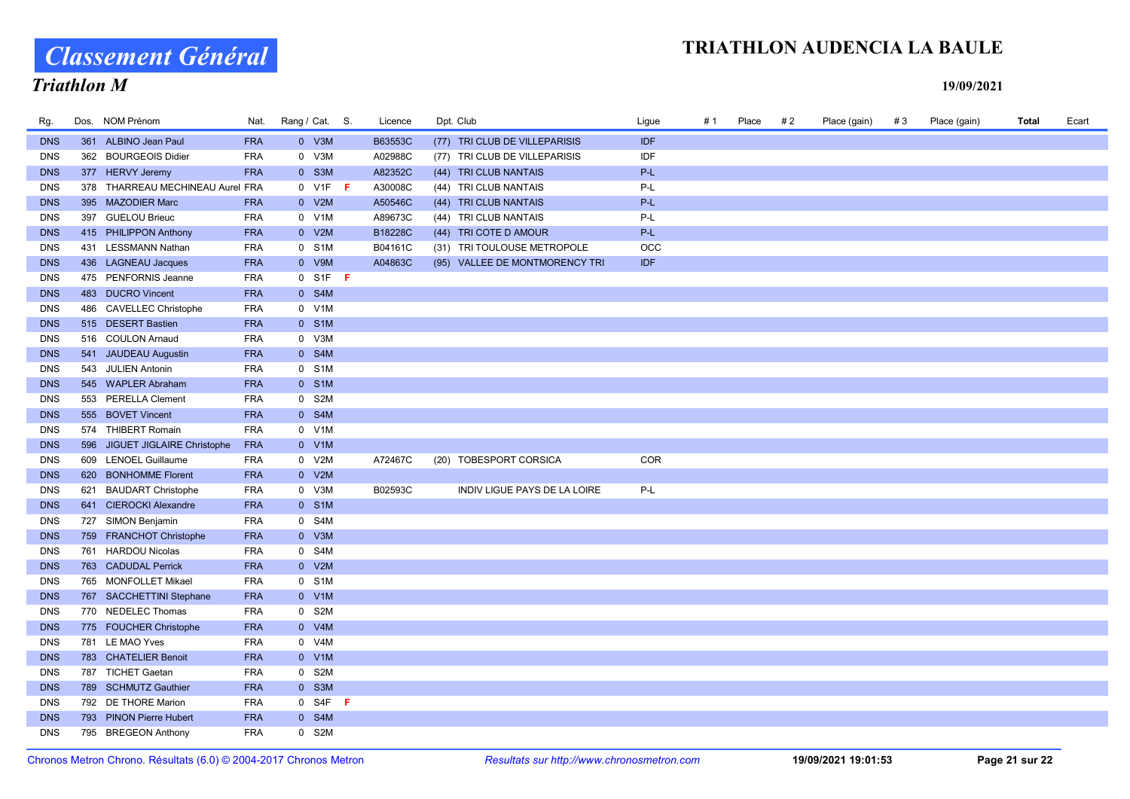# Classement Général

### TRIATHLON AUDENCIA LA BAULE

### Triathlon M

| Rg.        | Dos. NOM Prénom                  | Nat.       | Rang / Cat. S. |           | Licence | Dpt. Club                      | Ligue      | #1 | Place | # 2 | Place (gain) | #3 | Place (gain) | Total | Ecart |
|------------|----------------------------------|------------|----------------|-----------|---------|--------------------------------|------------|----|-------|-----|--------------|----|--------------|-------|-------|
| <b>DNS</b> | 361 ALBINO Jean Paul             | <b>FRA</b> |                | 0 V3M     | B63553C | (77) TRI CLUB DE VILLEPARISIS  | <b>IDF</b> |    |       |     |              |    |              |       |       |
| <b>DNS</b> | 362 BOURGEOIS Didier             | <b>FRA</b> |                | 0 V3M     | A02988C | (77) TRI CLUB DE VILLEPARISIS  | IDF        |    |       |     |              |    |              |       |       |
| <b>DNS</b> | 377 HERVY Jeremy                 | <b>FRA</b> |                | 0 S3M     | A82352C | (44) TRI CLUB NANTAIS          | P-L        |    |       |     |              |    |              |       |       |
| <b>DNS</b> | 378 THARREAU MECHINEAU Aurel FRA |            |                | $0$ V1F F | A30008C | (44) TRI CLUB NANTAIS          | P-L        |    |       |     |              |    |              |       |       |
| <b>DNS</b> | 395 MAZODIER Marc                | <b>FRA</b> |                | 0 V2M     | A50546C | (44) TRI CLUB NANTAIS          | P-L        |    |       |     |              |    |              |       |       |
| <b>DNS</b> | 397 GUELOU Brieuc                | <b>FRA</b> |                | 0 V1M     | A89673C | (44) TRI CLUB NANTAIS          | P-L        |    |       |     |              |    |              |       |       |
| <b>DNS</b> | 415 PHILIPPON Anthony            | <b>FRA</b> |                | 0 V2M     | B18228C | (44) TRI COTE D AMOUR          | P-L        |    |       |     |              |    |              |       |       |
| <b>DNS</b> | 431 LESSMANN Nathan              | <b>FRA</b> |                | 0 S1M     | B04161C | (31) TRI TOULOUSE METROPOLE    | OCC        |    |       |     |              |    |              |       |       |
| <b>DNS</b> | 436 LAGNEAU Jacques              | <b>FRA</b> |                | 0 V9M     | A04863C | (95) VALLEE DE MONTMORENCY TRI | <b>IDF</b> |    |       |     |              |    |              |       |       |
| <b>DNS</b> | 475 PENFORNIS Jeanne             | <b>FRA</b> |                | $0$ S1F F |         |                                |            |    |       |     |              |    |              |       |       |
| <b>DNS</b> | 483 DUCRO Vincent                | <b>FRA</b> |                | 0 S4M     |         |                                |            |    |       |     |              |    |              |       |       |
| <b>DNS</b> | 486 CAVELLEC Christophe          | <b>FRA</b> |                | 0 V1M     |         |                                |            |    |       |     |              |    |              |       |       |
| <b>DNS</b> | 515 DESERT Bastien               | <b>FRA</b> |                | 0 S1M     |         |                                |            |    |       |     |              |    |              |       |       |
| <b>DNS</b> | 516 COULON Arnaud                | <b>FRA</b> |                | 0 V3M     |         |                                |            |    |       |     |              |    |              |       |       |
| <b>DNS</b> | 541 JAUDEAU Augustin             | <b>FRA</b> |                | 0 S4M     |         |                                |            |    |       |     |              |    |              |       |       |
| <b>DNS</b> | 543 JULIEN Antonin               | <b>FRA</b> |                | 0 S1M     |         |                                |            |    |       |     |              |    |              |       |       |
| <b>DNS</b> | 545 WAPLER Abraham               | <b>FRA</b> |                | 0 S1M     |         |                                |            |    |       |     |              |    |              |       |       |
| <b>DNS</b> | 553 PERELLA Clement              | <b>FRA</b> |                | 0 S2M     |         |                                |            |    |       |     |              |    |              |       |       |
| <b>DNS</b> | 555 BOVET Vincent                | <b>FRA</b> |                | 0 S4M     |         |                                |            |    |       |     |              |    |              |       |       |
| <b>DNS</b> | 574 THIBERT Romain               | <b>FRA</b> |                | 0 V1M     |         |                                |            |    |       |     |              |    |              |       |       |
| <b>DNS</b> | 596 JIGUET JIGLAIRE Christophe   | <b>FRA</b> |                | $0$ V1M   |         |                                |            |    |       |     |              |    |              |       |       |
| <b>DNS</b> | 609 LENOEL Guillaume             | <b>FRA</b> |                | 0 V2M     | A72467C | (20) TOBESPORT CORSICA         | COR        |    |       |     |              |    |              |       |       |
| <b>DNS</b> | 620 BONHOMME Florent             | <b>FRA</b> |                | 0 V2M     |         |                                |            |    |       |     |              |    |              |       |       |
| <b>DNS</b> | 621 BAUDART Christophe           | <b>FRA</b> |                | 0 V3M     | B02593C | INDIV LIGUE PAYS DE LA LOIRE   | $P-L$      |    |       |     |              |    |              |       |       |
| <b>DNS</b> | 641 CIEROCKI Alexandre           | <b>FRA</b> |                | 0 S1M     |         |                                |            |    |       |     |              |    |              |       |       |
| <b>DNS</b> | 727 SIMON Benjamin               | <b>FRA</b> |                | 0 S4M     |         |                                |            |    |       |     |              |    |              |       |       |
| <b>DNS</b> | 759 FRANCHOT Christophe          | <b>FRA</b> |                | 0 V3M     |         |                                |            |    |       |     |              |    |              |       |       |
| <b>DNS</b> | 761 HARDOU Nicolas               | <b>FRA</b> |                | 0 S4M     |         |                                |            |    |       |     |              |    |              |       |       |
| <b>DNS</b> | 763 CADUDAL Perrick              | <b>FRA</b> |                | 0 V2M     |         |                                |            |    |       |     |              |    |              |       |       |
| <b>DNS</b> | 765 MONFOLLET Mikael             | <b>FRA</b> |                | 0 S1M     |         |                                |            |    |       |     |              |    |              |       |       |
| <b>DNS</b> | 767 SACCHETTINI Stephane         | <b>FRA</b> |                | 0 V1M     |         |                                |            |    |       |     |              |    |              |       |       |
| <b>DNS</b> | 770 NEDELEC Thomas               | <b>FRA</b> |                | 0 S2M     |         |                                |            |    |       |     |              |    |              |       |       |
| <b>DNS</b> | 775 FOUCHER Christophe           | <b>FRA</b> |                | 0 V4M     |         |                                |            |    |       |     |              |    |              |       |       |
| <b>DNS</b> | 781 LE MAO Yves                  | <b>FRA</b> |                | 0 V4M     |         |                                |            |    |       |     |              |    |              |       |       |
| <b>DNS</b> | 783 CHATELIER Benoit             | <b>FRA</b> |                | 0 V1M     |         |                                |            |    |       |     |              |    |              |       |       |
| <b>DNS</b> | 787 TICHET Gaetan                | <b>FRA</b> |                | 0 S2M     |         |                                |            |    |       |     |              |    |              |       |       |
| <b>DNS</b> | 789 SCHMUTZ Gauthier             | <b>FRA</b> |                | 0 S3M     |         |                                |            |    |       |     |              |    |              |       |       |
| <b>DNS</b> | 792 DE THORE Marion              | <b>FRA</b> |                | $0$ S4F F |         |                                |            |    |       |     |              |    |              |       |       |
| <b>DNS</b> | 793 PINON Pierre Hubert          | <b>FRA</b> |                | 0 S4M     |         |                                |            |    |       |     |              |    |              |       |       |
| <b>DNS</b> | 795 BREGEON Anthony              | <b>FRA</b> |                | 0 S2M     |         |                                |            |    |       |     |              |    |              |       |       |